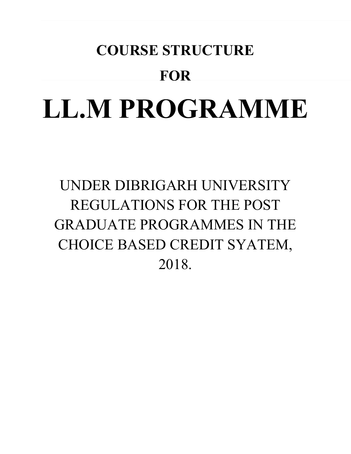# **COURSE STRUCTURE FOR LL.M PROGRAMME**

UNDER DIBRIGARH UNIVERSITY REGULATIONS FOR THE POST GRADUATE PROGRAMMES IN THE CHOICE BASED CREDIT SYATEM, 2018.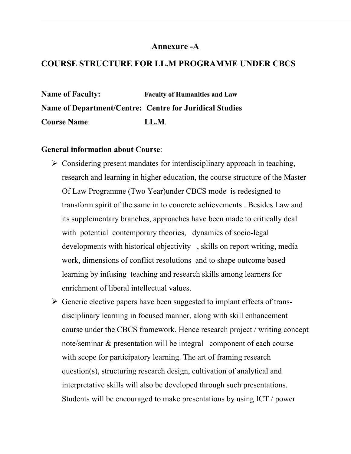# **Annexure -A**

# **COURSE STRUCTURE FOR LL.M PROGRAMME UNDER CBCS**

**Name of Faculty: Faculty of Humanities and Law Name of Department/Centre: Centre for Juridical Studies Course Name**: **LL.M**.

# **General information about Course**:

- $\triangleright$  Considering present mandates for interdisciplinary approach in teaching, research and learning in higher education, the course structure of the Master Of Law Programme (Two Year)under CBCS mode is redesigned to transform spirit of the same in to concrete achievements . Besides Law and its supplementary branches, approaches have been made to critically deal with potential contemporary theories, dynamics of socio-legal developments with historical objectivity , skills on report writing, media work, dimensions of conflict resolutions and to shape outcome based learning by infusing teaching and research skills among learners for enrichment of liberal intellectual values.
- $\triangleright$  Generic elective papers have been suggested to implant effects of transdisciplinary learning in focused manner, along with skill enhancement course under the CBCS framework. Hence research project / writing concept note/seminar & presentation will be integral component of each course with scope for participatory learning. The art of framing research question(s), structuring research design, cultivation of analytical and interpretative skills will also be developed through such presentations. Students will be encouraged to make presentations by using ICT / power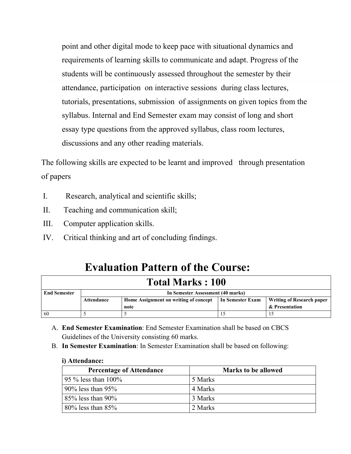point and other digital mode to keep pace with situational dynamics and requirements of learning skills to communicate and adapt. Progress of the students will be continuously assessed throughout the semester by their attendance, participation on interactive sessions during class lectures, tutorials, presentations, submission of assignments on given topics from the syllabus. Internal and End Semester exam may consist of long and short essay type questions from the approved syllabus, class room lectures, discussions and any other reading materials.

The following skills are expected to be learnt and improved through presentation of papers

- I. Research, analytical and scientific skills;
- II. Teaching and communication skill;
- III. Computer application skills.
- IV. Critical thinking and art of concluding findings.

# **Evaluation Pattern of the Course:**

| <b>Total Marks: 100</b> |                                                                                                      |  |  |  |  |  |  |
|-------------------------|------------------------------------------------------------------------------------------------------|--|--|--|--|--|--|
| <b>End Semester</b>     | In Semester Assessment (40 marks)                                                                    |  |  |  |  |  |  |
|                         | Home Assignment on writing of concept<br>In Semester Exam<br>Writing of Research paper<br>Attendance |  |  |  |  |  |  |
|                         | & Presentation<br>note                                                                               |  |  |  |  |  |  |
| 60                      |                                                                                                      |  |  |  |  |  |  |

- A. **End Semester Examination**: End Semester Examination shall be based on CBCS Guidelines of the University consisting 60 marks.
- B. **In Semester Examination**: In Semester Examination shall be based on following:

### **i) Attendance:**

| <b>Percentage of Attendance</b> | <b>Marks to be allowed</b> |
|---------------------------------|----------------------------|
| 95 $\%$ less than 100%          | 5 Marks                    |
| $90\%$ less than $95\%$         | 4 Marks                    |
| $85\%$ less than 90%            | 3 Marks                    |
| $80\%$ less than $85\%$         | 2 Marks                    |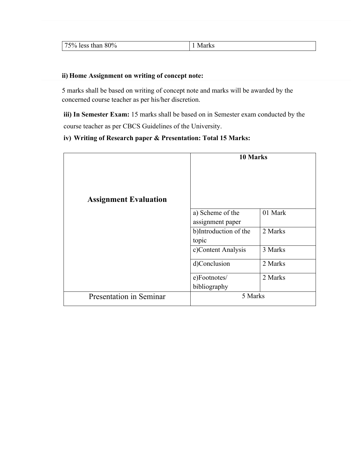| --<br>$80\%$<br>$-1$<br>$\sim$<br>$\%$<br>птан<br>190C | <b>1 IVIGINS</b> |
|--------------------------------------------------------|------------------|
|--------------------------------------------------------|------------------|

### **ii) Home Assignment on writing of concept note:**

5 marks shall be based on writing of concept note and marks will be awarded by the concerned course teacher as per his/her discretion.

**iii) In Semester Exam:** 15 marks shall be based on in Semester exam conducted by the course teacher as per CBCS Guidelines of the University.

# **iv) Writing of Research paper & Presentation: Total 15 Marks:**

| <b>Assignment Evaluation</b>   | 10 Marks                                                               |                    |  |
|--------------------------------|------------------------------------------------------------------------|--------------------|--|
|                                | a) Scheme of the<br>assignment paper<br>b)Introduction of the<br>topic | 01 Mark<br>2 Marks |  |
|                                | c)Content Analysis                                                     | 3 Marks            |  |
|                                | d)Conclusion<br>2 Marks<br>2 Marks<br>e)Footnotes/                     |                    |  |
|                                |                                                                        |                    |  |
| <b>Presentation in Seminar</b> | bibliography<br>5 Marks                                                |                    |  |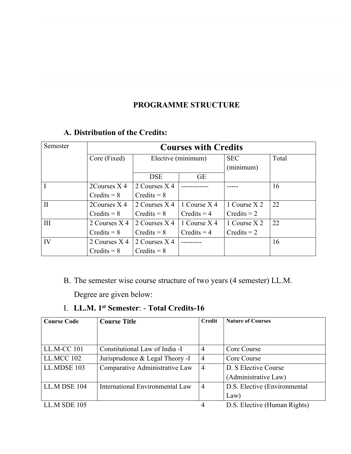# **PROGRAMME STRUCTURE**

# **A. Distribution of the Credits:**

| Semester     | <b>Courses with Credits</b> |                    |               |               |       |  |
|--------------|-----------------------------|--------------------|---------------|---------------|-------|--|
|              | Core (Fixed)                | Elective (minimum) |               | <b>SEC</b>    | Total |  |
|              |                             |                    |               | (minimum)     |       |  |
|              |                             | <b>DSE</b>         | <b>GE</b>     |               |       |  |
| $\mathbf{I}$ | $2$ Courses $X$ 4           | 2 Courses X 4      |               |               | 16    |  |
|              | $Credits = 8$               | $Credits = 8$      |               |               |       |  |
| $\mathbf{I}$ | $2$ Courses $X$ 4           | 2 Courses X 4      | 1 Course X 4  | 1 Course X 2  | 22    |  |
|              | $Credits = 8$               | $C$ redits = $8$   | $Credits = 4$ | $Credits = 2$ |       |  |
| III          | 2 Courses X 4               | 2 Courses X 4      | 1 Course X 4  | 1 Course X 2  | 22    |  |
|              | $Credits = 8$               | $C$ redits = $8$   | $Credits = 4$ | $Credits = 2$ |       |  |
| IV           | 2 Courses X 4               | 2 Courses X 4      | -------       |               | 16    |  |
|              | $Credits = 8$               | $Credits = 8$      |               |               |       |  |

B. The semester wise course structure of two years (4 semester) LL.M.

Degree are given below:

# I. **LL.M. 1st Semester**: - **Total Credits-16**

| <b>Course Code</b> | <b>Course Title</b>             | <b>Credit</b>  | <b>Nature of Courses</b>     |
|--------------------|---------------------------------|----------------|------------------------------|
|                    |                                 |                |                              |
|                    |                                 |                |                              |
| LL.M-CC 101        | Constitutional Law of India -I  | $\overline{4}$ | Core Course                  |
| LL.MCC 102         | Jurisprudence & Legal Theory -I | $\overline{4}$ | Core Course                  |
| LL.MDSE 103        | Comparative Administrative Law  | $\overline{4}$ | D. S Elective Course         |
|                    |                                 |                | (Administrative Law)         |
| LL.M DSE 104       | International Environmental Law | $\overline{4}$ | D.S. Elective (Environmental |
|                    |                                 |                | Law)                         |
| LL.M SDE 105       |                                 | 4              | D.S. Elective (Human Rights) |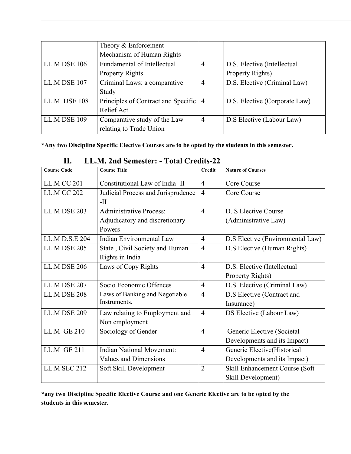|              | Theory & Enforcement                |                |                               |
|--------------|-------------------------------------|----------------|-------------------------------|
|              | Mechanism of Human Rights           |                |                               |
| LL.M DSE 106 | <b>Fundamental of Intellectual</b>  | 4              | D.S. Elective (Intellectual   |
|              | <b>Property Rights</b>              |                | Property Rights)              |
| LL.M DSE 107 | Criminal Laws: a comparative        | $\overline{4}$ | D.S. Elective (Criminal Law)  |
|              | Study                               |                |                               |
| LL.M DSE 108 | Principles of Contract and Specific | $\overline{4}$ | D.S. Elective (Corporate Law) |
|              | Relief Act                          |                |                               |
| LL.M DSE 109 | Comparative study of the Law        | $\overline{4}$ | D.S Elective (Labour Law)     |
|              | relating to Trade Union             |                |                               |

**\*Any two Discipline Specific Elective Courses are to be opted by the students in this semester.**

| <b>Course Code</b>  | <b>Course Title</b>                | <b>Credit</b>  | <b>Nature of Courses</b>         |
|---------------------|------------------------------------|----------------|----------------------------------|
| <b>LL.M CC 201</b>  | Constitutional Law of India -II    | $\overline{4}$ | Core Course                      |
| <b>LL.M CC 202</b>  | Judicial Process and Jurisprudence | $\overline{4}$ | Core Course                      |
|                     | $-II$                              |                |                                  |
| LL.M DSE 203        | <b>Administrative Process:</b>     | $\overline{4}$ | D. S Elective Course             |
|                     | Adjudicatory and discretionary     |                | (Administrative Law)             |
|                     | Powers                             |                |                                  |
| LL.M D.S.E 204      | Indian Environmental Law           | $\overline{4}$ | D.S Elective (Environmental Law) |
| <b>LL.M DSE 205</b> | State, Civil Society and Human     | $\overline{4}$ | D.S Elective (Human Rights)      |
|                     | Rights in India                    |                |                                  |
| <b>LL.M DSE 206</b> | Laws of Copy Rights                | $\overline{4}$ | D.S. Elective (Intellectual      |
|                     |                                    |                | Property Rights)                 |
| LL.M DSE 207        | Socio Economic Offences            | $\overline{4}$ | D.S. Elective (Criminal Law)     |
| LL.M DSE 208        | Laws of Banking and Negotiable     | $\overline{4}$ | D.S Elective (Contract and       |
|                     | Instruments.                       |                | Insurance)                       |
| <b>LL.M DSE 209</b> | Law relating to Employment and     | $\overline{4}$ | DS Elective (Labour Law)         |
|                     | Non employment                     |                |                                  |
| <b>LL.M GE 210</b>  | Sociology of Gender                | $\overline{4}$ | Generic Elective (Societal       |
|                     |                                    |                | Developments and its Impact)     |
| <b>LL.M GE 211</b>  | <b>Indian National Movement:</b>   | $\overline{4}$ | Generic Elective(Historical      |
|                     | Values and Dimensions              |                | Developments and its Impact)     |
| <b>LL.M SEC 212</b> | Soft Skill Development             | $\overline{2}$ | Skill Enhancement Course (Soft   |
|                     |                                    |                | Skill Development)               |

# **II. LL.M. 2nd Semester: - Total Credits-22**

**\*any two Discipline Specific Elective Course and one Generic Elective are to be opted by the students in this semester.**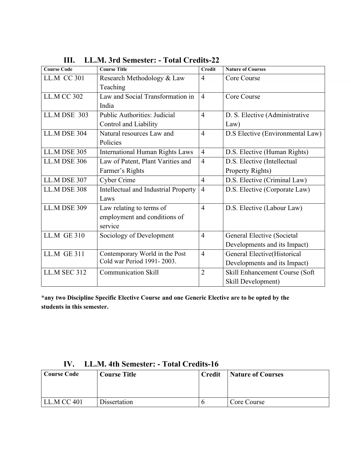| <b>Course Code</b>  | <b>Course Title</b>                    | <b>Credit</b>  | <b>Nature of Courses</b>         |
|---------------------|----------------------------------------|----------------|----------------------------------|
| <b>LL.M CC 301</b>  | Research Methodology & Law             | $\overline{4}$ | Core Course                      |
|                     | Teaching                               |                |                                  |
| <b>LL.M CC 302</b>  | Law and Social Transformation in       | $\overline{4}$ | Core Course                      |
|                     | India                                  |                |                                  |
| <b>LL.M DSE 303</b> | <b>Public Authorities: Judicial</b>    | $\overline{4}$ | D. S. Elective (Administrative   |
|                     | Control and Liability                  |                | Law)                             |
| LL.M DSE 304        | Natural resources Law and              | $\overline{4}$ | D.S Elective (Environmental Law) |
|                     | Policies                               |                |                                  |
| <b>LL.M DSE 305</b> | <b>International Human Rights Laws</b> | $\overline{4}$ | D.S. Elective (Human Rights)     |
| <b>LL.M DSE 306</b> | Law of Patent, Plant Varities and      | $\overline{4}$ | D.S. Elective (Intellectual      |
|                     | Farmer's Rights                        |                | Property Rights)                 |
| LL.M DSE 307        | Cyber Crime                            | $\overline{4}$ | D.S. Elective (Criminal Law)     |
| LL.M DSE 308        | Intellectual and Industrial Property   | $\overline{4}$ | D.S. Elective (Corporate Law)    |
|                     | Laws                                   |                |                                  |
| <b>LL.M DSE 309</b> | Law relating to terms of               | $\overline{4}$ | D.S. Elective (Labour Law)       |
|                     | employment and conditions of           |                |                                  |
|                     | service                                |                |                                  |
| <b>LL.M GE 310</b>  | Sociology of Development               | $\overline{4}$ | General Elective (Societal       |
|                     |                                        |                | Developments and its Impact)     |
| <b>LL.M GE 311</b>  | Contemporary World in the Post         | $\overline{4}$ | General Elective(Historical      |
|                     | Cold war Period 1991-2003.             |                | Developments and its Impact)     |
| <b>LL.M SEC 312</b> | <b>Communication Skill</b>             | $\overline{2}$ | Skill Enhancement Course (Soft   |
|                     |                                        |                | Skill Development)               |

**III. LL.M. 3rd Semester: - Total Credits-22**

**\*any two Discipline Specific Elective Course and one Generic Elective are to be opted by the students in this semester.**

| <b>Course Code</b> | <b>Course Title</b> | Credit | Nature of Courses |
|--------------------|---------------------|--------|-------------------|
|                    |                     |        |                   |
|                    |                     |        |                   |
| <b>LL.M CC 401</b> | Dissertation        |        | Core Course       |

# **IV. LL.M. 4th Semester: - Total Credits-16**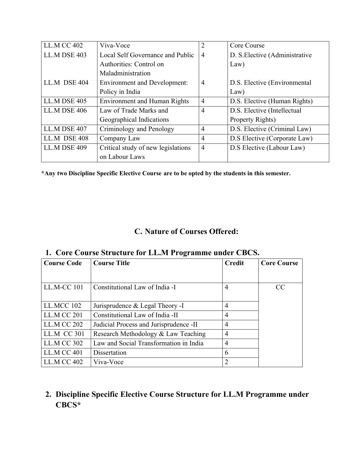| <b>LL.M CC 402</b> | Viva-Voce                           | $\overline{2}$ | Core Course                    |
|--------------------|-------------------------------------|----------------|--------------------------------|
| LL.M DSE 403       | Local Self Governance and Public    | $\overline{4}$ | D. S. Elective (Administrative |
|                    | Authorities: Control on             |                | Law)                           |
|                    | Maladministration                   |                |                                |
| LL.M DSE 404       | <b>Environment and Development:</b> | $\overline{4}$ | D.S. Elective (Environmental   |
|                    | Policy in India                     |                | Law)                           |
| LL.M DSE 405       | <b>Environment and Human Rights</b> | $\overline{4}$ | D.S. Elective (Human Rights)   |
| LL.M DSE 406       | Law of Trade Marks and              | $\overline{4}$ | D.S. Elective (Intellectual    |
|                    | Geographical Indications            |                | Property Rights)               |
| LL.M DSE 407       | Criminology and Penology            | $\overline{4}$ | D.S. Elective (Criminal Law)   |
| LL.M DSE 408       | Company Law                         | $\overline{4}$ | D.S Elective (Corporate Law)   |
| LL.M DSE 409       | Critical study of new legislations  | $\overline{4}$ | D.S Elective (Labour Law)      |
|                    | on Labour Laws                      |                |                                |

**\*Any two Discipline Specific Elective Course are to be opted by the students in this semester.**

# **C. Nature of Courses Offered:**

# **1. Core Course Structure for LL.M Programme under CBCS.**

| <b>Course Code</b> | <b>Course Title</b>                     | <b>Credit</b>  | <b>Core Course</b> |
|--------------------|-----------------------------------------|----------------|--------------------|
|                    |                                         |                |                    |
| LL.M-CC 101        | Constitutional Law of India -I          | 4              | CC                 |
| LL.MCC 102         | Jurisprudence & Legal Theory -I         | $\overline{4}$ |                    |
| <b>LL.M CC 201</b> | Constitutional Law of India -II         | $\overline{4}$ |                    |
| <b>LL.M CC 202</b> | Judicial Process and Jurisprudence - II | $\overline{4}$ |                    |
| <b>LL.M CC 301</b> | Research Methodology & Law Teaching     | $\overline{4}$ |                    |
| <b>LL.M CC 302</b> | Law and Social Transformation in India  | $\overline{4}$ |                    |
| $LL.M$ CC 401      | Dissertation                            | 6              |                    |
| <b>LL.M CC 402</b> | Viva-Voce                               | 2              |                    |

# **2. Discipline Specific Elective Course Structure for LL.M Programme under CBCS\***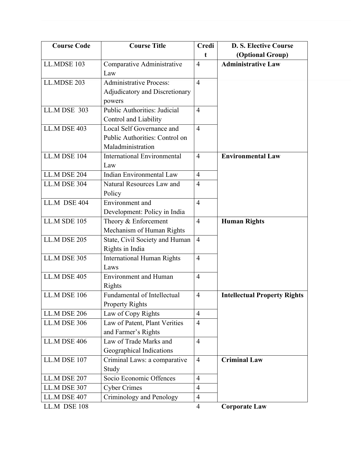| <b>Course Code</b>  | <b>Course Title</b>                 | Credi          | <b>D. S. Elective Course</b>        |
|---------------------|-------------------------------------|----------------|-------------------------------------|
|                     |                                     | t              | (Optional Group)                    |
| LL.MDSE 103         | Comparative Administrative          | $\overline{4}$ | <b>Administrative Law</b>           |
|                     | Law                                 |                |                                     |
| <b>LL.MDSE 203</b>  | <b>Administrative Process:</b>      | $\overline{4}$ |                                     |
|                     | Adjudicatory and Discretionary      |                |                                     |
|                     | powers                              |                |                                     |
| <b>LL.M DSE 303</b> | <b>Public Authorities: Judicial</b> | $\overline{4}$ |                                     |
|                     | Control and Liability               |                |                                     |
| LL.M DSE 403        | Local Self Governance and           | $\overline{4}$ |                                     |
|                     | Public Authorities: Control on      |                |                                     |
|                     | Maladministration                   |                |                                     |
| LL.M DSE 104        | <b>International Environmental</b>  | $\overline{4}$ | <b>Environmental Law</b>            |
|                     | Law                                 |                |                                     |
| <b>LL.M DSE 204</b> | <b>Indian Environmental Law</b>     | $\overline{4}$ |                                     |
| LL.M DSE 304        | Natural Resources Law and           | $\overline{4}$ |                                     |
|                     | Policy                              |                |                                     |
| LL.M DSE 404        | Environment and                     | $\overline{4}$ |                                     |
|                     | Development: Policy in India        |                |                                     |
| <b>LL.M SDE 105</b> | Theory & Enforcement                | $\overline{4}$ | <b>Human Rights</b>                 |
|                     | Mechanism of Human Rights           |                |                                     |
| <b>LL.M DSE 205</b> | State, Civil Society and Human      | $\overline{4}$ |                                     |
|                     | Rights in India                     |                |                                     |
| <b>LL.M DSE 305</b> | <b>International Human Rights</b>   | $\overline{4}$ |                                     |
|                     | Laws                                |                |                                     |
| LL.M DSE 405        | <b>Environment</b> and Human        | $\overline{4}$ |                                     |
|                     | Rights                              |                |                                     |
| LL.M DSE 106        | Fundamental of Intellectual         | $\overline{4}$ | <b>Intellectual Property Rights</b> |
|                     | <b>Property Rights</b>              |                |                                     |
| <b>LL.M DSE 206</b> | Law of Copy Rights                  | $\overline{4}$ |                                     |
| <b>LL.M DSE 306</b> | Law of Patent, Plant Verities       | $\overline{4}$ |                                     |
|                     | and Farmer's Rights                 |                |                                     |
| <b>LL.M DSE 406</b> | Law of Trade Marks and              | $\overline{4}$ |                                     |
|                     | Geographical Indications            |                |                                     |
| LL.M DSE 107        | Criminal Laws: a comparative        | $\overline{4}$ | <b>Criminal Law</b>                 |
|                     | Study                               |                |                                     |
| LL.M DSE 207        | Socio Economic Offences             | $\overline{4}$ |                                     |
| LL.M DSE 307        | <b>Cyber Crimes</b>                 | $\overline{4}$ |                                     |
| LL.M DSE 407        | Criminology and Penology            | $\overline{4}$ |                                     |
| LL.M DSE 108        |                                     | $\overline{4}$ | <b>Corporate Law</b>                |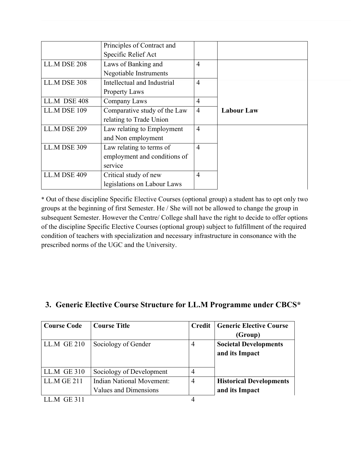|                     | Principles of Contract and   |                |                   |
|---------------------|------------------------------|----------------|-------------------|
|                     | Specific Relief Act          |                |                   |
| LL.M DSE 208        | Laws of Banking and          | $\overline{4}$ |                   |
|                     | Negotiable Instruments       |                |                   |
| LL.M DSE 308        | Intellectual and Industrial  | $\overline{4}$ |                   |
|                     | <b>Property Laws</b>         |                |                   |
| LL.M DSE 408        | Company Laws                 | $\overline{4}$ |                   |
| LL.M DSE 109        | Comparative study of the Law | $\overline{4}$ | <b>Labour Law</b> |
|                     | relating to Trade Union      |                |                   |
| <b>LL.M DSE 209</b> | Law relating to Employment   | $\overline{4}$ |                   |
|                     | and Non employment           |                |                   |
| <b>LL.M DSE 309</b> | Law relating to terms of     | $\overline{4}$ |                   |
|                     | employment and conditions of |                |                   |
|                     | service                      |                |                   |
| LL.M DSE 409        | Critical study of new        | $\overline{4}$ |                   |
|                     | legislations on Labour Laws  |                |                   |

\* Out of these discipline Specific Elective Courses (optional group) a student has to opt only two groups at the beginning of first Semester. He / She will not be allowed to change the group in subsequent Semester. However the Centre/ College shall have the right to decide to offer options of the discipline Specific Elective Courses (optional group) subject to fulfillment of the required condition of teachers with specialization and necessary infrastructure in consonance with the prescribed norms of the UGC and the University.

| <b>Course Code</b> | <b>Course Title</b>              | Credit         | <b>Generic Elective Course</b> |
|--------------------|----------------------------------|----------------|--------------------------------|
|                    |                                  |                | (Group)                        |
| LL.M GE 210        | Sociology of Gender              | 4              | <b>Societal Developments</b>   |
|                    |                                  |                | and its Impact                 |
|                    |                                  |                |                                |
| LL.M GE 310        | Sociology of Development         | $\overline{4}$ |                                |
| LL.M GE 211        | <b>Indian National Movement:</b> | $\overline{4}$ | <b>Historical Developments</b> |
|                    | <b>Values and Dimensions</b>     |                | and its Impact                 |

# **3. Generic Elective Course Structure for LL.M Programme under CBCS\***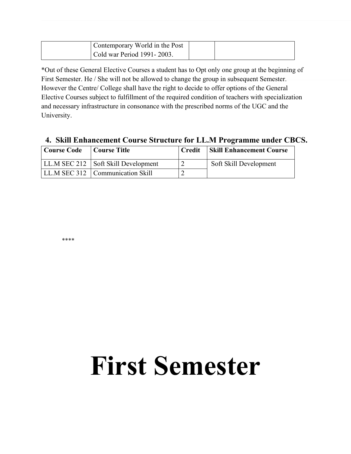| Contemporary World in the Post |  |
|--------------------------------|--|
| Cold war Period 1991 - 2003.   |  |

\*Out of these General Elective Courses a student has to Opt only one group at the beginning of First Semester. He / She will not be allowed to change the group in subsequent Semester. However the Centre/ College shall have the right to decide to offer options of the General Elective Courses subject to fulfillment of the required condition of teachers with specialization and necessary infrastructure in consonance with the prescribed norms of the UGC and the University.

# **4. Skill Enhancement Course Structure for LL.M Programme under CBCS.**

| <b>Course Code</b> | Course Title                          | Credit | <b>Skill Enhancement Course</b> |
|--------------------|---------------------------------------|--------|---------------------------------|
|                    | LL.M SEC 212   Soft Skill Development |        | Soft Skill Development          |
|                    | LL.M SEC 312   Communication Skill    |        |                                 |

\*\*\*\*

# **First Semester**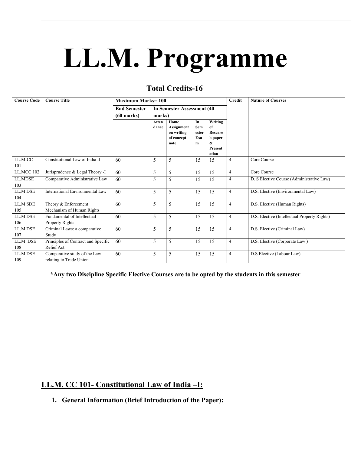# **LL.M. Programme**

# **Total Credits-16**

| <b>Course Code</b>    | <b>Course Title</b>                                     | <b>Maximum Marks=100</b> |                                    |                                                        |                                | <b>Credit</b>                                                | <b>Nature of Courses</b> |                                              |
|-----------------------|---------------------------------------------------------|--------------------------|------------------------------------|--------------------------------------------------------|--------------------------------|--------------------------------------------------------------|--------------------------|----------------------------------------------|
|                       |                                                         | <b>End Semester</b>      | <b>In Semester Assessment (40)</b> |                                                        |                                |                                                              |                          |                                              |
|                       |                                                         | $(60$ marks)             |                                    | marks)                                                 |                                |                                                              |                          |                                              |
|                       |                                                         |                          | Atten<br>dance                     | Home<br>Assignment<br>on writing<br>of concept<br>note | In<br>Sem<br>ester<br>Exa<br>m | Writing<br>of<br>Researc<br>h paper<br>&<br>Present<br>ation |                          |                                              |
| LL.M-CC<br>101        | Constitutional Law of India - I                         | 60                       | 5                                  | 5                                                      | 15                             | 15                                                           | $\overline{4}$           | Core Course                                  |
| <b>LL.MCC 102</b>     | Jurisprudence & Legal Theory -I                         | 60                       | 5                                  | 5                                                      | 15                             | 15                                                           | $\overline{4}$           | Core Course                                  |
| LL.MDSE<br>103        | Comparative Administrative Law                          | 60                       | 5                                  | 5                                                      | 15                             | 15                                                           | $\overline{4}$           | D. S Elective Course (Administrative Law)    |
| LL.M DSE<br>104       | International Environmental Law                         | 60                       | 5                                  | 5                                                      | 15                             | 15                                                           | $\overline{4}$           | D.S. Elective (Environmental Law)            |
| LL.M SDE<br>105       | Theory & Enforcement<br>Mechanism of Human Rights       | 60                       | 5                                  | 5                                                      | 15                             | 15                                                           | $\overline{4}$           | D.S. Elective (Human Rights)                 |
| <b>LLM DSE</b><br>106 | Fundamental of Intellectual<br>Property Rights          | 60                       | 5                                  | 5                                                      | 15                             | 15                                                           | $\overline{4}$           | D.S. Elective (Intellectual Property Rights) |
| LL.M DSE<br>107       | Criminal Laws: a comparative<br>Study                   | 60                       | 5                                  | 5                                                      | 15                             | 15                                                           | $\overline{4}$           | D.S. Elective (Criminal Law)                 |
| LL.M DSE<br>108       | Principles of Contract and Specific<br>Relief Act       | 60                       | 5                                  | 5                                                      | 15                             | 15                                                           | $\overline{4}$           | D.S. Elective (Corporate Law)                |
| LL.M DSE<br>109       | Comparative study of the Law<br>relating to Trade Union | 60                       | 5                                  | 5                                                      | 15                             | 15                                                           | $\overline{4}$           | D.S Elective (Labour Law)                    |

**\*Any two Discipline Specific Elective Courses are to be opted by the students in this semester**

# **LL.M. CC 101- Constitutional Law of India –I:**

**1. General Information (Brief Introduction of the Paper):**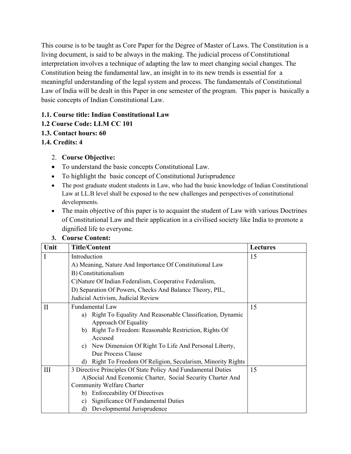This course is to be taught as Core Paper for the Degree of Master of Laws. The Constitution is a living document, is said to be always in the making. The judicial process of Constitutional interpretation involves a technique of adapting the law to meet changing social changes. The Constitution being the fundamental law, an insight in to its new trends is essential for a meaningful understanding of the legal system and process. The fundamentals of Constitutional Law of India will be dealt in this Paper in one semester of the program. This paper is basically a basic concepts of Indian Constitutional Law.

# **1.1. Course title: Indian Constitutional Law**

- **1.2 Course Code: LLM CC 101**
- **1.3. Contact hours: 60**
- **1.4. Credits: 4**
	- 2. **Course Objective:**
	- To understand the basic concepts Constitutional Law.
	- To highlight the basic concept of Constitutional Jurisprudence
	- The post graduate student students in Law, who had the basic knowledge of Indian Constitutional Law at LL.B level shall be exposed to the new challenges and perspectives of constitutional developments.
	- The main objective of this paper is to acquaint the student of Law with various Doctrines of Constitutional Law and their application in a civilised society like India to promote a dignified life to everyone.

| Unit         | <b>Title/Content</b>                                            | <b>Lectures</b> |
|--------------|-----------------------------------------------------------------|-----------------|
| $\mathbf I$  | Introduction                                                    | 15              |
|              | A) Meaning, Nature And Importance Of Constitutional Law         |                 |
|              | B) Constitutionalism                                            |                 |
|              | C) Nature Of Indian Federalism, Cooperative Federalism,         |                 |
|              | D) Separation Of Powers, Checks And Balance Theory, PIL,        |                 |
|              | Judicial Activism, Judicial Review                              |                 |
| $\mathbf{I}$ | <b>Fundamental Law</b>                                          | 15              |
|              | a) Right To Equality And Reasonable Classification, Dynamic     |                 |
|              | <b>Approach Of Equality</b>                                     |                 |
|              | b) Right To Freedom: Reasonable Restriction, Rights Of          |                 |
|              | Accused                                                         |                 |
|              | c) New Dimension Of Right To Life And Personal Liberty,         |                 |
|              | Due Process Clause                                              |                 |
|              | Right To Freedom Of Religion, Secularism, Minority Rights<br>d) |                 |
| Ш            | 3 Directive Principles Of State Policy And Fundamental Duties   | 15              |
|              | A)Social And Economic Charter, Social Security Charter And      |                 |
|              | Community Welfare Charter                                       |                 |
|              | b) Enforceability Of Directives                                 |                 |
|              | Significance Of Fundamental Duties<br>c)                        |                 |
|              | Developmental Jurisprudence<br>d)                               |                 |

# **3. Course Content:**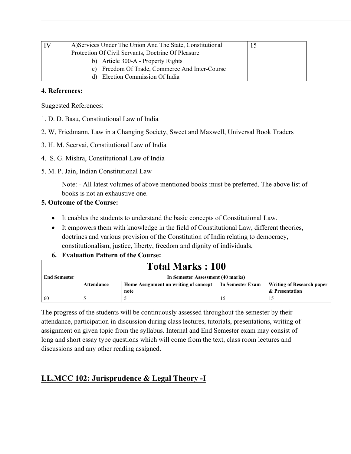| A) Services Under The Union And The State, Constitutional |  |
|-----------------------------------------------------------|--|
| Protection Of Civil Servants, Doctrine Of Pleasure        |  |
| b) Article 300-A - Property Rights                        |  |
| Freedom Of Trade, Commerce And Inter-Course<br>C)         |  |
| Election Commission Of India<br>d).                       |  |

### **4. References:**

Suggested References:

- 1. D. D. Basu, Constitutional Law of India
- 2. W, Friedmann, Law in a Changing Society, Sweet and Maxwell, Universal Book Traders
- 3. H. M. Seervai, Constitutional Law of India
- 4. S. G. Mishra, Constitutional Law of India
- 5. M. P. Jain, Indian Constitutional Law

Note: - All latest volumes of above mentioned books must be preferred. The above list of books is not an exhaustive one.

# **5. Outcome of the Course:**

- It enables the students to understand the basic concepts of Constitutional Law.
- It empowers them with knowledge in the field of Constitutional Law, different theories, doctrines and various provision of the Constitution of India relating to democracy, constitutionalism, justice, liberty, freedom and dignity of individuals,
- **6. Evaluation Pattern of the Course:**

| <b>Total Marks: 100</b> |                                   |                                                           |  |                |  |  |  |
|-------------------------|-----------------------------------|-----------------------------------------------------------|--|----------------|--|--|--|
| <b>End Semester</b>     | In Semester Assessment (40 marks) |                                                           |  |                |  |  |  |
|                         | Attendance                        | Home Assignment on writing of concept<br>In Semester Exam |  |                |  |  |  |
|                         |                                   | note                                                      |  | & Presentation |  |  |  |
| 60                      |                                   |                                                           |  |                |  |  |  |

The progress of the students will be continuously assessed throughout the semester by their attendance, participation in discussion during class lectures, tutorials, presentations, writing of assignment on given topic from the syllabus. Internal and End Semester exam may consist of long and short essay type questions which will come from the text, class room lectures and discussions and any other reading assigned.

# **LL.MCC 102: Jurisprudence & Legal Theory -I**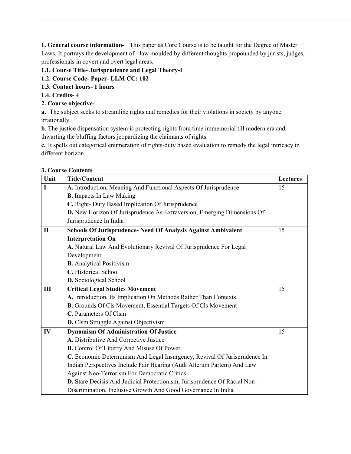**1. General course information-** This paper as Core Course is to be taught for the Degree of Master Laws. It portrays the development of law moulded by different thoughts propounded by jurists, judges, professionals in covert and overt legal areas.

### **1.1. Course Title- Jurisprudence and Legal Theory-I**

- **1.2. Course Code- Paper- LLM CC: 102**
- **1.3. Contact hours- 1 hours**
- **1.4. Credits- 4**

### **2. Course objective-**

**a.** The subject seeks to streamline rights and remedies for their violations in society by anyone irrationally.

**b**. The justice dispensation system is protecting rights from time immemorial till modern era and thwarting the bluffing factors jeopardizing the claimants of rights.

**c.** It spells out categorical enumeration of rights-duty based evaluation to remedy the legal intricacy in different horizon.

| Unit           | <b>Title/Content</b>                                                      | <b>Lectures</b> |
|----------------|---------------------------------------------------------------------------|-----------------|
| $\mathbf I$    | A. Introduction, Meaning And Functional Aspects Of Jurisprudence          | 15              |
|                | <b>B.</b> Impacts In Law Making                                           |                 |
|                | C. Right- Duty Based Implication Of Jurisprudence                         |                 |
|                | D. New Horizon Of Jurisprudence As Extraversion, Emerging Dimensions Of   |                 |
|                | Jurisprudence In India                                                    |                 |
| $\mathbf{I}$   | Schools Of Jurisprudence- Need Of Analysis Against Ambivalent             | 15              |
|                | <b>Interpretation On</b>                                                  |                 |
|                | A. Natural Law And Evolutionary Revival Of Jurisprudence For Legal        |                 |
|                | Development                                                               |                 |
|                | <b>B.</b> Analytical Positivism                                           |                 |
|                | C. Historical School                                                      |                 |
|                | D. Sociological School                                                    |                 |
| $\mathbf{III}$ | <b>Critical Legal Studies Movement</b>                                    | 15              |
|                | A. Introduction, Its Implication On Methods Rather Than Contexts.         |                 |
|                | <b>B.</b> Grounds Of Cls Movement, Essential Targets Of Cls Movement      |                 |
|                | C. Parameters Of Clsm                                                     |                 |
|                | D. Clsm Struggle Against Objectivism                                      |                 |
| IV             | <b>Dynamism Of Administration Of Justice</b>                              | 15              |
|                | A. Distributive And Corrective Justice                                    |                 |
|                | <b>B.</b> Control Of Liberty And Misuse Of Power                          |                 |
|                | C. Economic Determinism And Legal Insurgency, Revival Of Jurisprudence In |                 |
|                | Indian Perspectives Include Fair Hearing (Audi Alterum Partem) And Law    |                 |
|                | Against Neo-Terrorism For Democratic Critics                              |                 |
|                | D. Stare Decisis And Judicial Protectionism, Jurisprudence Of Racial Non- |                 |
|                | Discrimination, Inclusive Growth And Good Governance In India             |                 |

### **3. Course Contents**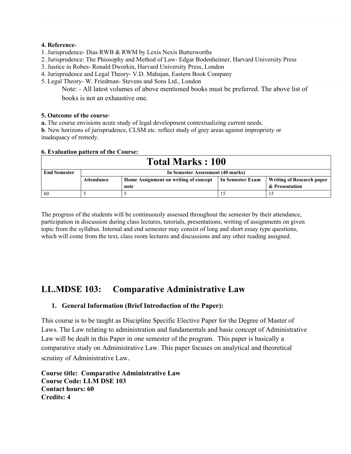#### **4. Reference**-

- 1. Jurisprudence- Dias RWB & RWM by Lexis Nexis Butterworths
- 2. Jurisprudence: The Phiosophy and Method of Law- Edgar Bodenheimer, Harvard University Press
- 3. Justice in Robes- Ronald Dworkin, Harvard University Press, London
- 4. Jurisprudence and Legal Theory- V.D. Mahajan, Eastern Book Company
- 5. Legal Theory- W. Friedman- Stevens and Sons Ltd., London

Note: - All latest volumes of above mentioned books must be preferred. The above list of books is not an exhaustive one.

### **5. Outcome of the course**-

**a.** The course envisions acute study of legal development contextualizing current needs.

**b**. New horizons of jurisprudence, CLSM etc. reflect study of grey areas against impropriety or inadequacy of remedy.

### **6. Evaluation pattern of the Course:**

| <b>Total Marks: 100</b> |                                   |                                       |                  |                           |  |  |
|-------------------------|-----------------------------------|---------------------------------------|------------------|---------------------------|--|--|
| <b>End Semester</b>     | In Semester Assessment (40 marks) |                                       |                  |                           |  |  |
|                         | Attendance                        | Home Assignment on writing of concept | In Semester Exam | Writing of Research paper |  |  |
|                         |                                   | note                                  |                  | & Presentation            |  |  |
| -60                     |                                   |                                       |                  |                           |  |  |

The progress of the students will be continuously assessed throughout the semester by their attendance, participation in discussion during class lectures, tutorials, presentations, writing of assignments on given topic from the syllabus. Internal and end semester may consist of long and short essay type questions, which will come from the text, class room lectures and discussions and any other reading assigned.

# **LL.MDSE 103: Comparative Administrative Law**

# **1. General Information (Brief Introduction of the Paper):**

This course is to be taught as Discipline Specific Elective Paper for the Degree of Master of Laws. The Law relating to administration and fundamentals and basic concept of Administrative Law will be dealt in this Paper in one semester of the program. This paper is basically a comparative study on Administrative Law. This paper focuses on analytical and theoretical scrutiny of Administrative Law.

**Course title: Comparative Administrative Law Course Code: LLM DSE 103 Contact hours: 60 Credits: 4**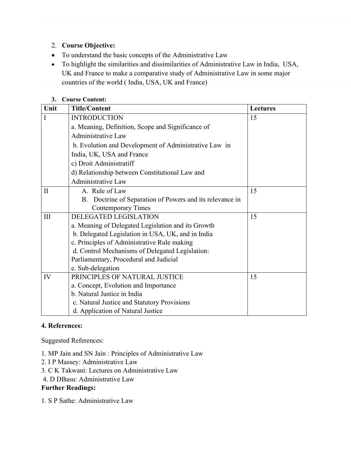# 2. **Course Objective:**

- To understand the basic concepts of the Administrative Law
- To highlight the similarities and dissimilarities of Administrative Law in India, USA, UK and France to make a comparative study of Administrative Law in some major countries of the world ( India, USA, UK and France)

# **3. Course Content:**

| Unit         | <b>Title/Content</b>                                     | <b>Lectures</b> |
|--------------|----------------------------------------------------------|-----------------|
| I            | <b>INTRODUCTION</b>                                      | 15              |
|              | a. Meaning, Definition, Scope and Significance of        |                 |
|              | <b>Administrative Law</b>                                |                 |
|              | b. Evolution and Development of Administrative Law in    |                 |
|              | India, UK, USA and France                                |                 |
|              | c) Droit Administratiff                                  |                 |
|              | d) Relationship between Constitutional Law and           |                 |
|              | <b>Administrative Law</b>                                |                 |
| $\mathbf{I}$ | A. Rule of Law                                           | 15              |
|              | B. Doctrine of Separation of Powers and its relevance in |                 |
|              | <b>Contemporary Times</b>                                |                 |
| $\rm III$    | <b>DELEGATED LEGISLATION</b>                             | 15              |
|              | a. Meaning of Delegated Legislation and its Growth       |                 |
|              | b. Delegated Legislation in USA, UK, and in India        |                 |
|              | c. Principles of Administrative Rule making              |                 |
|              | d. Control Mechanisms of Delegated Legislation:          |                 |
|              | Parliamentary, Procedural and Judicial                   |                 |
|              | e. Sub-delegation                                        |                 |
| IV           | PRINCIPLES OF NATURAL JUSTICE                            | 15              |
|              | a. Concept, Evolution and Importance                     |                 |
|              | b. Natural Justice in India                              |                 |
|              | c. Natural Justice and Statutory Provisions              |                 |
|              | d. Application of Natural Justice                        |                 |

# **4. References:**

Suggested References:

- 1. MP Jain and SN Jain : Principles of Administrative Law
- 2. I P Massey: Administrative Law
- 3. C K Takwani: Lectures on Administrative Law
- 4. D DBasu: Administrative Law

# **Further Readings:**

1. S P Sathe: Administrative Law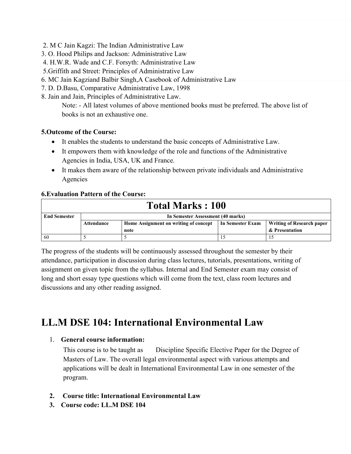- 2. M C Jain Kagzi: The Indian Administrative Law
- 3. O. Hood Philips and Jackson: Administrative Law
- 4. H.W.R. Wade and C.F. Forsyth: Administrative Law
- 5.Griffith and Street: Principles of Administrative Law
- 6. MC Jain Kagziand Balbir Singh,A Casebook of Administrative Law
- 7. D. D.Basu, Comparative Administrative Law, 1998
- 8. Jain and Jain, Principles of Administrative Law.

Note: - All latest volumes of above mentioned books must be preferred. The above list of books is not an exhaustive one.

### **5.Outcome of the Course:**

- It enables the students to understand the basic concepts of Administrative Law.
- It empowers them with knowledge of the role and functions of the Administrative Agencies in India, USA, UK and France.
- It makes them aware of the relationship between private individuals and Administrative Agencies

### **6.Evaluation Pattern of the Course:**

| <b>Total Marks: 100</b> |                                                                                                      |  |  |  |  |  |
|-------------------------|------------------------------------------------------------------------------------------------------|--|--|--|--|--|
| <b>End Semester</b>     | In Semester Assessment (40 marks)                                                                    |  |  |  |  |  |
|                         | In Semester Exam<br>Home Assignment on writing of concept<br>Writing of Research paper<br>Attendance |  |  |  |  |  |
|                         | & Presentation<br>note                                                                               |  |  |  |  |  |
| -60                     |                                                                                                      |  |  |  |  |  |

The progress of the students will be continuously assessed throughout the semester by their attendance, participation in discussion during class lectures, tutorials, presentations, writing of assignment on given topic from the syllabus. Internal and End Semester exam may consist of long and short essay type questions which will come from the text, class room lectures and discussions and any other reading assigned.

# **LL.M DSE 104: International Environmental Law**

### 1. **General course information:**

This course is to be taught as Discipline Specific Elective Paper for the Degree of Masters of Law. The overall legal environmental aspect with various attempts and applications will be dealt in International Environmental Law in one semester of the program.

- **2. Course title: International Environmental Law**
- **3. Course code: LL.M DSE 104**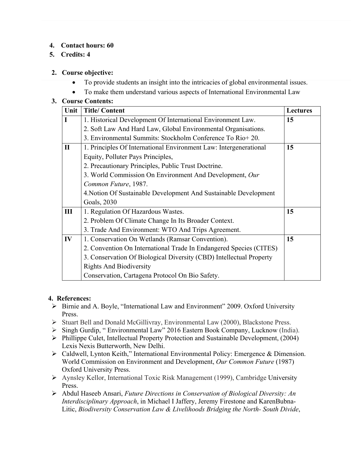# **4. Contact hours: 60**

# **5. Credits: 4**

# **2. Course objective:**

- To provide students an insight into the intricacies of global environmental issues.
- To make them understand various aspects of International Environmental Law

# **3. Course Contents:**

| Unit         | <b>Title/Content</b>                                                | <b>Lectures</b> |
|--------------|---------------------------------------------------------------------|-----------------|
| I            | 1. Historical Development Of International Environment Law.         | 15              |
|              | 2. Soft Law And Hard Law, Global Environmental Organisations.       |                 |
|              | 3. Environmental Summits: Stockholm Conference To Rio+ 20.          |                 |
| $\mathbf{I}$ | 1. Principles Of International Environment Law: Intergenerational   | 15              |
|              | Equity, Polluter Pays Principles,                                   |                 |
|              | 2. Precautionary Principles, Public Trust Doctrine.                 |                 |
|              | 3. World Commission On Environment And Development, Our             |                 |
|              | Common Future, 1987.                                                |                 |
|              | 4. Notion Of Sustainable Development And Sustainable Development    |                 |
|              | Goals, 2030                                                         |                 |
| Ш            | 1. Regulation Of Hazardous Wastes.                                  | 15              |
|              | 2. Problem Of Climate Change In Its Broader Context.                |                 |
|              | 3. Trade And Environment: WTO And Trips Agreement.                  |                 |
| IV           | 1. Conservation On Wetlands (Ramsar Convention).                    | 15              |
|              | 2. Convention On International Trade In Endangered Species (CITES)  |                 |
|              | 3. Conservation Of Biological Diversity (CBD) Intellectual Property |                 |
|              | <b>Rights And Biodiversity</b>                                      |                 |
|              | Conservation, Cartagena Protocol On Bio Safety.                     |                 |

# **4. References:**

- Birnie and A. Boyle, "International Law and Environment" 2009. Oxford University Press.
- Stuart Bell and Donald McGillivray, Environmental Law (2000), Blackstone Press.
- Singh Gurdip, " Environmental Law" 2016 Eastern Book Company, Lucknow (India).
- Phillippe Culet, Intellectual Property Protection and Sustainable Development, (2004) Lexis Nexis Butterworth, New Delhi.
- Caldwell, Lynton Keith," International Environmental Policy: Emergence & Dimension. World Commission on Environment and Development, *Our Common Future* (1987) Oxford University Press.
- Aynsley Kellor, International Toxic Risk Management (1999), Cambridge University Press.
- Abdul Haseeb Ansari, *Future Directions in Conservation of Biological Diversity: An Interdisciplinary Approach*, in Michael I Jaffery, Jeremy Firestone and KarenBubna-Litic, *Biodiversity Conservation Law & Livelihoods Bridging the North- South Divide*,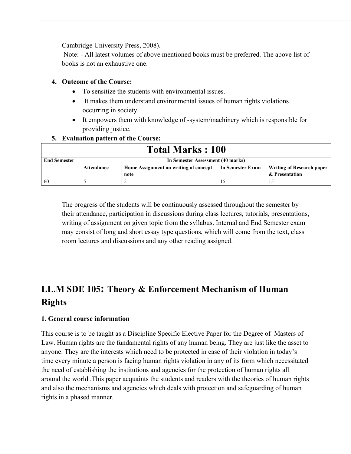Cambridge University Press, 2008).

 Note: - All latest volumes of above mentioned books must be preferred. The above list of books is not an exhaustive one.

### **4. Outcome of the Course:**

- To sensitize the students with environmental issues.
- It makes them understand environmental issues of human rights violations occurring in society.
- It empowers them with knowledge of -system/machinery which is responsible for providing justice.

# **5. Evaluation pattern of the Course:**

| <b>Total Marks: 100</b> |                                   |                                       |                  |                                  |  |  |
|-------------------------|-----------------------------------|---------------------------------------|------------------|----------------------------------|--|--|
| <b>End Semester</b>     | In Semester Assessment (40 marks) |                                       |                  |                                  |  |  |
|                         | Attendance                        | Home Assignment on writing of concept | In Semester Exam | <b>Writing of Research paper</b> |  |  |
|                         | & Presentation<br>note            |                                       |                  |                                  |  |  |
| 60                      |                                   |                                       |                  |                                  |  |  |

The progress of the students will be continuously assessed throughout the semester by their attendance, participation in discussions during class lectures, tutorials, presentations, writing of assignment on given topic from the syllabus. Internal and End Semester exam may consist of long and short essay type questions, which will come from the text, class room lectures and discussions and any other reading assigned.

# **LL.M SDE 105: Theory & Enforcement Mechanism of Human Rights**

# **1. General course information**

This course is to be taught as a Discipline Specific Elective Paper for the Degree of Masters of Law. Human rights are the fundamental rights of any human being. They are just like the asset to anyone. They are the interests which need to be protected in case of their violation in today's time every minute a person is facing human rights violation in any of its form which necessitated the need of establishing the institutions and agencies for the protection of human rights all around the world .This paper acquaints the students and readers with the theories of human rights and also the mechanisms and agencies which deals with protection and safeguarding of human rights in a phased manner.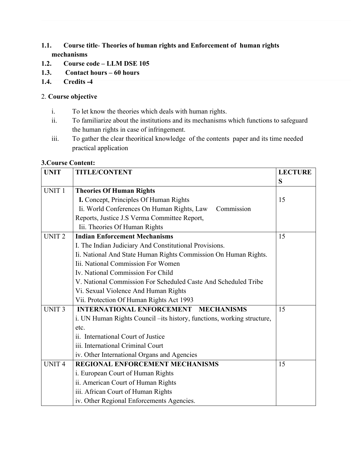# **1.1. Course title**- **Theories of human rights and Enforcement of human rights mechanisms**

- **1.2. Course code LLM DSE 105**
- **1.3. Contact hours 60 hours**
- **1.4. Credits -4**

# 2. **Course objective**

- i. To let know the theories which deals with human rights.
- ii. To familiarize about the institutions and its mechanisms which functions to safeguard the human rights in case of infringement.
- iii. To gather the clear theoritical knowledge of the contents paper and its time needed practical application

### **3.Course Content:**

| <b>UNIT</b>       | <b>TITLE/CONTENT</b>                                                    | <b>LECTURE</b> |
|-------------------|-------------------------------------------------------------------------|----------------|
|                   |                                                                         | S              |
| UNIT <sub>1</sub> | <b>Theories Of Human Rights</b>                                         |                |
|                   | I. Concept, Principles Of Human Rights                                  | 15             |
|                   | Ii. World Conferences On Human Rights, Law<br>Commission                |                |
|                   | Reports, Justice J.S Verma Committee Report,                            |                |
|                   | Iii. Theories Of Human Rights                                           |                |
| UNIT <sub>2</sub> | <b>Indian Enforcement Mechanisms</b>                                    | 15             |
|                   | I. The Indian Judiciary And Constitutional Provisions.                  |                |
|                   | Ii. National And State Human Rights Commission On Human Rights.         |                |
|                   | Iii. National Commission For Women                                      |                |
|                   | Iv. National Commission For Child                                       |                |
|                   | V. National Commission For Scheduled Caste And Scheduled Tribe          |                |
|                   | Vi. Sexual Violence And Human Rights                                    |                |
|                   | Vii. Protection Of Human Rights Act 1993                                |                |
| <b>UNIT3</b>      | <b>INTERNATIONAL ENFORCEMENT MECHANISMS</b>                             | 15             |
|                   | i. UN Human Rights Council – its history, functions, working structure, |                |
|                   | etc.                                                                    |                |
|                   | ii. International Court of Justice                                      |                |
|                   | iii. International Criminal Court                                       |                |
|                   | iv. Other International Organs and Agencies                             |                |
| <b>UNIT4</b>      | REGIONAL ENFORCEMENT MECHANISMS                                         | 15             |
|                   | i. European Court of Human Rights                                       |                |
|                   | ii. American Court of Human Rights                                      |                |
|                   | iii. African Court of Human Rights                                      |                |
|                   | iv. Other Regional Enforcements Agencies.                               |                |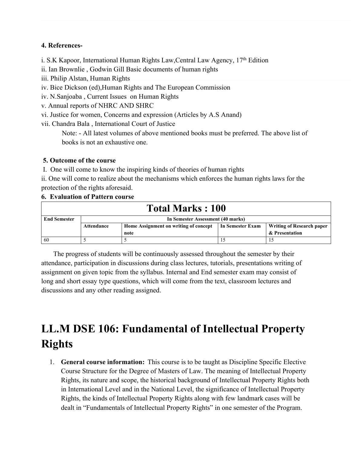# **4. References-**

- i. S.K Kapoor, International Human Rights Law, Central Law Agency,  $17<sup>th</sup>$  Edition
- ii. Ian Brownlie , Godwin Gill Basic documents of human rights
- iii. Philip Alstan, Human Rights
- iv. Bice Dickson (ed),Human Rights and The European Commission
- iv. N.Sanjoaba , Current Issues on Human Rights
- v. Annual reports of NHRC AND SHRC
- vi. Justice for women, Concerns and expression (Articles by A.S Anand)
- vii. Chandra Bala , International Court of Justice

Note: - All latest volumes of above mentioned books must be preferred. The above list of books is not an exhaustive one.

# **5. Outcome of the course**

I. One will come to know the inspiring kinds of theories of human rights

ii. One will come to realize about the mechanisms which enforces the human rights laws for the protection of the rights aforesaid.

# **6. Evaluation of Pattern course**

| <b>Total Marks: 100</b> |                                                                                                             |  |  |  |  |  |
|-------------------------|-------------------------------------------------------------------------------------------------------------|--|--|--|--|--|
| <b>End Semester</b>     | In Semester Assessment (40 marks)                                                                           |  |  |  |  |  |
|                         | Home Assignment on writing of concept<br>In Semester Exam<br><b>Writing of Research paper</b><br>Attendance |  |  |  |  |  |
|                         | & Presentation<br>note                                                                                      |  |  |  |  |  |
| 60                      |                                                                                                             |  |  |  |  |  |

 The progress of students will be continuously assessed throughout the semester by their attendance, participation in discussions during class lectures, tutorials, presentations writing of assignment on given topic from the syllabus. Internal and End semester exam may consist of long and short essay type questions, which will come from the text, classroom lectures and discussions and any other reading assigned.

# **LL.M DSE 106: Fundamental of Intellectual Property Rights**

1. **General course information:** This course is to be taught as Discipline Specific Elective Course Structure for the Degree of Masters of Law. The meaning of Intellectual Property Rights, its nature and scope, the historical background of Intellectual Property Rights both in International Level and in the National Level, the significance of Intellectual Property Rights, the kinds of Intellectual Property Rights along with few landmark cases will be dealt in "Fundamentals of Intellectual Property Rights" in one semester of the Program.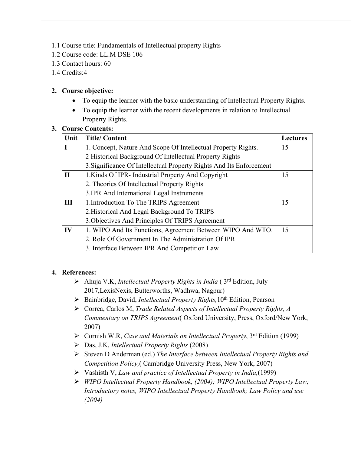- 1.1 Course title: Fundamentals of Intellectual property Rights
- 1.2 Course code: LL.M DSE 106
- 1.3 Contact hours: 60
- 1.4 Credits:4

# **2. Course objective:**

- To equip the learner with the basic understanding of Intellectual Property Rights.
- To equip the learner with the recent developments in relation to Intellectual Property Rights.

### **3. Course Contents:**

| Unit         | <b>Title/Content</b>                                                | <b>Lectures</b> |
|--------------|---------------------------------------------------------------------|-----------------|
| I            | 1. Concept, Nature And Scope Of Intellectual Property Rights.       | 15              |
|              | 2 Historical Background Of Intellectual Property Rights             |                 |
|              | 3. Significance Of Intellectual Property Rights And Its Enforcement |                 |
| $\mathbf{I}$ | 1. Kinds Of IPR-Industrial Property And Copyright                   | 15              |
|              | 2. Theories Of Intellectual Property Rights                         |                 |
|              | 3.IPR And International Legal Instruments                           |                 |
| III          | 1. Introduction To The TRIPS Agreement                              | 15              |
|              | 2. Historical And Legal Background To TRIPS                         |                 |
|              | 3. Objectives And Principles Of TRIPS Agreement                     |                 |
| IV           | 1. WIPO And Its Functions, Agreement Between WIPO And WTO.          | 15              |
|              | 2. Role Of Government In The Administration Of IPR                  |                 |
|              | 3. Interface Between IPR And Competition Law                        |                 |

# **4. References:**

- Ahuja V.K, *Intellectual Property Rights in India* ( 3rd Edition, July 2017,LexisNexis, Butterworths, Wadhwa, Nagpur)
- Bainbridge, David, *Intellectual Property Rights,*10th Edition, Pearson
- Correa, Carlos M, *Trade Related Aspects of Intellectual Property Rights, A Commentary on TRIPS Agreement*( Oxford University, Press, Oxford/New York, 2007)
- Cornish W.R, *Case and Materials on Intellectual Property*, 3rd Edition (1999)
- Das, J.K, *Intellectual Property Rights* (2008)
- Steven D Anderman (ed.) *The Interface between Intellectual Property Rights and Competition Policy,*( Cambridge University Press, New York, 2007)
- Vashisth V, *Law and practice of Intellectual Property in India,*(1999)
- *WIPO Intellectual Property Handbook, (2004); WIPO Intellectual Property Law; Introductory notes, WIPO Intellectual Property Handbook; Law Policy and use (2004)*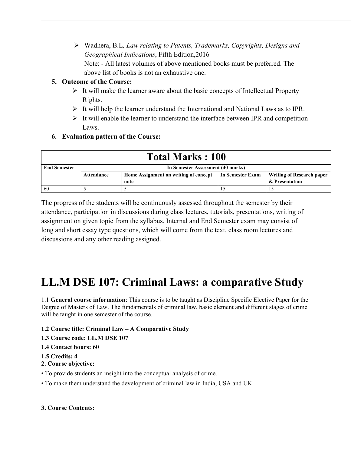Wadhera, B.L*, Law relating to Patents, Trademarks, Copyrights, Designs and Geographical Indications*, Fifth Edition,2016

Note: - All latest volumes of above mentioned books must be preferred. The above list of books is not an exhaustive one.

# **5. Outcome of the Course:**

- $\triangleright$  It will make the learner aware about the basic concepts of Intellectual Property Rights.
- $\triangleright$  It will help the learner understand the International and National Laws as to IPR.
- $\triangleright$  It will enable the learner to understand the interface between IPR and competition Laws.

# **6. Evaluation pattern of the Course:**

| <b>Total Marks: 100</b> |                                   |                                       |                  |                                  |  |  |
|-------------------------|-----------------------------------|---------------------------------------|------------------|----------------------------------|--|--|
| <b>End Semester</b>     | In Semester Assessment (40 marks) |                                       |                  |                                  |  |  |
|                         | Attendance                        | Home Assignment on writing of concept | In Semester Exam | <b>Writing of Research paper</b> |  |  |
|                         | & Presentation<br>note            |                                       |                  |                                  |  |  |
| 60                      |                                   |                                       |                  |                                  |  |  |

The progress of the students will be continuously assessed throughout the semester by their attendance, participation in discussions during class lectures, tutorials, presentations, writing of assignment on given topic from the syllabus. Internal and End Semester exam may consist of long and short essay type questions, which will come from the text, class room lectures and discussions and any other reading assigned.

# **LL.M DSE 107: Criminal Laws: a comparative Study**

1.1 **General course information**: This course is to be taught as Discipline Specific Elective Paper for the Degree of Masters of Law. The fundamentals of criminal law, basic element and different stages of crime will be taught in one semester of the course.

# **1.2 Course title: Criminal Law – A Comparative Study**

- **1.3 Course code: LL.M DSE 107**
- **1.4 Contact hours: 60**

### **1.5 Credits: 4**

- **2. Course objective:**
- To provide students an insight into the conceptual analysis of crime.
- To make them understand the development of criminal law in India, USA and UK.

### **3. Course Contents:**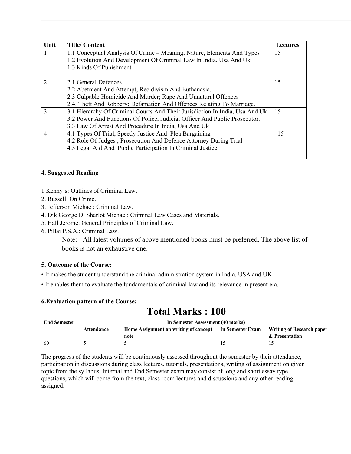| Unit                    | <b>Title/Content</b>                                                         | <b>Lectures</b> |
|-------------------------|------------------------------------------------------------------------------|-----------------|
| 1                       | 1.1 Conceptual Analysis Of Crime – Meaning, Nature, Elements And Types       | 15              |
|                         | 1.2 Evolution And Development Of Criminal Law In India, Usa And Uk           |                 |
|                         | 1.3 Kinds Of Punishment                                                      |                 |
|                         |                                                                              |                 |
| $\overline{\mathbf{c}}$ | 2.1 General Defences                                                         | 15              |
|                         | 2.2 Abetment And Attempt, Recidivism And Euthanasia.                         |                 |
|                         | 2.3 Culpable Homicide And Murder; Rape And Unnatural Offences                |                 |
|                         | 2.4. Theft And Robbery; Defamation And Offences Relating To Marriage.        |                 |
| 3                       | 3.1 Hierarchy Of Criminal Courts And Their Jurisdiction In India, Usa And Uk | 15              |
|                         | 3.2 Power And Functions Of Police, Judicial Officer And Public Prosecutor.   |                 |
|                         | 3.3 Law Of Arrest And Procedure In India, Usa And Uk                         |                 |
| 4                       | 4.1 Types Of Trial, Speedy Justice And Plea Bargaining                       | 15              |
|                         | 4.2 Role Of Judges, Prosecution And Defence Attorney During Trial            |                 |
|                         | 4.3 Legal Aid And Public Participation In Criminal Justice                   |                 |
|                         |                                                                              |                 |

### **4. Suggested Reading**

1 Kenny's: Outlines of Criminal Law.

- 2. Russell: On Crime.
- 3. Jefferson Michael: Criminal Law.
- 4. Dik George D. Sharlot Michael: Criminal Law Cases and Materials.
- 5. Hall Jerome: General Principles of Criminal Law.
- 6. Pillai P.S.A.: Criminal Law.

Note: - All latest volumes of above mentioned books must be preferred. The above list of books is not an exhaustive one.

#### **5. Outcome of the Course:**

- It makes the student understand the criminal administration system in India, USA and UK
- It enables them to evaluate the fundamentals of criminal law and its relevance in present era.

| <b>Total Marks: 100</b> |                                   |                                  |  |  |  |  |
|-------------------------|-----------------------------------|----------------------------------|--|--|--|--|
| <b>End Semester</b>     | In Semester Assessment (40 marks) |                                  |  |  |  |  |
|                         | <b>Attendance</b>                 | <b>Writing of Research paper</b> |  |  |  |  |
|                         | & Presentation<br>note            |                                  |  |  |  |  |
| -60                     |                                   |                                  |  |  |  |  |

#### **6.Evaluation pattern of the Course:**

The progress of the students will be continuously assessed throughout the semester by their attendance, participation in discussions during class lectures, tutorials, presentations, writing of assignment on given topic from the syllabus. Internal and End Semester exam may consist of long and short essay type questions, which will come from the text, class room lectures and discussions and any other reading assigned.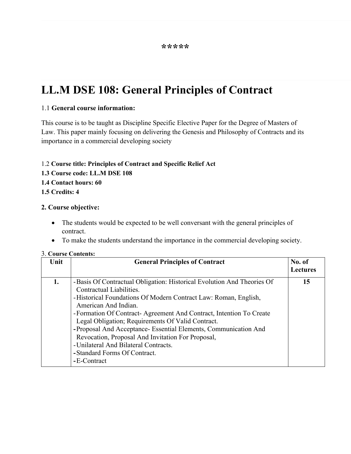# **LL.M DSE 108: General Principles of Contract**

# 1.1 **General course information:**

This course is to be taught as Discipline Specific Elective Paper for the Degree of Masters of Law. This paper mainly focusing on delivering the Genesis and Philosophy of Contracts and its importance in a commercial developing society

### 1.2 **Course title: Principles of Contract and Specific Relief Act**

**1.3 Course code: LL.M DSE 108**

### **1.4 Contact hours: 60**

**1.5 Credits: 4**

### **2. Course objective:**

- The students would be expected to be well conversant with the general principles of contract.
- To make the students understand the importance in the commercial developing society.

### 3. **Course Contents:**

| Unit | <b>General Principles of Contract</b>                                                                                                                                                                                                                                                                                                                                                                                                                                                                                                        | No. of<br><b>Lectures</b> |
|------|----------------------------------------------------------------------------------------------------------------------------------------------------------------------------------------------------------------------------------------------------------------------------------------------------------------------------------------------------------------------------------------------------------------------------------------------------------------------------------------------------------------------------------------------|---------------------------|
| 1.   | - Basis Of Contractual Obligation: Historical Evolution And Theories Of<br>Contractual Liabilities.<br>-Historical Foundations Of Modern Contract Law: Roman, English,<br>American And Indian.<br>- Formation Of Contract - Agreement And Contract, Intention To Create<br>Legal Obligation; Requirements Of Valid Contract.<br>-Proposal And Acceptance- Essential Elements, Communication And<br>Revocation, Proposal And Invitation For Proposal,<br>- Unilateral And Bilateral Contracts.<br>-Standard Forms Of Contract.<br>-E-Contract | 15                        |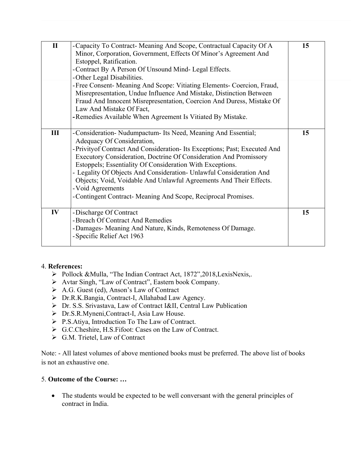| $\mathbf{I}$ | -Capacity To Contract-Meaning And Scope, Contractual Capacity Of A<br>Minor, Corporation, Government, Effects Of Minor's Agreement And<br>Estoppel, Ratification.<br>-Contract By A Person Of Unsound Mind- Legal Effects.<br>-Other Legal Disabilities.                                                                                                                                                                                                                                                                                      | 15 |
|--------------|-----------------------------------------------------------------------------------------------------------------------------------------------------------------------------------------------------------------------------------------------------------------------------------------------------------------------------------------------------------------------------------------------------------------------------------------------------------------------------------------------------------------------------------------------|----|
|              | - Free Consent- Meaning And Scope: Vitiating Elements- Coercion, Fraud,<br>Misrepresentation, Undue Influence And Mistake, Distinction Between<br>Fraud And Innocent Misrepresentation, Coercion And Duress, Mistake Of<br>Law And Mistake Of Fact,<br>-Remedies Available When Agreement Is Vitiated By Mistake.                                                                                                                                                                                                                             |    |
| III          | -Consideration-Nudumpactum-Its Need, Meaning And Essential;<br>Adequacy Of Consideration,<br>- Privityof Contract And Consideration- Its Exceptions; Past; Executed And<br>Executory Consideration, Doctrine Of Consideration And Promissory<br>Estoppels; Essentiality Of Consideration With Exceptions.<br>- Legality Of Objects And Consideration- Unlawful Consideration And<br>Objects; Void, Voidable And Unlawful Agreements And Their Effects.<br>- Void Agreements<br>- Contingent Contract- Meaning And Scope, Reciprocal Promises. | 15 |
| IV           | -Discharge Of Contract<br>-Breach Of Contract And Remedies<br>-Damages- Meaning And Nature, Kinds, Remoteness Of Damage.<br>-Specific Relief Act 1963                                                                                                                                                                                                                                                                                                                                                                                         | 15 |

# 4. **References:**

- Pollock &Mulla, "The Indian Contract Act, 1872", 2018, LexisNexis,.
- Avtar Singh, "Law of Contract", Eastern book Company.
- A.G. Guest (ed), Anson's Law of Contract
- Dr.R.K.Bangia, Contract-I, Allahabad Law Agency.
- Dr. S.S. Srivastava, Law of Contract I&II, Central Law Publication
- Dr.S.R.Myneni,Contract-I, Asia Law House.
- P.S.Atiya, Introduction To The Law of Contract.
- G.C.Cheshire, H.S.Fifoot: Cases on the Law of Contract.
- G.M. Trietel, Law of Contract

Note: - All latest volumes of above mentioned books must be preferred. The above list of books is not an exhaustive one.

# 5. **Outcome of the Course: …**

• The students would be expected to be well conversant with the general principles of contract in India.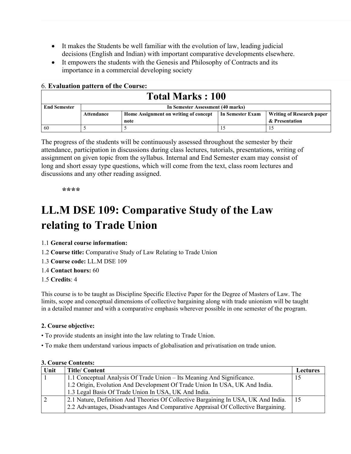- It makes the Students be well familiar with the evolution of law, leading judicial decisions (English and Indian) with important comparative developments elsewhere.
- It empowers the students with the Genesis and Philosophy of Contracts and its importance in a commercial developing society

| <b>b. Evaluation pattern of the Course:</b> |                                                                                                      |  |  |  |  |  |
|---------------------------------------------|------------------------------------------------------------------------------------------------------|--|--|--|--|--|
| <b>Total Marks: 100</b>                     |                                                                                                      |  |  |  |  |  |
| <b>End Semester</b>                         | In Semester Assessment (40 marks)                                                                    |  |  |  |  |  |
|                                             | In Semester Exam<br>Writing of Research paper<br>Home Assignment on writing of concept<br>Attendance |  |  |  |  |  |
|                                             | & Presentation<br>note                                                                               |  |  |  |  |  |
| 60                                          |                                                                                                      |  |  |  |  |  |

The progress of the students will be continuously assessed throughout the semester by their attendance, participation in discussions during class lectures, tutorials, presentations, writing of assignment on given topic from the syllabus. Internal and End Semester exam may consist of long and short essay type questions, which will come from the text, class room lectures and discussions and any other reading assigned.

**\*\*\*\***

# **LL.M DSE 109: Comparative Study of the Law relating to Trade Union**

1.1 **General course information:**

6. **Evaluation pattern of the Course:**

- 1.2 **Course title:** Comparative Study of Law Relating to Trade Union
- 1.3 **Course code:** LL.M DSE 109
- 1.4 **Contact hours:** 60
- 1.5 **Credits**: 4

This course is to be taught as Discipline Specific Elective Paper for the Degree of Masters of Law. The limits, scope and conceptual dimensions of collective bargaining along with trade unionism will be taught in a detailed manner and with a comparative emphasis wherever possible in one semester of the program.

### **2. Course objective:**

- To provide students an insight into the law relating to Trade Union.
- To make them understand various impacts of globalisation and privatisation on trade union.

| Unit | Title/ Content                                                                     | Lectures |
|------|------------------------------------------------------------------------------------|----------|
|      | 1.1 Conceptual Analysis Of Trade Union – Its Meaning And Significance.             |          |
|      | 1.2 Origin, Evolution And Development Of Trade Union In USA, UK And India.         |          |
|      | 1.3 Legal Basis Of Trade Union In USA, UK And India.                               |          |
|      | 2.1 Nature, Definition And Theories Of Collective Bargaining In USA, UK And India. | 15       |
|      | 2.2 Advantages, Disadvantages And Comparative Appraisal Of Collective Bargaining.  |          |

### **3. Course Contents:**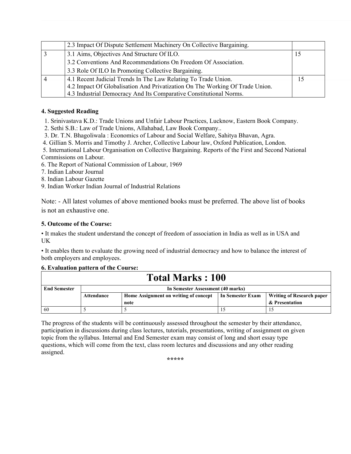| 2.3 Impact Of Dispute Settlement Machinery On Collective Bargaining.         |     |
|------------------------------------------------------------------------------|-----|
| 3.1 Aims, Objectives And Structure Of ILO.                                   | 15  |
| 3.2 Conventions And Recommendations On Freedom Of Association.               |     |
| 3.3 Role Of ILO In Promoting Collective Bargaining.                          |     |
| 4.1 Recent Judicial Trends In The Law Relating To Trade Union.               | כ ו |
| 4.2 Impact Of Globalisation And Privatization On The Working Of Trade Union. |     |
| 4.3 Industrial Democracy And Its Comparative Constitutional Norms.           |     |

### **4. Suggested Reading**

1. Srinivastava K.D.: Trade Unions and Unfair Labour Practices, Lucknow, Eastern Book Company.

2. Sethi S.B.: Law of Trade Unions, Allahabad, Law Book Company..

3. Dr. T.N. Bhagoliwala : Economics of Labour and Social Welfare, Sahitya Bhavan, Agra.

4. Gillian S. Morris and Timothy J. Archer, Collective Labour law, Oxford Publication, London.

 5. International Labour Organisation on Collective Bargaining. Reports of the First and Second National Commissions on Labour.

6. The Report of National Commission of Labour, 1969

7. Indian Labour Journal

8. Indian Labour Gazette

9. Indian Worker Indian Journal of Industrial Relations

Note: - All latest volumes of above mentioned books must be preferred. The above list of books is not an exhaustive one.

### **5. Outcome of the Course:**

• It makes the student understand the concept of freedom of association in India as well as in USA and UK

• It enables them to evaluate the growing need of industrial democracy and how to balance the interest of both employers and employees.

#### **6. Evaluation pattern of the Course:**

| <b>Total Marks: 100</b> |                                   |                                       |                  |                                  |  |  |  |  |
|-------------------------|-----------------------------------|---------------------------------------|------------------|----------------------------------|--|--|--|--|
| <b>End Semester</b>     | In Semester Assessment (40 marks) |                                       |                  |                                  |  |  |  |  |
|                         | Attendance                        | Home Assignment on writing of concept | In Semester Exam | <b>Writing of Research paper</b> |  |  |  |  |
|                         |                                   | note                                  |                  | & Presentation                   |  |  |  |  |
| 60                      |                                   |                                       |                  |                                  |  |  |  |  |

The progress of the students will be continuously assessed throughout the semester by their attendance, participation in discussions during class lectures, tutorials, presentations, writing of assignment on given topic from the syllabus. Internal and End Semester exam may consist of long and short essay type questions, which will come from the text, class room lectures and discussions and any other reading assigned.

**\*\*\*\*\***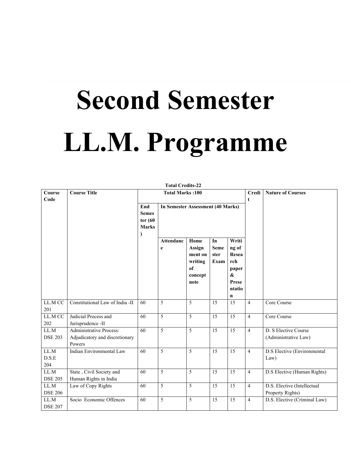# **Second Semester LL.M. Programme**

| Course                 | <b>Course Title</b>                                                        |                                                        | <b>Total Marks:100</b>            |                                                                          |                                   |                                                                                      | Credi          | <b>Nature of Courses</b>                        |
|------------------------|----------------------------------------------------------------------------|--------------------------------------------------------|-----------------------------------|--------------------------------------------------------------------------|-----------------------------------|--------------------------------------------------------------------------------------|----------------|-------------------------------------------------|
| Code                   |                                                                            | End<br><b>Semes</b><br>ter $(60)$<br><b>Marks</b><br>⟩ | In Semester Assessment (40 Marks) |                                                                          |                                   |                                                                                      | t              |                                                 |
|                        |                                                                            |                                                        | <b>Attendanc</b><br>e             | Home<br>Assign<br>ment on<br>writing<br><sub>of</sub><br>concept<br>note | In<br><b>Seme</b><br>ster<br>Exam | Writi<br>ng of<br>Resea<br>rch<br>paper<br>$\boldsymbol{\&}$<br>Prese<br>ntatio<br>n |                |                                                 |
| LL.M CC<br>201         | Constitutional Law of India -II                                            | 60                                                     | 5                                 | 5                                                                        | 15                                | 15                                                                                   | $\overline{4}$ | Core Course                                     |
| LL.M CC<br>202         | Judicial Process and<br>Jurisprudence -II                                  | 60                                                     | $\overline{5}$                    | $\overline{5}$                                                           | $\overline{15}$                   | 15                                                                                   | $\overline{4}$ | Core Course                                     |
| LL.M<br><b>DSE 203</b> | <b>Administrative Process:</b><br>Adjudicatory and discretionary<br>Powers | 60                                                     | $\overline{5}$                    | $\overline{5}$                                                           | 15                                | 15                                                                                   | $\overline{4}$ | D. S Elective Course<br>(Administrative Law)    |
| LL.M<br>D.S.E<br>204   | <b>Indian Environmental Law</b>                                            | 60                                                     | 5                                 | 5                                                                        | 15                                | 15                                                                                   | $\overline{4}$ | D.S Elective (Environmental<br>Law)             |
| LL.M<br><b>DSE 205</b> | State, Civil Society and<br>Human Rights in India                          | 60                                                     | 5                                 | 5                                                                        | 15                                | 15                                                                                   | $\overline{4}$ | D.S Elective (Human Rights)                     |
| LL.M<br><b>DSE 206</b> | Law of Copy Rights                                                         | 60                                                     | 5                                 | 5                                                                        | 15                                | 15                                                                                   | $\overline{4}$ | D.S. Elective (Intellectual<br>Property Rights) |
| LL.M<br><b>DSE 207</b> | Socio Economic Offences                                                    | 60                                                     | $\overline{5}$                    | 5                                                                        | 15                                | 15                                                                                   | $\overline{4}$ | D.S. Elective (Criminal Law)                    |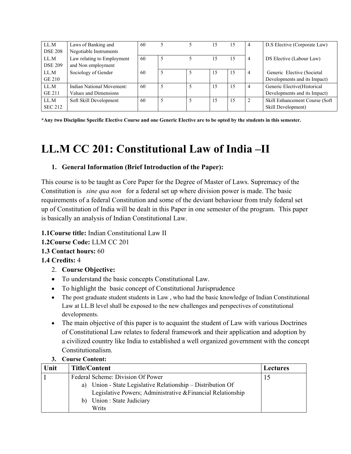| LL.M           | Laws of Banking and        | 60 |   | 15 | 15 | 4              | D.S Elective (Corporate Law)    |
|----------------|----------------------------|----|---|----|----|----------------|---------------------------------|
| <b>DSE 208</b> | Negotiable Instruments     |    |   |    |    |                |                                 |
| LL.M           | Law relating to Employment | 60 | 5 | 15 | 15 | 4              | DS Elective (Labour Law)        |
| <b>DSE 209</b> | and Non employment         |    |   |    |    |                |                                 |
| LL.M           | Sociology of Gender        | 60 |   | 15 | 15 | 4              | Generic Elective (Societal      |
| GE 210         |                            |    |   |    |    |                | Developments and its Impact)    |
| LL.M           | Indian National Movement:  | 60 |   | 15 | 15 | $\overline{4}$ | Generic Elective (Historical    |
| <b>GE 211</b>  | Values and Dimensions      |    |   |    |    |                | Developments and its Impact)    |
| LL.M           | Soft Skill Development     | 60 |   | 15 | 15 | 2              | Skill Enhancement Course (Soft) |
| <b>SEC 212</b> |                            |    |   |    |    |                | Skill Development)              |

**\*Any two Discipline Specific Elective Course and one Generic Elective are to be opted by the students in this semester.**

# **LL.M CC 201: Constitutional Law of India –II**

# **1. General Information (Brief Introduction of the Paper):**

This course is to be taught as Core Paper for the Degree of Master of Laws. Supremacy of the Constitution is *sine qua non* for a federal set up where division power is made. The basic requirements of a federal Constitution and some of the deviant behaviour from truly federal set up of Constitution of India will be dealt in this Paper in one semester of the program. This paper is basically an analysis of Indian Constitutional Law.

# **1.1Course title:** Indian Constitutional Law II

# **1.2Course Code:** LLM CC 201

# **1.3 Contact hours:** 60

# **1.4 Credits:** 4

- 2. **Course Objective:**
- To understand the basic concepts Constitutional Law.
- To highlight the basic concept of Constitutional Jurisprudence
- The post graduate student students in Law, who had the basic knowledge of Indian Constitutional Law at LL.B level shall be exposed to the new challenges and perspectives of constitutional developments.
- The main objective of this paper is to acquaint the student of Law with various Doctrines of Constitutional Law relates to federal framework and their application and adoption by a civilized country like India to established a well organized government with the concept Constitutionalism.

| Unit | <b>Title/Content</b>                                           | <b>Lectures</b> |
|------|----------------------------------------------------------------|-----------------|
|      | Federal Scheme: Division Of Power                              |                 |
|      | Union - State Legislative Relationship – Distribution Of<br>a) |                 |
|      | Legislative Powers; Administrative & Financial Relationship    |                 |
|      | Union : State Judiciary<br>b)                                  |                 |
|      | Writs                                                          |                 |

### **3. Course Content:**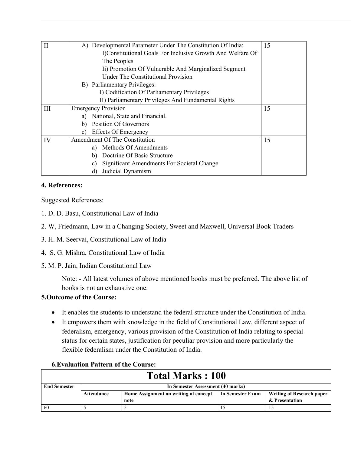|    | A) Developmental Parameter Under The Constitution Of India: | 15 |
|----|-------------------------------------------------------------|----|
|    | I)Constitutional Goals For Inclusive Growth And Welfare Of  |    |
|    | The Peoples                                                 |    |
|    | Ii) Promotion Of Vulnerable And Marginalized Segment        |    |
|    | Under The Constitutional Provision                          |    |
|    | B) Parliamentary Privileges:                                |    |
|    | I) Codification Of Parliamentary Privileges                 |    |
|    | II) Parliamentary Privileges And Fundamental Rights         |    |
| Ш  | <b>Emergency Provision</b>                                  | 15 |
|    | National, State and Financial.<br>a)                        |    |
|    | Position Of Governors<br>b)                                 |    |
|    | <b>Effects Of Emergency</b><br>c)                           |    |
| IV | Amendment Of The Constitution                               | 15 |
|    | Methods Of Amendments<br>a)                                 |    |
|    | Doctrine Of Basic Structure<br>b)                           |    |
|    | Significant Amendments For Societal Change<br>C)            |    |
|    | Judicial Dynamism<br>d)                                     |    |

### **4. References:**

Suggested References:

- 1. D. D. Basu, Constitutional Law of India
- 2. W, Friedmann, Law in a Changing Society, Sweet and Maxwell, Universal Book Traders
- 3. H. M. Seervai, Constitutional Law of India
- 4. S. G. Mishra, Constitutional Law of India
- 5. M. P. Jain, Indian Constitutional Law

Note: - All latest volumes of above mentioned books must be preferred. The above list of books is not an exhaustive one.

# **5.Outcome of the Course:**

Г

- It enables the students to understand the federal structure under the Constitution of India.
- It empowers them with knowledge in the field of Constitutional Law, different aspect of federalism, emergency, various provision of the Constitution of India relating to special status for certain states, justification for peculiar provision and more particularly the flexible federalism under the Constitution of India.

### **6.Evaluation Pattern of the Course:**

| <b>Total Marks: 100</b> |                                   |                                       |                  |                                  |  |  |  |  |
|-------------------------|-----------------------------------|---------------------------------------|------------------|----------------------------------|--|--|--|--|
| <b>End Semester</b>     | In Semester Assessment (40 marks) |                                       |                  |                                  |  |  |  |  |
|                         | Attendance                        | Home Assignment on writing of concept | In Semester Exam | <b>Writing of Research paper</b> |  |  |  |  |
|                         |                                   | note                                  |                  | & Presentation                   |  |  |  |  |
| 60                      |                                   |                                       |                  |                                  |  |  |  |  |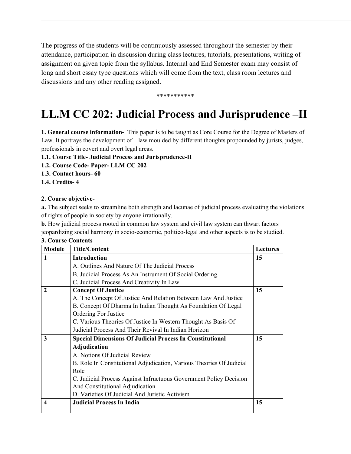The progress of the students will be continuously assessed throughout the semester by their attendance, participation in discussion during class lectures, tutorials, presentations, writing of assignment on given topic from the syllabus. Internal and End Semester exam may consist of long and short essay type questions which will come from the text, class room lectures and discussions and any other reading assigned.

#### \*\*\*\*\*\*\*\*\*\*\*

# **LL.M CC 202: Judicial Process and Jurisprudence –II**

**1. General course information-** This paper is to be taught as Core Course for the Degree of Masters of Law. It portrays the development of law moulded by different thoughts propounded by jurists, judges, professionals in covert and overt legal areas.

**1.1. Course Title- Judicial Process and Jurisprudence-II**

- **1.2. Course Code- Paper- LLM CC 202**
- **1.3. Contact hours- 60**
- **1.4. Credits- 4**

### **2. Course objective-**

**a.** The subject seeks to streamline both strength and lacunae of judicial process evaluating the violations of rights of people in society by anyone irrationally.

**b.** How judicial process rooted in common law system and civil law system can thwart factors jeopardizing social harmony in socio-economic, politico-legal and other aspects is to be studied.

| <b>Module</b> | <b>Title/Content</b>                                                 | Lectures |  |  |  |  |
|---------------|----------------------------------------------------------------------|----------|--|--|--|--|
| $\mathbf{1}$  | <b>Introduction</b>                                                  |          |  |  |  |  |
|               | A. Outlines And Nature Of The Judicial Process                       |          |  |  |  |  |
|               | B. Judicial Process As An Instrument Of Social Ordering.             |          |  |  |  |  |
|               | C. Judicial Process And Creativity In Law                            |          |  |  |  |  |
| $\mathbf{2}$  | <b>Concept Of Justice</b>                                            | 15       |  |  |  |  |
|               | A. The Concept Of Justice And Relation Between Law And Justice       |          |  |  |  |  |
|               | B. Concept Of Dharma In Indian Thought As Foundation Of Legal        |          |  |  |  |  |
|               | Ordering For Justice                                                 |          |  |  |  |  |
|               | C. Various Theories Of Justice In Western Thought As Basis Of        |          |  |  |  |  |
|               | Judicial Process And Their Revival In Indian Horizon                 |          |  |  |  |  |
| 3             | <b>Special Dimensions Of Judicial Process In Constitutional</b>      | 15       |  |  |  |  |
|               | Adjudication                                                         |          |  |  |  |  |
|               | A. Notions Of Judicial Review                                        |          |  |  |  |  |
|               | B. Role In Constitutional Adjudication, Various Theories Of Judicial |          |  |  |  |  |
|               | Role                                                                 |          |  |  |  |  |
|               | C. Judicial Process Against Infructuous Government Policy Decision   |          |  |  |  |  |
|               | And Constitutional Adjudication                                      |          |  |  |  |  |
|               | D. Varieties Of Judicial And Juristic Activism                       |          |  |  |  |  |
| 4             | <b>Judicial Process In India</b>                                     | 15       |  |  |  |  |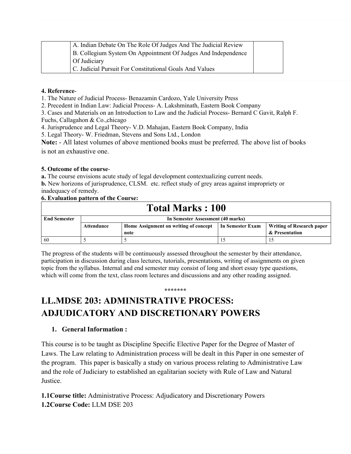|              | A. Indian Debate On The Role Of Judges And The Judicial Review |
|--------------|----------------------------------------------------------------|
|              | B. Collegium System On Appointment Of Judges And Independence  |
| Of Judiciary |                                                                |
|              | C. Judicial Pursuit For Constitutional Goals And Values        |

#### **4. Reference**-

1. The Nature of Judicial Process- Benazamin Cardozo, Yale University Press

2. Precedent in Indian Law: Judicial Process- A. Lakshminath, Eastern Book Company

3. Cases and Materials on an Introduction to Law and the Judicial Process- Bernard C Gavit, Ralph F.

Fuchs, Callagahon & Co.,chicago

4. Jurisprudence and Legal Theory- V.D. Mahajan, Eastern Book Company, India

5. Legal Theory- W. Friedman, Stevens and Sons Ltd., London

**Note:** - All latest volumes of above mentioned books must be preferred. The above list of books is not an exhaustive one.

### **5. Outcome of the course**-

**a.** The course envisions acute study of legal development contextualizing current needs.

**b.** New horizons of jurisprudence, CLSM. etc. reflect study of grey areas against impropriety or inadequacy of remedy.

# **6. Evaluation pattern of the Course:**

| <b>Total Marks: 100</b> |                                   |                                       |                  |                                  |  |  |  |  |
|-------------------------|-----------------------------------|---------------------------------------|------------------|----------------------------------|--|--|--|--|
| <b>End Semester</b>     | In Semester Assessment (40 marks) |                                       |                  |                                  |  |  |  |  |
|                         | Attendance                        | Home Assignment on writing of concept | In Semester Exam | <b>Writing of Research paper</b> |  |  |  |  |
|                         |                                   | note                                  |                  | & Presentation                   |  |  |  |  |
| 60                      |                                   |                                       |                  |                                  |  |  |  |  |

The progress of the students will be continuously assessed throughout the semester by their attendance, participation in discussion during class lectures, tutorials, presentations, writing of assignments on given topic from the syllabus. Internal and end semester may consist of long and short essay type questions, which will come from the text, class room lectures and discussions and any other reading assigned.

#### **\*\*\*\*\*\*\***

# **LL.MDSE 203: ADMINISTRATIVE PROCESS: ADJUDICATORY AND DISCRETIONARY POWERS**

### **1. General Information :**

This course is to be taught as Discipline Specific Elective Paper for the Degree of Master of Laws. The Law relating to Administration process will be dealt in this Paper in one semester of the program. This paper is basically a study on various process relating to Administrative Law and the role of Judiciary to established an egalitarian society with Rule of Law and Natural Justice.

**1.1Course title:** Administrative Process: Adjudicatory and Discretionary Powers **1.2Course Code:** LLM DSE 203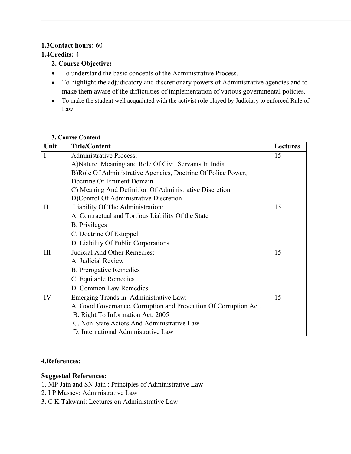# **1.3Contact hours:** 60

# **1.4Credits:** 4

- **2. Course Objective:**
- To understand the basic concepts of the Administrative Process.
- To highlight the adjudicatory and discretionary powers of Administrative agencies and to make them aware of the difficulties of implementation of various governmental policies.
- To make the student well acquainted with the activist role played by Judiciary to enforced Rule of Law.

### **3. Course Content**

| Unit         | <b>Title/Content</b>                                             | <b>Lectures</b> |
|--------------|------------------------------------------------------------------|-----------------|
| I            | <b>Administrative Process:</b>                                   | 15              |
|              | A)Nature , Meaning and Role Of Civil Servants In India           |                 |
|              | B)Role Of Administrative Agencies, Doctrine Of Police Power,     |                 |
|              | Doctrine Of Eminent Domain                                       |                 |
|              | C) Meaning And Definition Of Administrative Discretion           |                 |
|              | D)Control Of Administrative Discretion                           |                 |
| $\mathbf{I}$ | Liability Of The Administration:                                 | 15              |
|              | A. Contractual and Tortious Liability Of the State               |                 |
|              | <b>B.</b> Privileges                                             |                 |
|              | C. Doctrine Of Estoppel                                          |                 |
|              | D. Liability Of Public Corporations                              |                 |
| III          | Judicial And Other Remedies:                                     | 15              |
|              | A. Judicial Review                                               |                 |
|              | <b>B.</b> Prerogative Remedies                                   |                 |
|              | C. Equitable Remedies                                            |                 |
|              | D. Common Law Remedies                                           |                 |
| IV           | Emerging Trends in Administrative Law:                           | 15              |
|              | A. Good Governance, Corruption and Prevention Of Corruption Act. |                 |
|              | B. Right To Information Act, 2005                                |                 |
|              | C. Non-State Actors And Administrative Law                       |                 |
|              | D. International Administrative Law                              |                 |

# **4.References:**

# **Suggested References:**

- 1. MP Jain and SN Jain : Principles of Administrative Law
- 2. I P Massey: Administrative Law
- 3. C K Takwani: Lectures on Administrative Law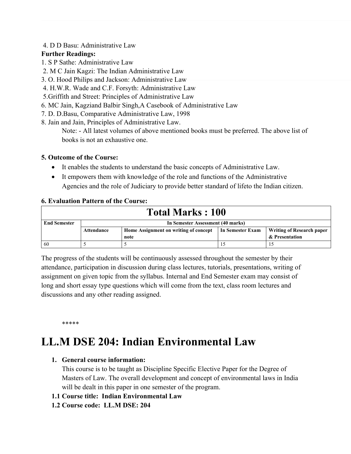### 4. D D Basu: Administrative Law

# **Further Readings:**

- 1. S P Sathe: Administrative Law
- 2. M C Jain Kagzi: The Indian Administrative Law
- 3. O. Hood Philips and Jackson: Administrative Law
- 4. H.W.R. Wade and C.F. Forsyth: Administrative Law
- 5.Griffith and Street: Principles of Administrative Law
- 6. MC Jain, Kagziand Balbir Singh,A Casebook of Administrative Law
- 7. D. D.Basu, Comparative Administrative Law, 1998
- 8. Jain and Jain, Principles of Administrative Law.

Note: - All latest volumes of above mentioned books must be preferred. The above list of books is not an exhaustive one.

# **5. Outcome of the Course:**

- It enables the students to understand the basic concepts of Administrative Law.
- It empowers them with knowledge of the role and functions of the Administrative Agencies and the role of Judiciary to provide better standard of lifeto the Indian citizen.

# **6. Evaluation Pattern of the Course:**

| <b>Total Marks : 100</b> |                                   |                                       |                  |                                  |
|--------------------------|-----------------------------------|---------------------------------------|------------------|----------------------------------|
| <b>End Semester</b>      | In Semester Assessment (40 marks) |                                       |                  |                                  |
|                          | Attendance                        | Home Assignment on writing of concept | In Semester Exam | <b>Writing of Research paper</b> |
|                          |                                   | note                                  |                  | & Presentation                   |
| -60                      |                                   |                                       |                  |                                  |

The progress of the students will be continuously assessed throughout the semester by their attendance, participation in discussion during class lectures, tutorials, presentations, writing of assignment on given topic from the syllabus. Internal and End Semester exam may consist of long and short essay type questions which will come from the text, class room lectures and discussions and any other reading assigned.

\*\*\*\*\*

# **LL.M DSE 204: Indian Environmental Law**

# **1. General course information:**

This course is to be taught as Discipline Specific Elective Paper for the Degree of Masters of Law. The overall development and concept of environmental laws in India will be dealt in this paper in one semester of the program.

# **1.1 Course title: Indian Environmental Law**

# **1.2 Course code: LL.M DSE: 204**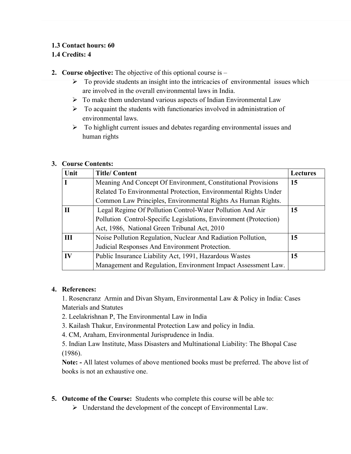# **1.3 Contact hours: 60**

# **1.4 Credits: 4**

**2. Course objective:** The objective of this optional course is –

- $\triangleright$  To provide students an insight into the intricacies of environmental issues which are involved in the overall environmental laws in India.
- $\triangleright$  To make them understand various aspects of Indian Environmental Law
- $\triangleright$  To acquaint the students with functionaries involved in administration of environmental laws.
- $\triangleright$  To highlight current issues and debates regarding environmental issues and human rights

### **3. Course Contents:**

| Unit         | <b>Title/Content</b>                                              | <b>Lectures</b> |
|--------------|-------------------------------------------------------------------|-----------------|
|              | Meaning And Concept Of Environment, Constitutional Provisions     | 15              |
|              | Related To Environmental Protection, Environmental Rights Under   |                 |
|              | Common Law Principles, Environmental Rights As Human Rights.      |                 |
| $\mathbf{H}$ | Legal Regime Of Pollution Control-Water Pollution And Air         | 15              |
|              | Pollution Control-Specific Legislations, Environment (Protection) |                 |
|              | Act, 1986, National Green Tribunal Act, 2010                      |                 |
| Ш            | Noise Pollution Regulation, Nuclear And Radiation Pollution,      | 15              |
|              | Judicial Responses And Environment Protection.                    |                 |
| $\bf{IV}$    | Public Insurance Liability Act, 1991, Hazardous Wastes            | 15              |
|              | Management and Regulation, Environment Impact Assessment Law.     |                 |

### **4. References:**

1. Rosencranz Armin and Divan Shyam, Environmental Law & Policy in India: Cases Materials and Statutes

- 2. Leelakrishnan P, The Environmental Law in India
- 3. Kailash Thakur, Environmental Protection Law and policy in India.
- 4. CM, Araham, Environmental Jurisprudence in India.

5. Indian Law Institute, Mass Disasters and Multinational Liability: The Bhopal Case (1986).

**Note: -** All latest volumes of above mentioned books must be preferred. The above list of books is not an exhaustive one.

- **5. Outcome of the Course:** Students who complete this course will be able to:
	- Understand the development of the concept of Environmental Law.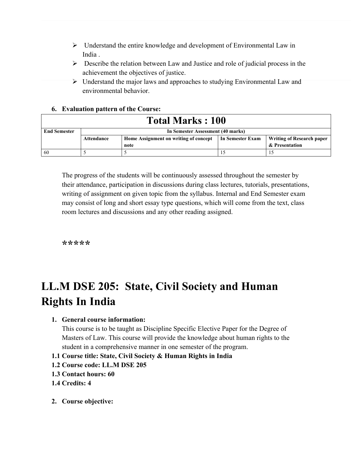- $\triangleright$  Understand the entire knowledge and development of Environmental Law in India .
- $\triangleright$  Describe the relation between Law and Justice and role of judicial process in the achievement the objectives of justice.
- Understand the major laws and approaches to studying Environmental Law and environmental behavior.

### **6. Evaluation pattern of the Course:**

| <b>Total Marks : 100</b> |                                   |                                       |                  |                                  |
|--------------------------|-----------------------------------|---------------------------------------|------------------|----------------------------------|
| <b>End Semester</b>      | In Semester Assessment (40 marks) |                                       |                  |                                  |
|                          | Attendance                        | Home Assignment on writing of concept | In Semester Exam | <b>Writing of Research paper</b> |
|                          |                                   | note                                  |                  | & Presentation                   |
| 60                       |                                   |                                       |                  |                                  |

The progress of the students will be continuously assessed throughout the semester by their attendance, participation in discussions during class lectures, tutorials, presentations, writing of assignment on given topic from the syllabus. Internal and End Semester exam may consist of long and short essay type questions, which will come from the text, class room lectures and discussions and any other reading assigned.

**\*\*\*\*\***

# **LL.M DSE 205: State, Civil Society and Human Rights In India**

### **1. General course information:**

This course is to be taught as Discipline Specific Elective Paper for the Degree of Masters of Law. This course will provide the knowledge about human rights to the student in a comprehensive manner in one semester of the program.

- **1.1 Course title: State, Civil Society & Human Rights in India**
- **1.2 Course code: LL.M DSE 205**
- **1.3 Contact hours: 60**
- **1.4 Credits: 4**
- **2. Course objective:**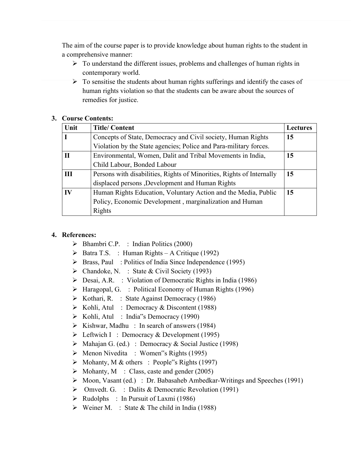The aim of the course paper is to provide knowledge about human rights to the student in a comprehensive manner:

- $\triangleright$  To understand the different issues, problems and challenges of human rights in contemporary world.
- $\triangleright$  To sensitise the students about human rights sufferings and identify the cases of human rights violation so that the students can be aware about the sources of remedies for justice.

### **3. Course Contents:**

| Unit         | <b>Title/Content</b>                                                  | <b>Lectures</b> |
|--------------|-----------------------------------------------------------------------|-----------------|
| $\mathbf I$  | Concepts of State, Democracy and Civil society, Human Rights          | 15              |
|              | Violation by the State agencies; Police and Para-military forces.     |                 |
| $\mathbf{H}$ | Environmental, Women, Dalit and Tribal Movements in India,            | 15              |
|              | Child Labour, Bonded Labour                                           |                 |
| III          | Persons with disabilities, Rights of Minorities, Rights of Internally | 15              |
|              | displaced persons , Development and Human Rights                      |                 |
| IV           | Human Rights Education, Voluntary Action and the Media, Public        | 15              |
|              | Policy, Economic Development, marginalization and Human               |                 |
|              | Rights                                                                |                 |

### **4. References:**

- $\triangleright$  Bhambri C.P. : Indian Politics (2000)
- $\triangleright$  Batra T.S. : Human Rights A Critique (1992)
- $\triangleright$  Brass, Paul: Politics of India Since Independence (1995)
- $\triangleright$  Chandoke, N. : State & Civil Society (1993)
- Desai, A.R. : Violation of Democratic Rights in India (1986)
- $\triangleright$  Haragopal, G. : Political Economy of Human Rights (1996)
- $\triangleright$  Kothari, R. : State Against Democracy (1986)
- $\triangleright$  Kohli, Atul : Democracy & Discontent (1988)
- Kohli, Atul : India"s Democracy (1990)
- $\triangleright$  Kishwar, Madhu : In search of answers (1984)
- $\triangleright$  Leftwich I : Democracy & Development (1995)
- $\triangleright$  Mahajan G. (ed.) : Democracy & Social Justice (1998)
- $\triangleright$  Menon Nivedita : Women"s Rights (1995)
- $\triangleright$  Mohanty, M & others : People"s Rights (1997)
- $\triangleright$  Mohanty, M : Class, caste and gender (2005)
- Moon, Vasant (ed.) : Dr. Babasaheb Ambedkar-Writings and Speeches (1991)
- Omvedt. G. : Dalits & Democratic Revolution (1991)
- $\triangleright$  Rudolphs : In Pursuit of Laxmi (1986)
- $\triangleright$  Weiner M. : State & The child in India (1988)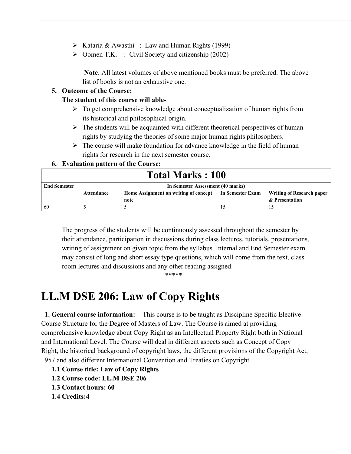- $\triangleright$  Kataria & Awasthi : Law and Human Rights (1999)
- $\triangleright$  Oomen T.K. : Civil Society and citizenship (2002)

**Note**: All latest volumes of above mentioned books must be preferred. The above list of books is not an exhaustive one.

### **5. Outcome of the Course:**

### **The student of this course will able-**

- $\triangleright$  To get comprehensive knowledge about conceptualization of human rights from its historical and philosophical origin.
- $\triangleright$  The students will be acquainted with different theoretical perspectives of human rights by studying the theories of some major human rights philosophers.
- $\triangleright$  The course will make foundation for advance knowledge in the field of human rights for research in the next semester course.

### **6. Evaluation pattern of the Course:**

| <b>Total Marks: 100</b> |                                   |                                       |                  |                                  |
|-------------------------|-----------------------------------|---------------------------------------|------------------|----------------------------------|
| <b>End Semester</b>     | In Semester Assessment (40 marks) |                                       |                  |                                  |
|                         | Attendance                        | Home Assignment on writing of concept | In Semester Exam | <b>Writing of Research paper</b> |
|                         |                                   | note                                  |                  | & Presentation                   |
| 60                      |                                   |                                       |                  |                                  |

The progress of the students will be continuously assessed throughout the semester by their attendance, participation in discussions during class lectures, tutorials, presentations, writing of assignment on given topic from the syllabus. Internal and End Semester exam may consist of long and short essay type questions, which will come from the text, class room lectures and discussions and any other reading assigned.

#### \*\*\*\*\*

# **LL.M DSE 206: Law of Copy Rights**

 **1. General course information:** This course is to be taught as Discipline Specific Elective Course Structure for the Degree of Masters of Law. The Course is aimed at providing comprehensive knowledge about Copy Right as an Intellectual Property Right both in National and International Level. The Course will deal in different aspects such as Concept of Copy Right, the historical background of copyright laws, the different provisions of the Copyright Act, 1957 and also different International Convention and Treaties on Copyright.

- **1.1 Course title: Law of Copy Rights**
- **1.2 Course code: LL.M DSE 206**
- **1.3 Contact hours: 60**
- **1.4 Credits:4**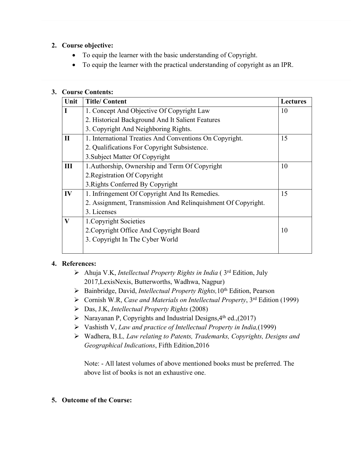### **2. Course objective:**

- To equip the learner with the basic understanding of Copyright.
- To equip the learner with the practical understanding of copyright as an IPR.

### **3. Course Contents:**

| Unit         | <b>Title/Content</b>                                         | <b>Lectures</b> |
|--------------|--------------------------------------------------------------|-----------------|
| L            | 1. Concept And Objective Of Copyright Law                    | 10              |
|              | 2. Historical Background And It Salient Features             |                 |
|              | 3. Copyright And Neighboring Rights.                         |                 |
| $\mathbf{I}$ | 1. International Treaties And Conventions On Copyright.      | 15              |
|              | 2. Qualifications For Copyright Subsistence.                 |                 |
|              | 3. Subject Matter Of Copyright                               |                 |
| Ш            | 1. Authorship, Ownership and Term Of Copyright               | 10              |
|              | 2. Registration Of Copyright                                 |                 |
|              | 3. Rights Conferred By Copyright                             |                 |
| IV           | 1. Infringement Of Copyright And Its Remedies.               | 15              |
|              | 2. Assignment, Transmission And Relinquishment Of Copyright. |                 |
|              | 3. Licenses                                                  |                 |
| V            | 1. Copyright Societies                                       |                 |
|              | 2. Copyright Office And Copyright Board                      | 10              |
|              | 3. Copyright In The Cyber World                              |                 |
|              |                                                              |                 |

# **4. References:**

- Ahuja V.K, *Intellectual Property Rights in India* ( 3rd Edition, July 2017,LexisNexis, Butterworths, Wadhwa, Nagpur)
- Bainbridge, David, *Intellectual Property Rights,*10th Edition, Pearson
- Cornish W.R, *Case and Materials on Intellectual Property*, 3rd Edition (1999)
- Das, J.K, *Intellectual Property Rights* (2008)
- $\triangleright$  Narayanan P, Copyrights and Industrial Designs, 4<sup>th</sup> ed., (2017)
- Vashisth V, *Law and practice of Intellectual Property in India,*(1999)
- Wadhera, B.L*, Law relating to Patents, Trademarks, Copyrights, Designs and Geographical Indications*, Fifth Edition,2016

Note: - All latest volumes of above mentioned books must be preferred. The above list of books is not an exhaustive one.

### **5. Outcome of the Course:**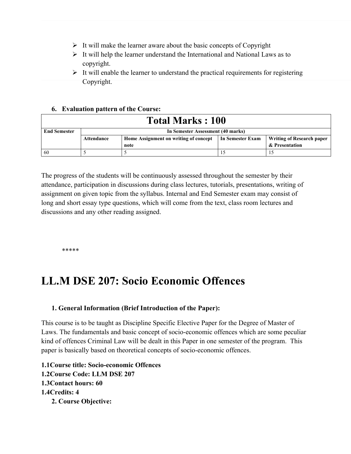- $\triangleright$  It will make the learner aware about the basic concepts of Copyright
- $\triangleright$  It will help the learner understand the International and National Laws as to copyright.
- $\triangleright$  It will enable the learner to understand the practical requirements for registering Copyright.

### **6. Evaluation pattern of the Course:**

| <b>Total Marks : 100</b> |                                   |                                       |                  |                                  |
|--------------------------|-----------------------------------|---------------------------------------|------------------|----------------------------------|
| <b>End Semester</b>      | In Semester Assessment (40 marks) |                                       |                  |                                  |
|                          | Attendance                        | Home Assignment on writing of concept | In Semester Exam | <b>Writing of Research paper</b> |
|                          |                                   | note                                  |                  | & Presentation                   |
| -60                      |                                   |                                       |                  |                                  |

The progress of the students will be continuously assessed throughout the semester by their attendance, participation in discussions during class lectures, tutorials, presentations, writing of assignment on given topic from the syllabus. Internal and End Semester exam may consist of long and short essay type questions, which will come from the text, class room lectures and discussions and any other reading assigned.

\*\*\*\*\*

# **LL.M DSE 207: Socio Economic Offences**

### **1. General Information (Brief Introduction of the Paper):**

This course is to be taught as Discipline Specific Elective Paper for the Degree of Master of Laws. The fundamentals and basic concept of socio-economic offences which are some peculiar kind of offences Criminal Law will be dealt in this Paper in one semester of the program. This paper is basically based on theoretical concepts of socio-economic offences.

**1.1Course title: Socio-economic Offences 1.2Course Code: LLM DSE 207 1.3Contact hours: 60 1.4Credits: 4 2. Course Objective:**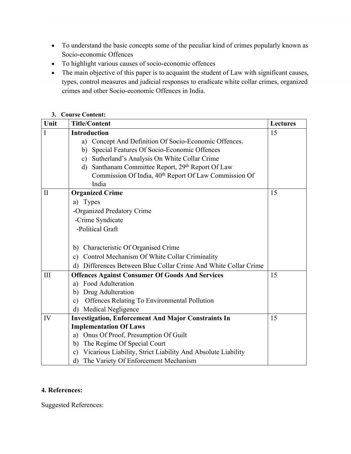- To understand the basic concepts some of the peculiar kind of crimes popularly known as Socio-economic Offences
- To highlight various causes of socio-economic offences
- The main objective of this paper is to acquaint the student of Law with significant causes, types, control measures and judicial responses to eradicate white collar crimes, organized crimes and other Socio-economic Offences in India.

### **3. Course Content:**

| Unit         | <b>Title/Content</b>                                               | <b>Lectures</b> |
|--------------|--------------------------------------------------------------------|-----------------|
| I            | <b>Introduction</b>                                                | 15              |
|              | Concept And Definition Of Socio-Economic Offences.<br>a)           |                 |
|              | Special Features Of Socio-Economic Offences<br>b)                  |                 |
|              | Sutherland's Analysis On White Collar Crime<br>$\mathbf{c})$       |                 |
|              | Santhanam Committee Report, 29th Report Of Law<br>d)               |                 |
|              | Commission Of India, 40 <sup>th</sup> Report Of Law Commission Of  |                 |
|              | India                                                              |                 |
| $\mathbf{I}$ | <b>Organized Crime</b>                                             | 15              |
|              | a) Types                                                           |                 |
|              | -Organized Predatory Crime                                         |                 |
|              | -Crime Syndicate                                                   |                 |
|              | -Political Graft                                                   |                 |
|              |                                                                    |                 |
|              | Characteristic Of Organised Crime<br>b)                            |                 |
|              | c) Control Mechanism Of White Collar Criminality                   |                 |
|              | d) Differences Between Blue Collar Crime And White Collar Crime    |                 |
| III          | <b>Offences Against Consumer Of Goods And Services</b>             | 15              |
|              | a) Food Adulteration                                               |                 |
|              | Drug Adulteration<br>b)                                            |                 |
|              | Offences Relating To Environmental Pollution<br>$\mathbf{c})$      |                 |
|              | <b>Medical Negligence</b><br>d)                                    |                 |
| IV           | <b>Investigation, Enforcement And Major Constraints In</b>         | 15              |
|              | <b>Implementation Of Laws</b>                                      |                 |
|              | a) Onus Of Proof, Presumption Of Guilt                             |                 |
|              | The Regime Of Special Court<br>b)                                  |                 |
|              | Vicarious Liability, Strict Liability And Absolute Liability<br>c) |                 |
|              | The Variety Of Enforcement Mechanism<br>d)                         |                 |

### **4. References:**

Suggested References: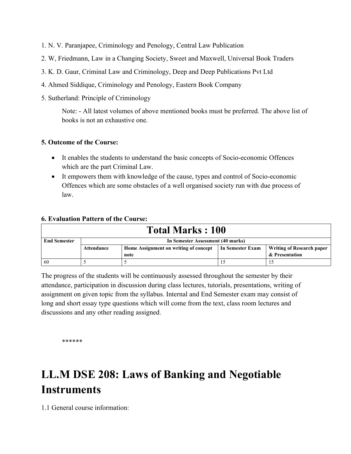- 1. N. V. Paranjapee, Criminology and Penology, Central Law Publication
- 2. W, Friedmann, Law in a Changing Society, Sweet and Maxwell, Universal Book Traders
- 3. K. D. Gaur, Criminal Law and Criminology, Deep and Deep Publications Pvt Ltd
- 4. Ahmed Siddique, Criminology and Penology, Eastern Book Company
- 5. Sutherland: Principle of Criminology

Note: - All latest volumes of above mentioned books must be preferred. The above list of books is not an exhaustive one.

### **5. Outcome of the Course:**

- It enables the students to understand the basic concepts of Socio-economic Offences which are the part Criminal Law.
- It empowers them with knowledge of the cause, types and control of Socio-economic Offences which are some obstacles of a well organised society run with due process of law.

### **6. Evaluation Pattern of the Course:**

| <b>Total Marks: 100</b> |                                   |                                       |                  |                                  |
|-------------------------|-----------------------------------|---------------------------------------|------------------|----------------------------------|
| <b>End Semester</b>     | In Semester Assessment (40 marks) |                                       |                  |                                  |
|                         | Attendance                        | Home Assignment on writing of concept | In Semester Exam | <b>Writing of Research paper</b> |
|                         |                                   | note                                  |                  | & Presentation                   |
| 60                      |                                   |                                       |                  |                                  |

The progress of the students will be continuously assessed throughout the semester by their attendance, participation in discussion during class lectures, tutorials, presentations, writing of assignment on given topic from the syllabus. Internal and End Semester exam may consist of long and short essay type questions which will come from the text, class room lectures and discussions and any other reading assigned.

\*\*\*\*\*\*

# **LL.M DSE 208: Laws of Banking and Negotiable Instruments**

1.1 General course information: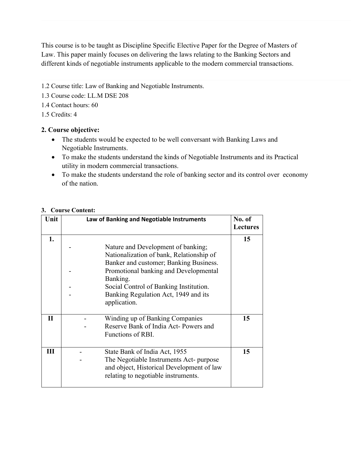This course is to be taught as Discipline Specific Elective Paper for the Degree of Masters of Law. This paper mainly focuses on delivering the laws relating to the Banking Sectors and different kinds of negotiable instruments applicable to the modern commercial transactions.

- 1.2 Course title: Law of Banking and Negotiable Instruments.
- 1.3 Course code: LL.M DSE 208
- 1.4 Contact hours: 60
- 1.5 Credits: 4

### **2. Course objective:**

- The students would be expected to be well conversant with Banking Laws and Negotiable Instruments.
- To make the students understand the kinds of Negotiable Instruments and its Practical utility in modern commercial transactions.
- To make the students understand the role of banking sector and its control over economy of the nation.

| Unit         | Law of Banking and Negotiable Instruments                                                                                                                                                                                                                       | No. of<br>Lectures |
|--------------|-----------------------------------------------------------------------------------------------------------------------------------------------------------------------------------------------------------------------------------------------------------------|--------------------|
| 1.           | Nature and Development of banking;<br>Nationalization of bank, Relationship of<br>Banker and customer; Banking Business.<br>Promotional banking and Developmental<br>Banking.<br>Social Control of Banking Institution.<br>Banking Regulation Act, 1949 and its | 15                 |
| $\mathbf{I}$ | application.<br>Winding up of Banking Companies<br>Reserve Bank of India Act-Powers and<br>Functions of RBI.                                                                                                                                                    | 15                 |
| III          | State Bank of India Act, 1955<br>The Negotiable Instruments Act- purpose<br>and object, Historical Development of law<br>relating to negotiable instruments.                                                                                                    | 15                 |

### **3. Course Content:**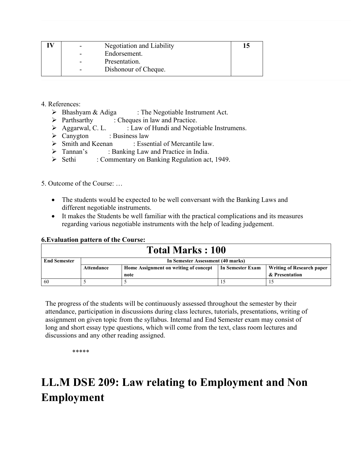| Negotiation and Liability<br>$\blacksquare$ | 15 |
|---------------------------------------------|----|
| Endorsement.<br>$\blacksquare$              |    |
| Presentation.<br>$\sim$                     |    |
| Dishonour of Cheque.<br>$\blacksquare$      |    |

### 4. References:

- $\triangleright$  Bhashyam & Adiga : The Negotiable Instrument Act.
- $\triangleright$  Parthsarthy : Cheques in law and Practice.
- $\triangleright$  Aggarwal, C. L. : Law of Hundi and Negotiable Instrumens.
- $\triangleright$  Canygton : Business law
- Smith and Keenan : Essential of Mercantile law.
- > Tannan's : Banking Law and Practice in India.
- Sethi : Commentary on Banking Regulation act, 1949.

5. Outcome of the Course: …

- The students would be expected to be well conversant with the Banking Laws and different negotiable instruments.
- It makes the Students be well familiar with the practical complications and its measures regarding various negotiable instruments with the help of leading judgement.

### **6.Evaluation pattern of the Course:**

| <b>Total Marks: 100</b> |                                   |                                       |                  |                           |
|-------------------------|-----------------------------------|---------------------------------------|------------------|---------------------------|
| <b>End Semester</b>     | In Semester Assessment (40 marks) |                                       |                  |                           |
|                         | Attendance                        | Home Assignment on writing of concept | In Semester Exam | Writing of Research paper |
|                         |                                   | note                                  |                  | & Presentation            |
| 60                      |                                   |                                       |                  |                           |

The progress of the students will be continuously assessed throughout the semester by their attendance, participation in discussions during class lectures, tutorials, presentations, writing of assignment on given topic from the syllabus. Internal and End Semester exam may consist of long and short essay type questions, which will come from the text, class room lectures and discussions and any other reading assigned.

\*\*\*\*\*

# **LL.M DSE 209: Law relating to Employment and Non Employment**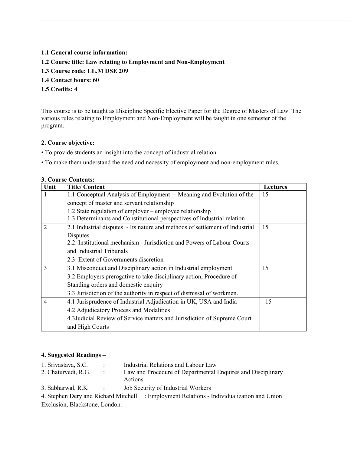### **1.1 General course information:**

### **1.2 Course title: Law relating to Employment and Non-Employment**

- **1.3 Course code: LL.M DSE 209**
- **1.4 Contact hours: 60**

### **1.5 Credits: 4**

This course is to be taught as Discipline Specific Elective Paper for the Degree of Masters of Law. The various rules relating to Employment and Non-Employment will be taught in one semester of the program.

#### **2. Course objective:**

- To provide students an insight into the concept of industrial relation.
- To make them understand the need and necessity of employment and non-employment rules.

#### **3. Course Contents:**

| Unit           | <b>Title/Content</b>                                                         | <b>Lectures</b> |
|----------------|------------------------------------------------------------------------------|-----------------|
|                | 1.1 Conceptual Analysis of Employment – Meaning and Evolution of the         | 15              |
|                | concept of master and servant relationship                                   |                 |
|                | 1.2 State regulation of employer – employee relationship                     |                 |
|                | 1.3 Determinants and Constitutional perspectives of Industrial relation      |                 |
| $\overline{2}$ | 2.1 Industrial disputes - Its nature and methods of settlement of Industrial | 15              |
|                | Disputes.                                                                    |                 |
|                | 2.2. Institutional mechanism - Jurisdiction and Powers of Labour Courts      |                 |
|                | and Industrial Tribunals                                                     |                 |
|                | 2.3 Extent of Governments discretion                                         |                 |
| 3              | 3.1 Misconduct and Disciplinary action in Industrial employment              | 15              |
|                | 3.2 Employers prerogative to take disciplinary action, Procedure of          |                 |
|                | Standing orders and domestic enquiry                                         |                 |
|                | 3.3 Jurisdiction of the authority in respect of dismissal of workmen.        |                 |
| $\overline{4}$ | 4.1 Jurisprudence of Industrial Adjudication in UK, USA and India            | 15              |
|                | 4.2 Adjudicatory Process and Modalities                                      |                 |
|                | 4.3 Judicial Review of Service matters and Jurisdiction of Supreme Court     |                 |
|                | and High Courts                                                              |                 |

#### **4. Suggested Readings –**

| 1. Srivastava, S.C. | Industrial Relations and Labour Law                                    |
|---------------------|------------------------------------------------------------------------|
| 2. Chaturvedi, R.G. | Law and Procedure of Departmental Enquires and Disciplinary<br>Actions |
|                     |                                                                        |

3. Sabharwal, R.K : Job Security of Industrial Workers

4. Stephen Dery and Richard Mitchell : Employment Relations - Individualization and Union Exclusion, Blackstone, London.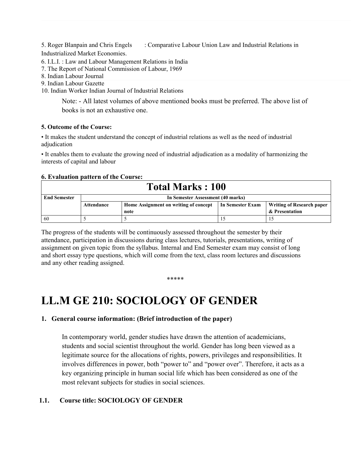5. Roger Blanpain and Chris Engels : Comparative Labour Union Law and Industrial Relations in Industrialized Market Economies.

6. I.L.I. : Law and Labour Management Relations in India

7. The Report of National Commission of Labour, 1969

8. Indian Labour Journal

9. Indian Labour Gazette

10. Indian Worker Indian Journal of Industrial Relations

Note: - All latest volumes of above mentioned books must be preferred. The above list of books is not an exhaustive one.

#### **5. Outcome of the Course:**

• It makes the student understand the concept of industrial relations as well as the need of industrial adjudication

• It enables them to evaluate the growing need of industrial adjudication as a modality of harmonizing the interests of capital and labour

### **6. Evaluation pattern of the Course:**

|                     | <b>Total Marks: 100</b> |                                       |                  |                           |  |  |  |
|---------------------|-------------------------|---------------------------------------|------------------|---------------------------|--|--|--|
| <b>End Semester</b> |                         | In Semester Assessment (40 marks)     |                  |                           |  |  |  |
|                     | Attendance              | Home Assignment on writing of concept | In Semester Exam | Writing of Research paper |  |  |  |
|                     |                         | note                                  |                  | & Presentation            |  |  |  |
| -60                 |                         |                                       |                  |                           |  |  |  |

The progress of the students will be continuously assessed throughout the semester by their attendance, participation in discussions during class lectures, tutorials, presentations, writing of assignment on given topic from the syllabus. Internal and End Semester exam may consist of long and short essay type questions, which will come from the text, class room lectures and discussions and any other reading assigned.

\*\*\*\*\*

# **LL.M GE 210: SOCIOLOGY OF GENDER**

### **1. General course information: (Brief introduction of the paper)**

In contemporary world, gender studies have drawn the attention of academicians, students and social scientist throughout the world. Gender has long been viewed as a legitimate source for the allocations of rights, powers, privileges and responsibilities. It involves differences in power, both "power to" and "power over". Therefore, it acts as a key organizing principle in human social life which has been considered as one of the most relevant subjects for studies in social sciences.

### **1.1. Course title: SOCIOLOGY OF GENDER**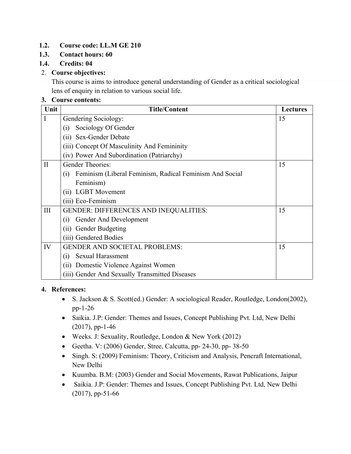# **1.2. Course code: LL.M GE 210**

### **1.3. Contact hours: 60**

### **1.4. Credits: 04**

### 2. **Course objectives:**

This course is aims to introduce general understanding of Gender as a critical sociological lens of enquiry in relation to various social life.

### **3. Course contents:**

| Unit         | <b>Title/Content</b>                                           | <b>Lectures</b> |
|--------------|----------------------------------------------------------------|-----------------|
|              | Gendering Sociology:                                           | 15              |
|              | Sociology Of Gender<br>(i)                                     |                 |
|              | Sex-Gender Debate<br>(ii)                                      |                 |
|              | (iii) Concept Of Masculinity And Femininity                    |                 |
|              | (iv) Power And Subordination (Patriarchy)                      |                 |
| $\mathbf{I}$ | Gender Theories:                                               | 15              |
|              | Feminism (Liberal Feminism, Radical Feminism And Social<br>(i) |                 |
|              | Feminism)                                                      |                 |
|              | <b>LGBT</b> Movement<br>(11)                                   |                 |
|              | (iii) Eco-Feminism                                             |                 |
| III          | <b>GENDER: DIFFERENCES AND INEQUALITIES:</b>                   | 15              |
|              | Gender And Development<br>(1)                                  |                 |
|              | (ii) Gender Budgeting                                          |                 |
|              | (iii) Gendered Bodies                                          |                 |
| IV           | <b>GENDER AND SOCIETAL PROBLEMS:</b>                           | 15              |
|              | <b>Sexual Harassment</b><br>(i)                                |                 |
|              | (ii) Domestic Violence Against Women                           |                 |
|              | (iii) Gender And Sexually Transmitted Diseases                 |                 |

### **4. References:**

- S. Jackson & S. Scott(ed.) Gender: A sociological Reader, Routledge, London(2002), pp-1-26
- Saikia. J.P: Gender: Themes and Issues, Concept Publishing Pvt. Ltd, New Delhi (2017), pp-1-46
- Weeks. J: Sexuality, Routledge, London & New York (2012)
- Geetha. V:  $(2006)$  Gender, Stree, Calcutta, pp- 24-30, pp- 38-50
- Singh. S: (2009) Feminism: Theory, Criticism and Analysis, Pencraft International, New Delhi
- Kuumba. B.M: (2003) Gender and Social Movements, Rawat Publications, Jaipur
- Saikia. J.P: Gender: Themes and Issues, Concept Publishing Pvt. Ltd, New Delhi (2017), pp-51-66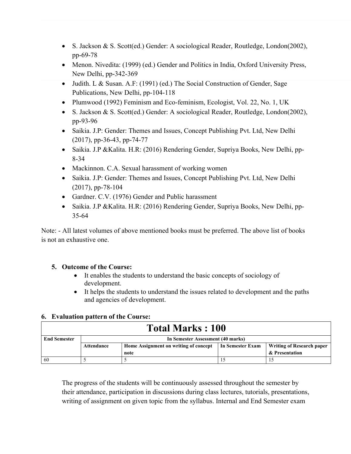- S. Jackson & S. Scott(ed.) Gender: A sociological Reader, Routledge, London(2002), pp-69-78
- Menon. Nivedita: (1999) (ed.) Gender and Politics in India, Oxford University Press, New Delhi, pp-342-369
- Judith. L & Susan. A.F: (1991) (ed.) The Social Construction of Gender, Sage Publications, New Delhi, pp-104-118
- Plumwood (1992) Feminism and Eco-feminism, Ecologist, Vol. 22, No. 1, UK
- S. Jackson & S. Scott(ed.) Gender: A sociological Reader, Routledge, London(2002), pp-93-96
- Saikia. J.P: Gender: Themes and Issues, Concept Publishing Pvt. Ltd, New Delhi (2017), pp-36-43, pp-74-77
- Saikia. J.P &Kalita. H.R: (2016) Rendering Gender, Supriya Books, New Delhi, pp-8-34
- Mackinnon. C.A. Sexual harassment of working women
- Saikia. J.P: Gender: Themes and Issues, Concept Publishing Pvt. Ltd, New Delhi (2017), pp-78-104
- Gardner. C.V. (1976) Gender and Public harassment
- Saikia. J.P &Kalita. H.R: (2016) Rendering Gender, Supriya Books, New Delhi, pp-35-64

Note: - All latest volumes of above mentioned books must be preferred. The above list of books is not an exhaustive one.

# **5. Outcome of the Course:**

- It enables the students to understand the basic concepts of sociology of development.
- It helps the students to understand the issues related to development and the paths and agencies of development.

# **6. Evaluation pattern of the Course:**

| <b>Total Marks: 100</b> |            |                                                                                               |  |                |  |  |  |
|-------------------------|------------|-----------------------------------------------------------------------------------------------|--|----------------|--|--|--|
| <b>End Semester</b>     |            | In Semester Assessment (40 marks)                                                             |  |                |  |  |  |
|                         | Attendance | Home Assignment on writing of concept<br>In Semester Exam<br><b>Writing of Research paper</b> |  |                |  |  |  |
|                         |            | note                                                                                          |  | & Presentation |  |  |  |
| 60                      |            |                                                                                               |  |                |  |  |  |

The progress of the students will be continuously assessed throughout the semester by their attendance, participation in discussions during class lectures, tutorials, presentations, writing of assignment on given topic from the syllabus. Internal and End Semester exam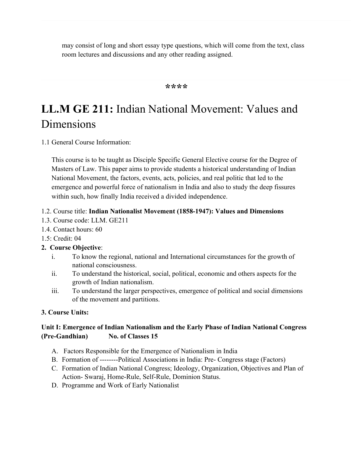may consist of long and short essay type questions, which will come from the text, class room lectures and discussions and any other reading assigned.

### **\*\*\*\***

# **LL.M GE 211:** Indian National Movement: Values and Dimensions

1.1 General Course Information:

This course is to be taught as Disciple Specific General Elective course for the Degree of Masters of Law. This paper aims to provide students a historical understanding of Indian National Movement, the factors, events, acts, policies, and real politic that led to the emergence and powerful force of nationalism in India and also to study the deep fissures within such, how finally India received a divided independence.

### 1.2. Course title: **Indian Nationalist Movement (1858-1947): Values and Dimensions**

- 1.3. Course code: LLM. GE211
- 1.4. Contact hours: 60
- 1.5: Credit: 04

# **2. Course Objective**:

- i. To know the regional, national and International circumstances for the growth of national consciousness.
- ii. To understand the historical, social, political, economic and others aspects for the growth of Indian nationalism.
- iii. To understand the larger perspectives, emergence of political and social dimensions of the movement and partitions.

# **3. Course Units:**

# **Unit I: Emergence of Indian Nationalism and the Early Phase of Indian National Congress (Pre-Gandhian) No. of Classes 15**

- A. Factors Responsible for the Emergence of Nationalism in India
- B. Formation of --------Political Associations in India: Pre- Congress stage (Factors)
- C. Formation of Indian National Congress; Ideology, Organization, Objectives and Plan of Action- Swaraj, Home-Rule, Self-Rule, Dominion Status.
- D. Programme and Work of Early Nationalist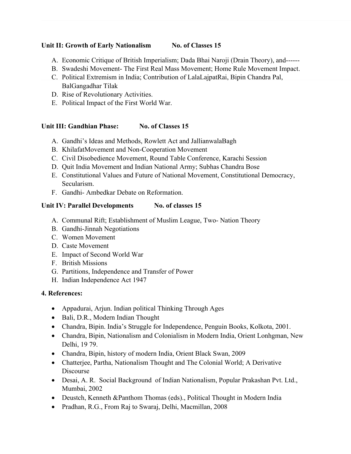### Unit II: Growth of Early Nationalism No. of Classes 15

- A. Economic Critique of British Imperialism; Dada Bhai Naroji (Drain Theory), and------
- B. Swadeshi Movement- The First Real Mass Movement; Home Rule Movement Impact.
- C. Political Extremism in India; Contribution of LalaLajpatRai, Bipin Chandra Pal, BalGangadhar Tilak
- D. Rise of Revolutionary Activities.
- E. Political Impact of the First World War.

# Unit III: Gandhian Phase: No. of Classes 15

- A. Gandhi's Ideas and Methods, Rowlett Act and JallianwalaBagh
- B. KhilafatMovement and Non-Cooperation Movement
- C. Civil Disobedience Movement, Round Table Conference, Karachi Session
- D. Quit India Movement and Indian National Army; Subhas Chandra Bose
- E. Constitutional Values and Future of National Movement, Constitutional Democracy, Secularism.
- F. Gandhi- Ambedkar Debate on Reformation.

# Unit IV: Parallel Developments No. of classes 15

- A. Communal Rift; Establishment of Muslim League, Two- Nation Theory
- B. Gandhi-Jinnah Negotiations
- C. Women Movement
- D. Caste Movement
- E. Impact of Second World War
- F. British Missions
- G. Partitions, Independence and Transfer of Power
- H. Indian Independence Act 1947

# **4. References:**

- Appadurai, Arjun. Indian political Thinking Through Ages
- Bali, D.R., Modern Indian Thought
- Chandra, Bipin. India's Struggle for Independence, Penguin Books, Kolkota, 2001.
- Chandra, Bipin, Nationalism and Colonialism in Modern India, Orient Lonhgman, New Delhi, 19 79.
- Chandra, Bipin, history of modern India, Orient Black Swan, 2009
- Chatterjee, Partha, Nationalism Thought and The Colonial World; A Derivative Discourse
- Desai, A. R. Social Background of Indian Nationalism, Popular Prakashan Pvt. Ltd., Mumbai, 2002
- Deustch, Kenneth &Panthom Thomas (eds)., Political Thought in Modern India
- Pradhan, R.G., From Raj to Swaraj, Delhi, Macmillan, 2008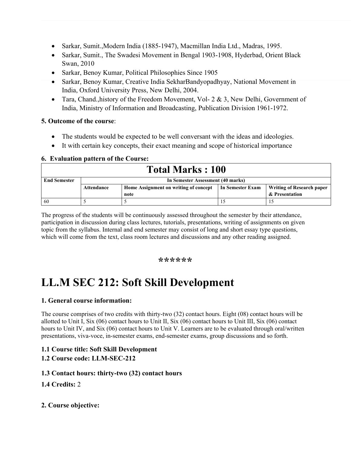- Sarkar, Sumit.,Modern India (1885-1947), Macmillan India Ltd., Madras, 1995.
- Sarkar, Sumit., The Swadesi Movement in Bengal 1903-1908, Hyderbad, Orient Black Swan, 2010
- Sarkar, Benoy Kumar, Political Philosophies Since 1905
- Sarkar, Benoy Kumar, Creative India SekharBandyopadhyay, National Movement in India, Oxford University Press, New Delhi, 2004.
- Tara, Chand., history of the Freedom Movement, Vol-  $2 \& 3$ , New Delhi, Government of India, Ministry of Information and Broadcasting, Publication Division 1961-1972.

### **5. Outcome of the course**:

- The students would be expected to be well conversant with the ideas and ideologies.
- It with certain key concepts, their exact meaning and scope of historical importance

### **6. Evaluation pattern of the Course:**

|                     | <b>Total Marks: 100</b>                                                                                     |                                   |  |                |  |  |  |
|---------------------|-------------------------------------------------------------------------------------------------------------|-----------------------------------|--|----------------|--|--|--|
| <b>End Semester</b> |                                                                                                             | In Semester Assessment (40 marks) |  |                |  |  |  |
|                     | <b>Writing of Research paper</b><br>Home Assignment on writing of concept<br>In Semester Exam<br>Attendance |                                   |  |                |  |  |  |
|                     |                                                                                                             | note                              |  | & Presentation |  |  |  |
| 60                  |                                                                                                             |                                   |  |                |  |  |  |

The progress of the students will be continuously assessed throughout the semester by their attendance, participation in discussion during class lectures, tutorials, presentations, writing of assignments on given topic from the syllabus. Internal and end semester may consist of long and short essay type questions, which will come from the text, class room lectures and discussions and any other reading assigned.

### **\*\*\*\*\*\***

# **LL.M SEC 212: Soft Skill Development**

# **1. General course information:**

The course comprises of two credits with thirty-two (32) contact hours. Eight (08) contact hours will be allotted to Unit I, Six (06) contact hours to Unit II, Six (06) contact hours to Unit III, Six (06) contact hours to Unit IV, and Six (06) contact hours to Unit V. Learners are to be evaluated through oral/written presentations, viva-voce, in-semester exams, end-semester exams, group discussions and so forth.

# **1.1 Course title: Soft Skill Development**

# **1.2 Course code: LLM-SEC-212**

### **1.3 Contact hours: thirty-two (32) contact hours**

# **1.4 Credits:** 2

# **2. Course objective:**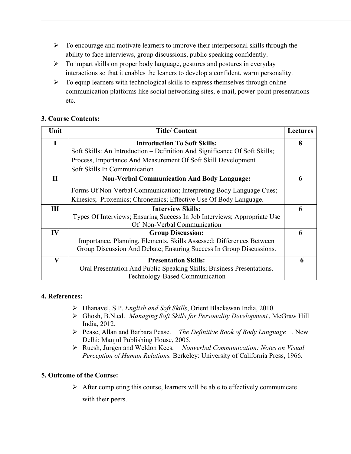- $\triangleright$  To encourage and motivate learners to improve their interpersonal skills through the ability to face interviews, group discussions, public speaking confidently.
- $\triangleright$  To impart skills on proper body language, gestures and postures in everyday interactions so that it enables the leaners to develop a confident, warm personality.
- $\triangleright$  To equip learners with technological skills to express themselves through online communication platforms like social networking sites, e-mail, power-point presentations etc.

### **3. Course Contents:**

| Unit          | <b>Title/Content</b>                                                       | <b>Lectures</b> |
|---------------|----------------------------------------------------------------------------|-----------------|
| $\mathbf I$   | <b>Introduction To Soft Skills:</b>                                        | 8               |
|               | Soft Skills: An Introduction – Definition And Significance Of Soft Skills; |                 |
|               | Process, Importance And Measurement Of Soft Skill Development              |                 |
|               | Soft Skills In Communication                                               |                 |
| $\mathbf{I}$  | <b>Non-Verbal Communication And Body Language:</b>                         | 6               |
|               | Forms Of Non-Verbal Communication; Interpreting Body Language Cues;        |                 |
|               | Kinesics; Proxemics; Chronemics; Effective Use Of Body Language.           |                 |
| Ш             | <b>Interview Skills:</b>                                                   | 6               |
|               | Types Of Interviews; Ensuring Success In Job Interviews; Appropriate Use   |                 |
|               | Of Non-Verbal Communication                                                |                 |
| $\mathbf{IV}$ | <b>Group Discussion:</b>                                                   | 6               |
|               | Importance, Planning, Elements, Skills Assessed; Differences Between       |                 |
|               | Group Discussion And Debate; Ensuring Success In Group Discussions.        |                 |
| $\mathbf{V}$  | <b>Presentation Skills:</b>                                                | 6               |
|               | Oral Presentation And Public Speaking Skills; Business Presentations.      |                 |
|               | Technology-Based Communication                                             |                 |

### **4. References:**

- Dhanavel, S.P. *English and Soft Skills*, Orient Blackswan India, 2010.
- Ghosh, B.N.ed. *Managing Soft Skills for Personality Development* , McGraw Hill India, 2012.
- Pease, Allan and Barbara Pease. *The Definitive Book of Body Language* . New Delhi: Manjul Publishing House, 2005.
- Ruesh, Jurgen and Weldon Kees. *Nonverbal Communication: Notes on Visual Perception of Human Relations.* Berkeley: University of California Press, 1966.

### **5. Outcome of the Course:**

 $\triangleright$  After completing this course, learners will be able to effectively communicate with their peers.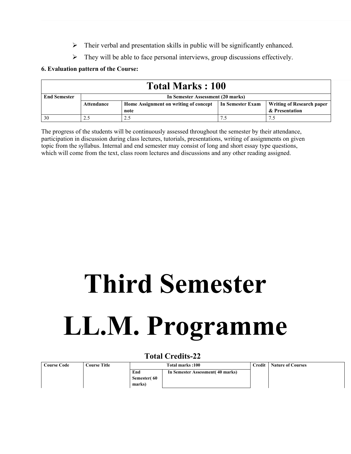- $\triangleright$  Their verbal and presentation skills in public will be significantly enhanced.
- $\triangleright$  They will be able to face personal interviews, group discussions effectively.

### **6. Evaluation pattern of the Course:**

| <b>Total Marks: 100</b> |            |                                                                                               |  |                |  |  |  |
|-------------------------|------------|-----------------------------------------------------------------------------------------------|--|----------------|--|--|--|
| <b>End Semester</b>     |            | In Semester Assessment (20 marks)                                                             |  |                |  |  |  |
|                         | Attendance | <b>Writing of Research paper</b><br>Home Assignment on writing of concept<br>In Semester Exam |  |                |  |  |  |
|                         |            | note                                                                                          |  | & Presentation |  |  |  |
| 30                      |            |                                                                                               |  |                |  |  |  |

The progress of the students will be continuously assessed throughout the semester by their attendance, participation in discussion during class lectures, tutorials, presentations, writing of assignments on given topic from the syllabus. Internal and end semester may consist of long and short essay type questions, which will come from the text, class room lectures and discussions and any other reading assigned.

# **Third Semester LL.M. Programme**

# **Total Credits-22**

| Course Code | <b>Course Title</b> | Credit<br>Total marks:100 |                                   |  | <b>Nature of Courses</b> |
|-------------|---------------------|---------------------------|-----------------------------------|--|--------------------------|
|             |                     | End                       | In Semester Assessment (40 marks) |  |                          |
|             |                     | Semester(60               |                                   |  |                          |
|             |                     | marks)                    |                                   |  |                          |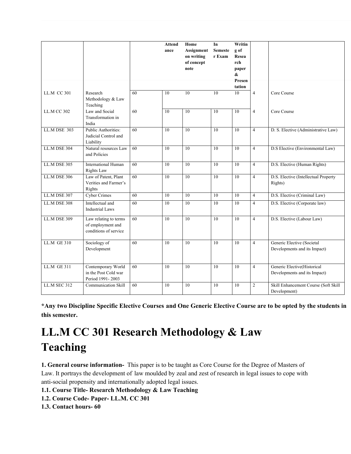|                     |                                                                     |    | <b>Attend</b><br>ance | Home<br>Assignment<br>on writing<br>of concept<br>note | In<br><b>Semeste</b><br>r Exam | Writin<br>g of<br>Resea<br>rch<br>paper<br>& |                |                                                             |
|---------------------|---------------------------------------------------------------------|----|-----------------------|--------------------------------------------------------|--------------------------------|----------------------------------------------|----------------|-------------------------------------------------------------|
|                     |                                                                     |    |                       |                                                        |                                | Presen<br>tation                             |                |                                                             |
| LL.M CC 301         | Research<br>Methodology & Law<br>Teaching                           | 60 | 10                    | 10                                                     | 10                             | 10                                           | $\overline{4}$ | Core Course                                                 |
| <b>LL.M CC 302</b>  | Law and Social<br>Transformation in<br>India                        | 60 | 10                    | 10                                                     | 10                             | 10                                           | $\overline{4}$ | Core Course                                                 |
| LL.M DSE 303        | <b>Public Authorities:</b><br>Judicial Control and<br>Liability     | 60 | 10                    | 10                                                     | 10                             | 10                                           | $\overline{4}$ | D. S. Elective (Administrative Law)                         |
| <b>LL.M DSE 304</b> | Natural resources Law<br>and Policies                               | 60 | 10                    | 10                                                     | 10                             | 10                                           | $\overline{4}$ | D.S Elective (Environmental Law)                            |
| LL.M DSE 305        | <b>International Human</b><br><b>Rights Law</b>                     | 60 | 10                    | 10                                                     | 10                             | 10                                           | $\overline{4}$ | D.S. Elective (Human Rights)                                |
| LL.M DSE 306        | Law of Patent, Plant<br>Verities and Farmer's<br>Rights             | 60 | 10                    | 10                                                     | 10                             | 10                                           | $\overline{4}$ | D.S. Elective (Intellectual Property<br>Rights)             |
| LL.M DSE 307        | Cyber Crimes                                                        | 60 | 10                    | $\overline{10}$                                        | 10                             | 10                                           | $\overline{4}$ | D.S. Elective (Criminal Law)                                |
| LL.M DSE 308        | Intellectual and<br><b>Industrial Laws</b>                          | 60 | 10                    | 10                                                     | 10                             | 10                                           | $\overline{4}$ | D.S. Elective (Corporate law)                               |
| <b>LL.M DSE 309</b> | Law relating to terms<br>of employment and<br>conditions of service | 60 | 10                    | 10                                                     | 10                             | 10                                           | $\overline{4}$ | D.S. Elective (Labour Law)                                  |
| $LL.M$ GE 310       | Sociology of<br>Development                                         | 60 | 10                    | 10                                                     | 10                             | 10                                           | $\overline{4}$ | Generic Elective (Societal<br>Developments and its Impact)  |
| <b>LL.M GE 311</b>  | Contemporary World<br>in the Post Cold war<br>Period 1991-2003      | 60 | 10                    | $\overline{10}$                                        | 10                             | $\overline{10}$                              | $\overline{4}$ | Generic Elective(Historical<br>Developments and its Impact) |
| LL.M SEC 312        | <b>Communication Skill</b>                                          | 60 | 10                    | 10                                                     | 10                             | 10                                           | $\overline{c}$ | Skill Enhancement Course (Soft Skill<br>Development)        |

**\*Any two Discipline Specific Elective Courses and One Generic Elective Course are to be opted by the students in this semester.**

# **LL.M CC 301 Research Methodology & Law Teaching**

**1. General course information-** This paper is to be taught as Core Course for the Degree of Masters of Law. It portrays the development of law moulded by zeal and zest of research in legal issues to cope with anti-social propensity and internationally adopted legal issues.

**1.1. Course Title- Research Methodology & Law Teaching**

- **1.2. Course Code- Paper- LL.M. CC 301**
- **1.3. Contact hours- 60**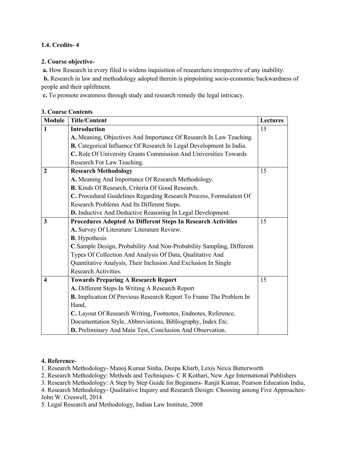### **1.4. Credits- 4**

### **2. Course objective-**

 **a.** How Research in every filed is widens inquisition of researchers irrespective of any inability.

**b.** Research in law and methodology adopted therein is pinpointing socio-economic backwardness of people and their upliftment.

 **c.** To promote awareness through study and research remedy the legal intricacy.

| <b>Module</b>           | <b>Title/Content</b>                                                 | <b>Lectures</b> |
|-------------------------|----------------------------------------------------------------------|-----------------|
| $\mathbf{1}$            | <b>Introduction</b>                                                  | 15              |
|                         | A. Meaning, Objectives And Importance Of Research In Law Teaching.   |                 |
|                         | B. Categorical Influence Of Research In Legal Development In India.  |                 |
|                         | C. Role Of University Grants Commission And Universities Towards     |                 |
|                         | Research For Law Teaching.                                           |                 |
| $\overline{2}$          | <b>Research Methodology</b>                                          | 15              |
|                         | A. Meaning And Importance Of Research Methodology.                   |                 |
|                         | B. Kinds Of Research, Criteria Of Good Research.                     |                 |
|                         | C. Procedural Guidelines Regarding Research Process, Formulation Of  |                 |
|                         | Research Problems And Its Different Steps.                           |                 |
|                         | D. Inductive And Deductive Reasoning In Legal Development.           |                 |
| 3                       | <b>Procedures Adopted As Different Steps In Research Activities</b>  | 15              |
|                         | A. Survey Of Literature/ Literature Review.                          |                 |
|                         | <b>B.</b> Hypothesis                                                 |                 |
|                         | C.Sample Design, Probability And Non-Probability Sampling, Different |                 |
|                         | Types Of Collection And Analysis Of Data, Qualitative And            |                 |
|                         | Quantitative Analysis, Their Inclusion And Exclusion In Single       |                 |
|                         | Research Activities.                                                 |                 |
| $\overline{\mathbf{4}}$ | <b>Towards Preparing A Research Report</b>                           | 15              |
|                         | A. Different Steps In Writing A Research Report                      |                 |
|                         | B. Implication Of Previous Research Report To Frame The Problem In   |                 |
|                         | Hand,                                                                |                 |
|                         | C. Layout Of Research Writing, Footnotes, Endnotes, Reference,       |                 |
|                         | Documentation Style, Abbreviations, Bibliography, Index Etc.         |                 |
|                         | D. Preliminary And Main Test, Conclusion And Observation.            |                 |

### **3. Course Contents**

#### **4. Reference**-

1. Research Methodology- Manoj Kumar Sinha, Deepa Kharb, Lexis Nexis Butterworth

2. Research Methodology: Methods and Techniques- C R Kothari, New Age International Publishers

3. Research Methodology: A Step by Step Guide for Beginners- Ranjit Kumar, Pearson Education India,

4. Research Methodology- Qualitative Inquiry and Research Design: Choosing among Five Approaches-John W. Creswell, 2014

5. Legal Research and Methodology, Indian Law Institute, 2008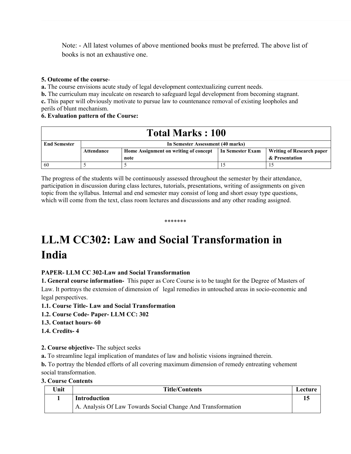Note: - All latest volumes of above mentioned books must be preferred. The above list of books is not an exhaustive one.

#### **5. Outcome of the course**-

**a.** The course envisions acute study of legal development contextualizing current needs.

**b.** The curriculum may inculcate on research to safeguard legal development from becoming stagnant.

**c.** This paper will obviously motivate to pursue law to countenance removal of existing loopholes and perils of blunt mechanism.

### **6. Evaluation pattern of the Course:**

| <b>Total Marks: 100</b> |            |                                                                                               |  |                |  |  |  |
|-------------------------|------------|-----------------------------------------------------------------------------------------------|--|----------------|--|--|--|
| <b>End Semester</b>     |            | In Semester Assessment (40 marks)                                                             |  |                |  |  |  |
|                         | Attendance | Home Assignment on writing of concept<br>In Semester Exam<br><b>Writing of Research paper</b> |  |                |  |  |  |
|                         |            | note                                                                                          |  | & Presentation |  |  |  |
| 60                      |            |                                                                                               |  |                |  |  |  |

The progress of the students will be continuously assessed throughout the semester by their attendance, participation in discussion during class lectures, tutorials, presentations, writing of assignments on given topic from the syllabus. Internal and end semester may consist of long and short essay type questions, which will come from the text, class room lectures and discussions and any other reading assigned.

\*\*\*\*\*\*\*

# **LL.M CC302: Law and Social Transformation in India**

### **PAPER- LLM CC 302-Law and Social Transformation**

**1. General course information-** This paper as Core Course is to be taught for the Degree of Masters of Law. It portrays the extension of dimension of legal remedies in untouched areas in socio-economic and legal perspectives.

### **1.1. Course Title- Law and Social Transformation**

**1.2. Course Code- Paper- LLM CC: 302**

### **1.3. Contact hours- 60**

### **1.4. Credits- 4**

### **2. Course objective-** The subject seeks

**a.** To streamline legal implication of mandates of law and holistic visions ingrained therein.

**b.** To portray the blended efforts of all covering maximum dimension of remedy entreating vehement social transformation.

#### **3. Course Contents**

| Unit | <b>Title/Contents</b>                                       | Lecture |
|------|-------------------------------------------------------------|---------|
|      | <b>Introduction</b>                                         |         |
|      | A. Analysis Of Law Towards Social Change And Transformation |         |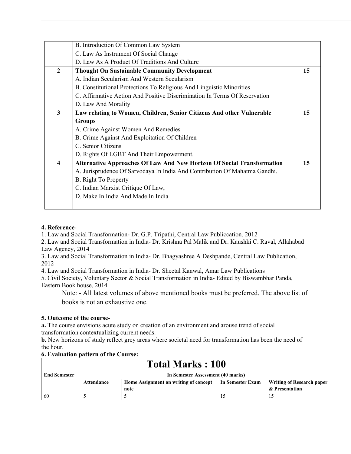|              | B. Introduction Of Common Law System                                          |    |
|--------------|-------------------------------------------------------------------------------|----|
|              | C. Law As Instrument Of Social Change                                         |    |
|              | D. Law As A Product Of Traditions And Culture                                 |    |
| $\mathbf{2}$ | <b>Thought On Sustainable Community Development</b>                           | 15 |
|              | A. Indian Secularism And Western Secularism                                   |    |
|              | B. Constitutional Protections To Religious And Linguistic Minorities          |    |
|              | C. Affirmative Action And Positive Discrimination In Terms Of Reservation     |    |
|              | D. Law And Morality                                                           |    |
| 3            | Law relating to Women, Children, Senior Citizens And other Vulnerable         | 15 |
|              | <b>Groups</b>                                                                 |    |
|              | A. Crime Against Women And Remedies                                           |    |
|              | B. Crime Against And Exploitation Of Children                                 |    |
|              | C. Senior Citizens                                                            |    |
|              | D. Rights Of LGBT And Their Empowerment.                                      |    |
| 4            | <b>Alternative Approaches Of Law And New Horizon Of Social Transformation</b> | 15 |
|              | A. Jurisprudence Of Sarvodaya In India And Contribution Of Mahatma Gandhi.    |    |
|              | B. Right To Property                                                          |    |
|              | C. Indian Marxist Critique Of Law,                                            |    |
|              | D. Make In India And Made In India                                            |    |
|              |                                                                               |    |

### **4. Reference**-

1. Law and Social Transformation- Dr. G.P. Tripathi, Central Law Publiccation, 2012

2. Law and Social Transformation in India- Dr. Krishna Pal Malik and Dr. Kaushki C. Raval, Allahabad Law Agency, 2014

3. Law and Social Transformation in India- Dr. Bhagyashree A Deshpande, Central Law Publication, 2012

4. Law and Social Transformation in India- Dr. Sheetal Kanwal, Amar Law Publications

5. Civil Society, Voluntary Sector & Social Transformation in India- Edited by Biswambhar Panda, Eastern Book house, 2014

Note: - All latest volumes of above mentioned books must be preferred. The above list of books is not an exhaustive one.

### **5. Outcome of the course**-

**a.** The course envisions acute study on creation of an environment and arouse trend of social transformation contextualizing current needs.

**b.** New horizons of study reflect grey areas where societal need for transformation has been the need of the hour.

#### **6. Evaluation pattern of the Course:**

| <b>Total Marks: 100</b> |                                   |                                       |                  |                                  |
|-------------------------|-----------------------------------|---------------------------------------|------------------|----------------------------------|
| <b>End Semester</b>     | In Semester Assessment (40 marks) |                                       |                  |                                  |
|                         | Attendance                        | Home Assignment on writing of concept | In Semester Exam | <b>Writing of Research paper</b> |
|                         |                                   | note                                  |                  | & Presentation                   |
| -60                     |                                   |                                       |                  |                                  |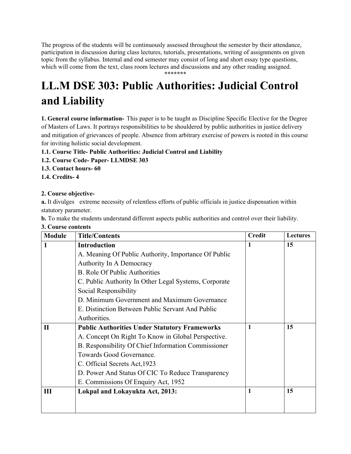The progress of the students will be continuously assessed throughout the semester by their attendance, participation in discussion during class lectures, tutorials, presentations, writing of assignments on given topic from the syllabus. Internal and end semester may consist of long and short essay type questions, which will come from the text, class room lectures and discussions and any other reading assigned. **\*\*\*\*\*\*\***

**LL.M DSE 303: Public Authorities: Judicial Control and Liability**

**1. General course information-** This paper is to be taught as Discipline Specific Elective for the Degree of Masters of Laws. It portrays responsibilities to be shouldered by public authorities in justice delivery and mitigation of grievances of people. Absence from arbitrary exercise of powers is rooted in this course for inviting holistic social development.

- **1.1. Course Title- Public Authorities: Judicial Control and Liability**
- **1.2. Course Code- Paper- LLMDSE 303**
- **1.3. Contact hours- 60**
- **1.4. Credits- 4**

### **2. Course objective-**

**a.** It divulges extreme necessity of relentless efforts of public officials in justice dispensation within statutory parameter.

**b.** To make the students understand different aspects public authorities and control over their liability.

|  |  | 3. Course contents |
|--|--|--------------------|
|--|--|--------------------|

| <b>Module</b> | <b>Title/Contents</b>                                 | <b>Credit</b> | <b>Lectures</b> |
|---------------|-------------------------------------------------------|---------------|-----------------|
| 1             | <b>Introduction</b>                                   | 1             | 15              |
|               | A. Meaning Of Public Authority, Importance Of Public  |               |                 |
|               | Authority In A Democracy                              |               |                 |
|               | <b>B.</b> Role Of Public Authorities                  |               |                 |
|               | C. Public Authority In Other Legal Systems, Corporate |               |                 |
|               | Social Responsibility                                 |               |                 |
|               | D. Minimum Government and Maximum Governance          |               |                 |
|               | E. Distinction Between Public Servant And Public      |               |                 |
|               | Authorities.                                          |               |                 |
| $\mathbf{I}$  | <b>Public Authorities Under Statutory Frameworks</b>  | 1             | 15              |
|               | A. Concept On Right To Know in Global Perspective.    |               |                 |
|               | B. Responsibility Of Chief Information Commissioner   |               |                 |
|               | Towards Good Governance.                              |               |                 |
|               | C. Official Secrets Act, 1923                         |               |                 |
|               | D. Power And Status Of CIC To Reduce Transparency     |               |                 |
|               | E. Commissions Of Enquiry Act, 1952                   |               |                 |
| III           | Lokpal and Lokayukta Act, 2013:                       | 1             | 15              |
|               |                                                       |               |                 |
|               |                                                       |               |                 |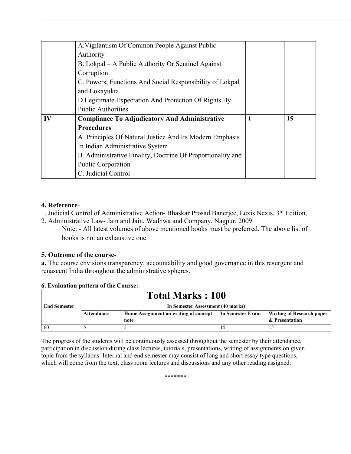|    | A. Vigilantism Of Common People Against Public              |   |    |
|----|-------------------------------------------------------------|---|----|
|    | Authority                                                   |   |    |
|    | B. Lokpal – A Public Authority Or Sentinel Against          |   |    |
|    | Corruption                                                  |   |    |
|    | C. Powers, Functions And Social Responsibility of Lokpal    |   |    |
|    | and Lokayukta.                                              |   |    |
|    | D. Legitimate Expectation And Protection Of Rights By       |   |    |
|    | <b>Public Authorities</b>                                   |   |    |
| IV | <b>Compliance To Adjudicatory And Administrative</b>        | 1 | 15 |
|    | <b>Procedures</b>                                           |   |    |
|    | A. Principles Of Natural Justice And Its Modern Emphasis    |   |    |
|    | In Indian Administrative System                             |   |    |
|    | B. Administrative Finality, Doctrine Of Proportionality and |   |    |
|    | Public Corporation                                          |   |    |
|    | C. Judicial Control                                         |   |    |

### **4. Reference**-

1. Judicial Control of Administrative Action- Bhaskar Prosad Banerjee, Lexis Nexis, 3rd Edition,

2. Administrative Law- Jain and Jain, Wadhwa and Company, Nagpur, 2009 Note: - All latest volumes of above mentioned books must be preferred. The above list of books is not an exhaustive one.

### **5. Outcome of the course**-

**a.** The course envisions transparency, accountability and good governance in this resurgent and renascent India throughout the administrative spheres.

### **6. Evaluation pattern of the Course:**

| <b>Total Marks: 100</b> |                                   |                                       |                  |                                  |
|-------------------------|-----------------------------------|---------------------------------------|------------------|----------------------------------|
| <b>End Semester</b>     | In Semester Assessment (40 marks) |                                       |                  |                                  |
|                         | Attendance                        | Home Assignment on writing of concept | In Semester Exam | <b>Writing of Research paper</b> |
|                         |                                   | note                                  |                  | & Presentation                   |
| 60                      |                                   |                                       |                  |                                  |

The progress of the students will be continuously assessed throughout the semester by their attendance, participation in discussion during class lectures, tutorials, presentations, writing of assignments on given topic from the syllabus. Internal and end semester may consist of long and short essay type questions, which will come from the text, class room lectures and discussions and any other reading assigned.

\*\*\*\*\*\*\*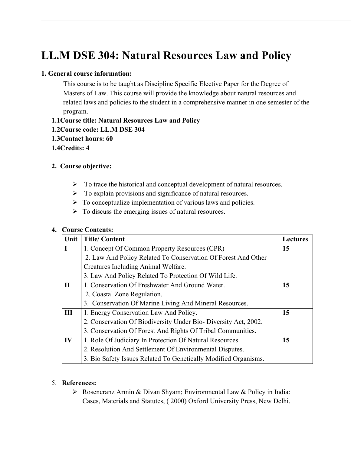# **LL.M DSE 304: Natural Resources Law and Policy**

### **1. General course information:**

This course is to be taught as Discipline Specific Elective Paper for the Degree of Masters of Law. This course will provide the knowledge about natural resources and related laws and policies to the student in a comprehensive manner in one semester of the program.

**1.1Course title: Natural Resources Law and Policy 1.2Course code: LL.M DSE 304 1.3Contact hours: 60 1.4Credits: 4**

### **2. Course objective:**

- $\triangleright$  To trace the historical and conceptual development of natural resources.
- $\triangleright$  To explain provisions and significance of natural resources.
- $\triangleright$  To conceptualize implementation of various laws and policies.
- $\triangleright$  To discuss the emerging issues of natural resources.

### **4. Course Contents:**

| Unit         | <b>Title/Content</b>                                            | <b>Lectures</b> |
|--------------|-----------------------------------------------------------------|-----------------|
| $\mathbf I$  | 1. Concept Of Common Property Resources (CPR)                   | 15              |
|              | 2. Law And Policy Related To Conservation Of Forest And Other   |                 |
|              | Creatures Including Animal Welfare.                             |                 |
|              | 3. Law And Policy Related To Protection Of Wild Life.           |                 |
| $\mathbf{I}$ | 1. Conservation Of Freshwater And Ground Water.                 | 15              |
|              | 2. Coastal Zone Regulation.                                     |                 |
|              | 3. Conservation Of Marine Living And Mineral Resources.         |                 |
| III          | 1. Energy Conservation Law And Policy.                          | 15              |
|              | 2. Conservation Of Biodiversity Under Bio-Diversity Act, 2002.  |                 |
|              | 3. Conservation Of Forest And Rights Of Tribal Communities.     |                 |
| IV           | 1. Role Of Judiciary In Protection Of Natural Resources.        | 15              |
|              | 2. Resolution And Settlement Of Environmental Disputes.         |                 |
|              | 3. Bio Safety Issues Related To Genetically Modified Organisms. |                 |

### 5. **References:**

 Rosencranz Armin & Divan Shyam; Environmental Law & Policy in India: Cases, Materials and Statutes, ( 2000) Oxford University Press, New Delhi.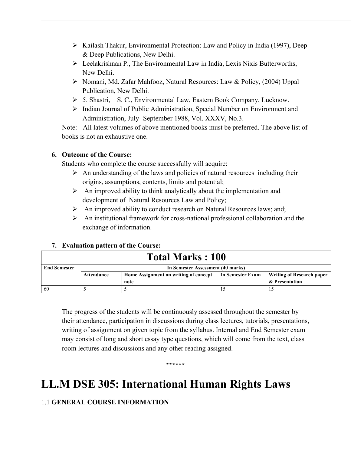- $\triangleright$  Kailash Thakur, Environmental Protection: Law and Policy in India (1997), Deep & Deep Publications, New Delhi.
- Leelakrishnan P., The Environmental Law in India, Lexis Nixis Butterworths, New Delhi.
- Nomani, Md. Zafar Mahfooz, Natural Resources: Law & Policy, (2004) Uppal Publication, New Delhi.
- 5. Shastri, S. C., Environmental Law, Eastern Book Company, Lucknow.
- Indian Journal of Public Administration, Special Number on Environment and Administration, July- September 1988, Vol. XXXV, No.3.

Note: - All latest volumes of above mentioned books must be preferred. The above list of books is not an exhaustive one.

# **6. Outcome of the Course:**

Students who complete the course successfully will acquire:

- $\triangleright$  An understanding of the laws and policies of natural resources including their origins, assumptions, contents, limits and potential;
- $\triangleright$  An improved ability to think analytically about the implementation and development of Natural Resources Law and Policy;
- An improved ability to conduct research on Natural Resources laws; and;
- $\triangleright$  An institutional framework for cross-national professional collaboration and the exchange of information.

# **7. Evaluation pattern of the Course:**

| <b>Total Marks: 100</b> |                                   |                                       |                  |                                  |
|-------------------------|-----------------------------------|---------------------------------------|------------------|----------------------------------|
| <b>End Semester</b>     | In Semester Assessment (40 marks) |                                       |                  |                                  |
|                         | Attendance                        | Home Assignment on writing of concept | In Semester Exam | <b>Writing of Research paper</b> |
|                         |                                   | note                                  |                  | & Presentation                   |
| 60                      |                                   |                                       |                  |                                  |

The progress of the students will be continuously assessed throughout the semester by their attendance, participation in discussions during class lectures, tutorials, presentations, writing of assignment on given topic from the syllabus. Internal and End Semester exam may consist of long and short essay type questions, which will come from the text, class room lectures and discussions and any other reading assigned.

**\*\*\*\*\*\***

# **LL.M DSE 305: International Human Rights Laws**

# 1.1 **GENERAL COURSE INFORMATION**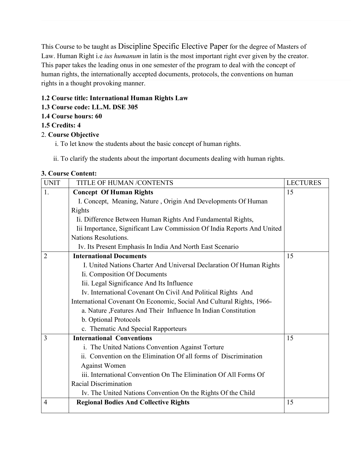This Course to be taught as Discipline Specific Elective Paper for the degree of Masters of Law. Human Right i.e *ius humanum* in latin is the most important right ever given by the creator. This paper takes the leading onus in one semester of the program to deal with the concept of human rights, the internationally accepted documents, protocols, the conventions on human rights in a thought provoking manner.

# **1.2 Course title: International Human Rights Law**

# **1.3 Course code: LL.M. DSE 305**

**1.4 Course hours: 60**

# **1.5 Credits: 4**

# 2. **Course Objective**

i. To let know the students about the basic concept of human rights.

ii. To clarify the students about the important documents dealing with human rights.

### **3. Course Content:**

| <b>UNIT</b>    | TITLE OF HUMAN /CONTENTS                                               | <b>LECTURES</b> |
|----------------|------------------------------------------------------------------------|-----------------|
| 1.             | <b>Concept Of Human Rights</b>                                         | 15              |
|                | I. Concept, Meaning, Nature, Origin And Developments Of Human          |                 |
|                | Rights                                                                 |                 |
|                | Ii. Difference Between Human Rights And Fundamental Rights,            |                 |
|                | Iii Importance, Significant Law Commission Of India Reports And United |                 |
|                | Nations Resolutions.                                                   |                 |
|                | Iv. Its Present Emphasis In India And North East Scenario              |                 |
| $\overline{2}$ | <b>International Documents</b>                                         | 15              |
|                | I. United Nations Charter And Universal Declaration Of Human Rights    |                 |
|                | Ii. Composition Of Documents                                           |                 |
|                | Iii. Legal Significance And Its Influence                              |                 |
|                | Iv. International Covenant On Civil And Political Rights And           |                 |
|                | International Covenant On Economic, Social And Cultural Rights, 1966-  |                 |
|                | a. Nature , Features And Their Influence In Indian Constitution        |                 |
|                | b. Optional Protocols                                                  |                 |
|                | c. Thematic And Special Rapporteurs                                    |                 |
| 3              | <b>International Conventions</b>                                       | 15              |
|                | i. The United Nations Convention Against Torture                       |                 |
|                | ii. Convention on the Elimination Of all forms of Discrimination       |                 |
|                | <b>Against Women</b>                                                   |                 |
|                | iii. International Convention On The Elimination Of All Forms Of       |                 |
|                | <b>Racial Discrimination</b>                                           |                 |
|                | Iv. The United Nations Convention On the Rights Of the Child           |                 |
| $\overline{4}$ | <b>Regional Bodies And Collective Rights</b>                           | 15              |
|                |                                                                        |                 |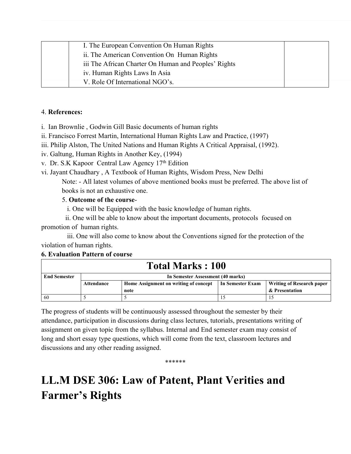| I. The European Convention On Human Rights           |  |
|------------------------------------------------------|--|
| ii. The American Convention On Human Rights          |  |
| iii The African Charter On Human and Peoples' Rights |  |
| iv. Human Rights Laws In Asia                        |  |
| V. Role Of International NGO's.                      |  |

### 4. **References:**

i. Ian Brownlie , Godwin Gill Basic documents of human rights

ii. Francisco Forrest Martin, International Human Rights Law and Practice, (1997)

iii. Philip Alston, The United Nations and Human Rights A Critical Appraisal, (1992).

iv. Galtung, Human Rights in Another Key, (1994)

v. Dr. S.K Kapoor Central Law Agency 17th Edition

vi. Jayant Chaudhary , A Textbook of Human Rights, Wisdom Press, New Delhi

Note: - All latest volumes of above mentioned books must be preferred. The above list of books is not an exhaustive one.

### 5. **Outcome of the course**-

i. One will be Equipped with the basic knowledge of human rights.

 ii. One will be able to know about the important documents, protocols focused on promotion of human rights.

 iii. One will also come to know about the Conventions signed for the protection of the violation of human rights.

### **6. Evaluation Pattern of course**

| <b>Total Marks : 100</b> |                                   |                                       |                  |                                  |
|--------------------------|-----------------------------------|---------------------------------------|------------------|----------------------------------|
| <b>End Semester</b>      | In Semester Assessment (40 marks) |                                       |                  |                                  |
|                          | Attendance                        | Home Assignment on writing of concept | In Semester Exam | <b>Writing of Research paper</b> |
|                          |                                   | note                                  |                  | & Presentation                   |
| -60                      |                                   |                                       |                  |                                  |

The progress of students will be continuously assessed throughout the semester by their attendance, participation in discussions during class lectures, tutorials, presentations writing of assignment on given topic from the syllabus. Internal and End semester exam may consist of long and short essay type questions, which will come from the text, classroom lectures and discussions and any other reading assigned.

\*\*\*\*\*\*

# **LL.M DSE 306: Law of Patent, Plant Verities and Farmer's Rights**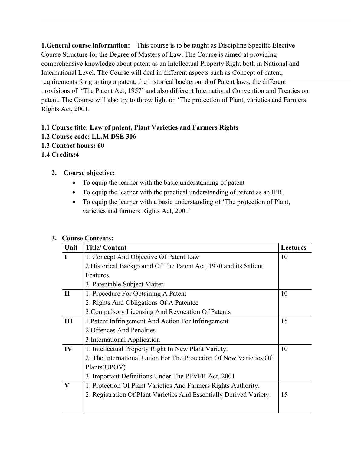**1.General course information:** This course is to be taught as Discipline Specific Elective Course Structure for the Degree of Masters of Law. The Course is aimed at providing comprehensive knowledge about patent as an Intellectual Property Right both in National and International Level. The Course will deal in different aspects such as Concept of patent, requirements for granting a patent, the historical background of Patent laws, the different provisions of 'The Patent Act, 1957' and also different International Convention and Treaties on patent. The Course will also try to throw light on 'The protection of Plant, varieties and Farmers Rights Act, 2001.

# **1.1 Course title: Law of patent, Plant Varieties and Farmers Rights**

- **1.2 Course code: LL.M DSE 306**
- **1.3 Contact hours: 60**
- **1.4 Credits:4**

### **2. Course objective:**

- To equip the learner with the basic understanding of patent
- To equip the learner with the practical understanding of patent as an IPR.
- To equip the learner with a basic understanding of 'The protection of Plant, varieties and farmers Rights Act, 2001'

### **3. Course Contents:**

| Unit         | <b>Title/Content</b>                                                | <b>Lectures</b> |
|--------------|---------------------------------------------------------------------|-----------------|
| $\mathbf I$  | 1. Concept And Objective Of Patent Law                              | 10              |
|              | 2. Historical Background Of The Patent Act, 1970 and its Salient    |                 |
|              | Features.                                                           |                 |
|              | 3. Patentable Subject Matter                                        |                 |
| $\mathbf{I}$ | 1. Procedure For Obtaining A Patent                                 | 10              |
|              | 2. Rights And Obligations Of A Patentee                             |                 |
|              | 3. Compulsory Licensing And Revocation Of Patents                   |                 |
| III          | 1. Patent Infringement And Action For Infringement                  | 15              |
|              | 2. Offences And Penalties                                           |                 |
|              | 3. International Application                                        |                 |
| IV           | 1. Intellectual Property Right In New Plant Variety.                | 10              |
|              | 2. The International Union For The Protection Of New Varieties Of   |                 |
|              | Plants(UPOV)                                                        |                 |
|              | 3. Important Definitions Under The PPVFR Act, 2001                  |                 |
| $\mathbf{V}$ | 1. Protection Of Plant Varieties And Farmers Rights Authority.      |                 |
|              | 2. Registration Of Plant Varieties And Essentially Derived Variety. | 15              |
|              |                                                                     |                 |
|              |                                                                     |                 |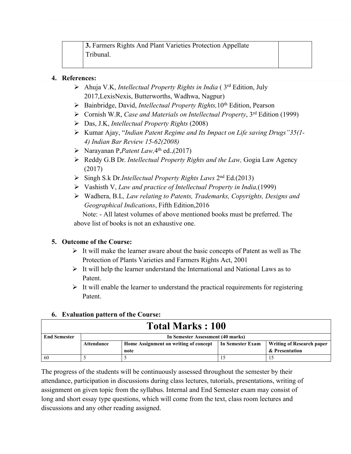### **4. References:**

- Ahuja V.K, *Intellectual Property Rights in India* ( 3rd Edition, July 2017,LexisNexis, Butterworths, Wadhwa, Nagpur)
- Bainbridge, David, *Intellectual Property Rights,*10th Edition, Pearson
- Cornish W.R, *Case and Materials on Intellectual Property*, 3rd Edition (1999)
- Das, J.K, *Intellectual Property Rights* (2008)
- Kumar Ajay, "*Indian Patent Regime and Its Impact on Life saving Drugs"35(1- 4) Indian Bar Review 15-62(2008)*
- Narayanan P,*Patent Law,*4 th ed.,(2017)
- Reddy G.B Dr. *Intellectual Property Rights and the Law,* Gogia Law Agency (2017)
- Singh S.k Dr.*Intellectual Property Rights Laws* 2nd Ed.(2013)
- Vashisth V, *Law and practice of Intellectual Property in India,*(1999)
- Wadhera, B.L*, Law relating to Patents, Trademarks, Copyrights, Designs and Geographical Indications*, Fifth Edition,2016

Note: - All latest volumes of above mentioned books must be preferred. The above list of books is not an exhaustive one.

# **5. Outcome of the Course:**

- $\triangleright$  It will make the learner aware about the basic concepts of Patent as well as The Protection of Plants Varieties and Farmers Rights Act, 2001
- $\triangleright$  It will help the learner understand the International and National Laws as to Patent.
- $\triangleright$  It will enable the learner to understand the practical requirements for registering Patent.

| <b>Total Marks: 100</b> |                                   |                                       |                  |                           |
|-------------------------|-----------------------------------|---------------------------------------|------------------|---------------------------|
| <b>End Semester</b>     | In Semester Assessment (40 marks) |                                       |                  |                           |
|                         | Attendance                        | Home Assignment on writing of concept | In Semester Exam | Writing of Research paper |
|                         |                                   | note                                  |                  | & Presentation            |
| 60                      |                                   |                                       |                  |                           |

# **6. Evaluation pattern of the Course:**

The progress of the students will be continuously assessed throughout the semester by their attendance, participation in discussions during class lectures, tutorials, presentations, writing of assignment on given topic from the syllabus. Internal and End Semester exam may consist of long and short essay type questions, which will come from the text, class room lectures and discussions and any other reading assigned.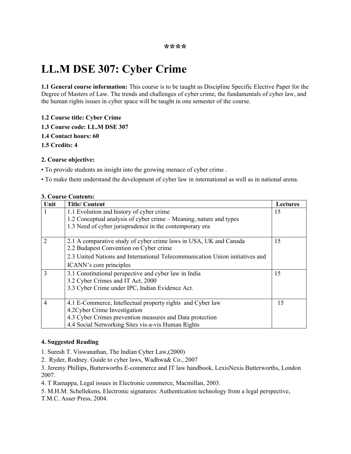# **LL.M DSE 307: Cyber Crime**

**1.1 General course information:** This course is to be taught as Discipline Specific Elective Paper for the Degree of Masters of Law. The trends and challenges of cyber crime, the fundamentals of cyber law, and the human rights issues in cyber space will be taught in one semester of the course.

**1.2 Course title: Cyber Crime**

**1.3 Course code: LL.M DSE 307**

**1.4 Contact hours: 60**

**1.5 Credits: 4**

#### **2. Course objective:**

• To provide students an insight into the growing menace of cyber crime .

• To make them understand the development of cyber law in international as well as in national arena.

| Unit           | <b>Title/Content</b>                                                         | <b>Lectures</b> |
|----------------|------------------------------------------------------------------------------|-----------------|
|                | 1.1 Evolution and history of cyber crime                                     | 15              |
|                | 1.2 Conceptual analysis of cyber crime – Meaning, nature and types           |                 |
|                | 1.3 Need of cyber jurisprudence in the contemporary era                      |                 |
|                |                                                                              |                 |
| $\mathfrak{D}$ | 2.1 A comparative study of cyber crime laws in USA, UK and Canada            | 15              |
|                | 2.2 Budapest Convention on Cyber crime                                       |                 |
|                | 2.3 United Nations and International Telecommunication Union initiatives and |                 |
|                | ICANN's core principles                                                      |                 |
| 3              | 3.1 Constitutional perspective and cyber law in India                        | 15              |
|                | 3.2 Cyber Crimes and IT Act, 2000                                            |                 |
|                | 3.3 Cyber Crime under IPC, Indian Evidence Act.                              |                 |
|                |                                                                              |                 |
| 4              | 4.1 E-Commerce, Intellectual property rights and Cyber law                   | 15              |
|                | 4.2 Cyber Crime Investigation                                                |                 |
|                | 4.3 Cyber Crimes prevention measures and Data protection                     |                 |
|                | 4.4 Social Networking Sites vis-a-vis Human Rights                           |                 |

### **3. Course Contents:**

#### **4. Suggested Reading**

1. Suresh T. Viswanathan, The Indian Cyber Law,(2000)

2. Ryder, Rodney. Guide to cyber laws, Wadhwa& Co., 2007

3. Jeremy Phillips, Butterworths E-commerce and IT law handbook, LexisNexis Butterworths, London 2007.

4. T Ramappa, Legal issues in Electronic commerce, Macmillan, 2003.

5. M.H.M. Schellekens, Electronic signatures: Authentication technology from a legal perspective, T.M.C. Asser Press, 2004.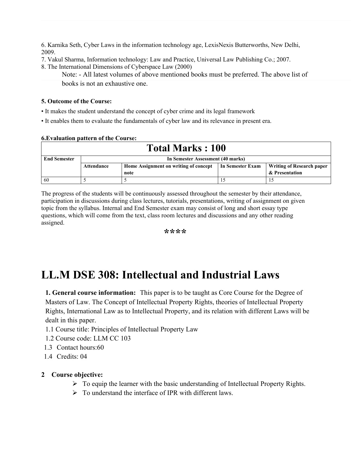6. Karnika Seth, Cyber Laws in the information technology age, LexisNexis Butterworths, New Delhi, 2009.

- 7. Vakul Sharma, Information technology: Law and Practice, Universal Law Publishing Co.; 2007.
- 8. The International Dimensions of Cyberspace Law (2000)
	- Note: All latest volumes of above mentioned books must be preferred. The above list of books is not an exhaustive one.

### **5. Outcome of the Course:**

**6.Evaluation pattern of the Course:**

- It makes the student understand the concept of cyber crime and its legal framework
- It enables them to evaluate the fundamentals of cyber law and its relevance in present era.

| <u>U.Evaluation</u> pattern of the Course. |                                   |                                       |                  |                           |  |
|--------------------------------------------|-----------------------------------|---------------------------------------|------------------|---------------------------|--|
| <b>Total Marks: 100</b>                    |                                   |                                       |                  |                           |  |
| <b>End Semester</b>                        | In Semester Assessment (40 marks) |                                       |                  |                           |  |
|                                            | <b>Attendance</b>                 | Home Assignment on writing of concept | In Semester Exam | Writing of Research paper |  |
|                                            |                                   | note                                  |                  | & Presentation            |  |
| 60                                         |                                   |                                       |                  |                           |  |

The progress of the students will be continuously assessed throughout the semester by their attendance, participation in discussions during class lectures, tutorials, presentations, writing of assignment on given topic from the syllabus. Internal and End Semester exam may consist of long and short essay type questions, which will come from the text, class room lectures and discussions and any other reading assigned.

**\*\*\*\***

# **LL.M DSE 308: Intellectual and Industrial Laws**

**1. General course information:** This paper is to be taught as Core Course for the Degree of Masters of Law. The Concept of Intellectual Property Rights, theories of Intellectual Property Rights, International Law as to Intellectual Property, and its relation with different Laws will be dealt in this paper.

- 1.1 Course title: Principles of Intellectual Property Law
- 1.2 Course code: LLM CC 103
- 1.3 Contact hours:60
- 1.4 Credits: 04

### **2 Course objective:**

- $\triangleright$  To equip the learner with the basic understanding of Intellectual Property Rights.
- $\triangleright$  To understand the interface of IPR with different laws.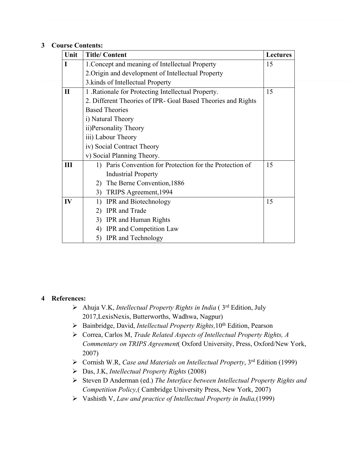### **3 Course Contents:**

| Unit         | <b>Title/Content</b>                                                      | <b>Lectures</b> |  |  |
|--------------|---------------------------------------------------------------------------|-----------------|--|--|
| L            | 1. Concept and meaning of Intellectual Property                           |                 |  |  |
|              | 2. Origin and development of Intellectual Property                        |                 |  |  |
|              | 3. kinds of Intellectual Property                                         |                 |  |  |
| $\mathbf{I}$ | 1 .Rationale for Protecting Intellectual Property.                        | 15              |  |  |
|              | 2. Different Theories of IPR- Goal Based Theories and Rights              |                 |  |  |
|              | <b>Based Theories</b>                                                     |                 |  |  |
|              | i) Natural Theory                                                         |                 |  |  |
|              | ii)Personality Theory                                                     |                 |  |  |
|              | iii) Labour Theory                                                        |                 |  |  |
|              | iv) Social Contract Theory                                                |                 |  |  |
|              | v) Social Planning Theory.                                                |                 |  |  |
| III          | Paris Convention for Protection for the Protection of<br>$\left  \right $ | 15              |  |  |
|              | <b>Industrial Property</b>                                                |                 |  |  |
|              | The Berne Convention, 1886<br>2)                                          |                 |  |  |
|              | 3) TRIPS Agreement, 1994                                                  |                 |  |  |
| IV           | <b>IPR</b> and Biotechnology<br>1)                                        | 15              |  |  |
|              | <b>IPR</b> and Trade<br>2)                                                |                 |  |  |
|              | <b>IPR</b> and Human Rights<br>3)                                         |                 |  |  |
|              | <b>IPR</b> and Competition Law<br>4)                                      |                 |  |  |
|              | <b>IPR</b> and Technology<br>5)                                           |                 |  |  |

### **4 References:**

- Ahuja V.K, *Intellectual Property Rights in India* ( 3rd Edition, July 2017,LexisNexis, Butterworths, Wadhwa, Nagpur)
- Bainbridge, David, *Intellectual Property Rights,*10th Edition, Pearson
- Correa, Carlos M, *Trade Related Aspects of Intellectual Property Rights, A Commentary on TRIPS Agreement*( Oxford University, Press, Oxford/New York, 2007)
- Cornish W.R, *Case and Materials on Intellectual Property*, 3rd Edition (1999)
- Das, J.K, *Intellectual Property Rights* (2008)
- Steven D Anderman (ed.) *The Interface between Intellectual Property Rights and Competition Policy,*( Cambridge University Press, New York, 2007)
- Vashisth V, *Law and practice of Intellectual Property in India,*(1999)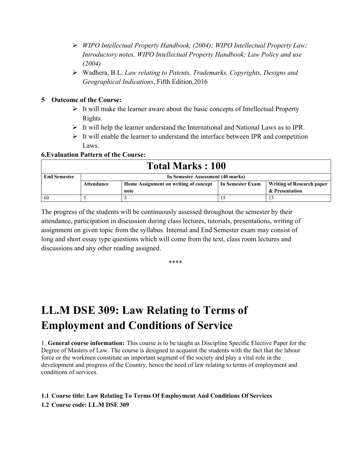- *WIPO Intellectual Property Handbook, (2004); WIPO Intellectual Property Law; Introductory notes, WIPO Intellectual Property Handbook; Law Policy and use (2004)*
- Wadhera, B.L*, Law relating to Patents, Trademarks, Copyrights, Designs and Geographical Indications*, Fifth Edition,2016

### **5 Outcome of the Course:**

- $\triangleright$  It will make the learner aware about the basic concepts of Intellectual Property Rights.
- $\triangleright$  It will help the learner understand the International and National Laws as to IPR.
- $\triangleright$  It will enable the learner to understand the interface between IPR and competition Laws.

### **6.Evaluation Pattern of the Course:**

| <b>Total Marks: 100</b> |                                   |                                       |                  |                                  |
|-------------------------|-----------------------------------|---------------------------------------|------------------|----------------------------------|
| <b>End Semester</b>     | In Semester Assessment (40 marks) |                                       |                  |                                  |
|                         | Attendance                        | Home Assignment on writing of concept | In Semester Exam | <b>Writing of Research paper</b> |
|                         |                                   | note                                  |                  | & Presentation                   |
| -60                     |                                   |                                       |                  |                                  |

The progress of the students will be continuously assessed throughout the semester by their attendance, participation in discussion during class lectures, tutorials, presentations, writing of assignment on given topic from the syllabus. Internal and End Semester exam may consist of long and short essay type questions which will come from the text, class room lectures and discussions and any other reading assigned.

\*\*\*\*

# **LL.M DSE 309: Law Relating to Terms of Employment and Conditions of Service**

1. **General course information:** This course is to be taught as Discipline Specific Elective Paper for the Degree of Masters of Law. The course is designed to acquaint the students with the fact that the labour force or the workmen constitute an important segment of the society and play a vital role in the development and progress of the Country, hence the need of law relating to terms of employment and conditions of services.

### **1.1 Course title: Law Relating To Terms Of Employment And Conditions Of Services 1.2 Course code: LL.M DSE 309**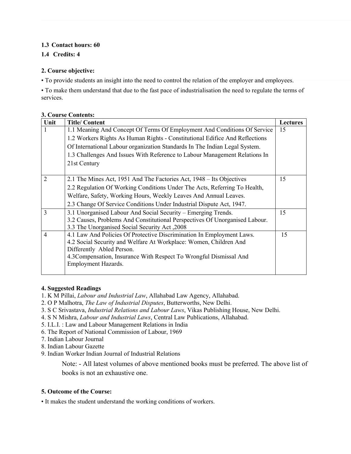### **1.3 Contact hours: 60**

### **1.4 Credits: 4**

### **2. Course objective:**

• To provide students an insight into the need to control the relation of the employer and employees.

• To make them understand that due to the fast pace of industrialisation the need to regulate the terms of services.

| Unit           | <b>Title/Content</b>                                                        | <b>Lectures</b> |  |  |
|----------------|-----------------------------------------------------------------------------|-----------------|--|--|
|                | 1.1 Meaning And Concept Of Terms Of Employment And Conditions Of Service    | 15              |  |  |
|                | 1.2 Workers Rights As Human Rights - Constitutional Edifice And Reflections |                 |  |  |
|                | Of International Labour organization Standards In The Indian Legal System.  |                 |  |  |
|                | 1.3 Challenges And Issues With Reference to Labour Management Relations In  |                 |  |  |
|                | 21st Century                                                                |                 |  |  |
|                |                                                                             |                 |  |  |
| $\overline{2}$ | 2.1 The Mines Act, 1951 And The Factories Act, 1948 – Its Objectives        | 15              |  |  |
|                | 2.2 Regulation Of Working Conditions Under The Acts, Referring To Health,   |                 |  |  |
|                | Welfare, Safety, Working Hours, Weekly Leaves And Annual Leaves.            |                 |  |  |
|                | 2.3 Change Of Service Conditions Under Industrial Dispute Act, 1947.        |                 |  |  |
| 3              | 3.1 Unorganised Labour And Social Security – Emerging Trends.               | 15              |  |  |
|                | 3.2 Causes, Problems And Constitutional Perspectives Of Unorganised Labour. |                 |  |  |
|                | 3.3 The Unorganised Social Security Act, 2008                               |                 |  |  |
| 4              | 4.1 Law And Policies Of Protective Discrimination In Employment Laws.       | 15              |  |  |
|                | 4.2 Social Security and Welfare At Workplace: Women, Children And           |                 |  |  |
|                | Differently Abled Person.                                                   |                 |  |  |
|                | 4.3 Compensation, Insurance With Respect To Wrongful Dismissal And          |                 |  |  |
|                | Employment Hazards.                                                         |                 |  |  |
|                |                                                                             |                 |  |  |

### **3. Course Contents:**

### **4. Suggested Readings**

- 1. K M Pillai, *Labour and Industrial Law*, Allahabad Law Agency, Allahabad.
- 2. O P Malhotra, *The Law of Industrial Disputes*, Butterworths, New Delhi.
- 3. S C Srivastava, *Industrial Relations and Labour Laws*, Vikas Publishing House, New Delhi.
- 4. S N Mishra, *Labour and Industrial Laws*, Central Law Publications, Allahabad.
- 5. I.L.I. : Law and Labour Management Relations in India
- 6. The Report of National Commission of Labour, 1969
- 7. Indian Labour Journal
- 8. Indian Labour Gazette
- 9. Indian Worker Indian Journal of Industrial Relations

Note: - All latest volumes of above mentioned books must be preferred. The above list of books is not an exhaustive one.

### **5. Outcome of the Course:**

• It makes the student understand the working conditions of workers.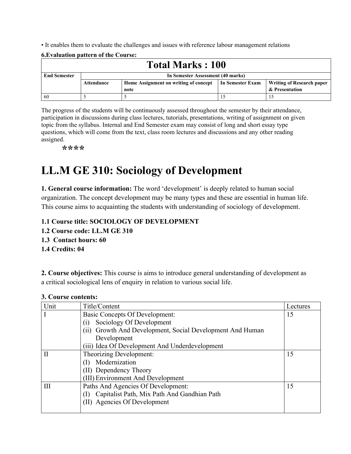• It enables them to evaluate the challenges and issues with reference labour management relations

|                         | <u>U.Evaluation</u> pattern of the Course. |                                       |                  |                                  |  |  |  |
|-------------------------|--------------------------------------------|---------------------------------------|------------------|----------------------------------|--|--|--|
| <b>Total Marks: 100</b> |                                            |                                       |                  |                                  |  |  |  |
| <b>End Semester</b>     | In Semester Assessment (40 marks)          |                                       |                  |                                  |  |  |  |
|                         | Attendance                                 | Home Assignment on writing of concept | In Semester Exam | <b>Writing of Research paper</b> |  |  |  |
|                         |                                            | note                                  |                  | & Presentation                   |  |  |  |
| 60                      |                                            |                                       |                  |                                  |  |  |  |

**6.Evaluation pattern of the Course:**

The progress of the students will be continuously assessed throughout the semester by their attendance, participation in discussions during class lectures, tutorials, presentations, writing of assignment on given topic from the syllabus. Internal and End Semester exam may consist of long and short essay type questions, which will come from the text, class room lectures and discussions and any other reading assigned.

**\*\*\*\***

## **LL.M GE 310: Sociology of Development**

**1. General course information:** The word 'development' is deeply related to human social organization. The concept development may be many types and these are essential in human life. This course aims to acquainting the students with understanding of sociology of development.

#### **1.1 Course title: SOCIOLOGY OF DEVELOPMENT**

- **1.2 Course code: LL.M GE 310**
- **1.3 Contact hours: 60**
- **1.4 Credits: 04**

**2. Course objectives:** This course is aims to introduce general understanding of development as a critical sociological lens of enquiry in relation to various social life.

| Unit         | Title/Content                                             | Lectures |
|--------------|-----------------------------------------------------------|----------|
|              | <b>Basic Concepts Of Development:</b>                     | 15       |
|              | Sociology Of Development                                  |          |
|              | (ii) Growth And Development, Social Development And Human |          |
|              | Development                                               |          |
|              | (iii) Idea Of Development And Underdevelopment            |          |
| $\mathbf{H}$ | Theorizing Development:                                   | 15       |
|              | Modernization                                             |          |
|              | (II) Dependency Theory                                    |          |
|              | (III) Environment And Development                         |          |
| Ш            | Paths And Agencies Of Development:                        | 15       |
|              | Capitalist Path, Mix Path And Gandhian Path<br>(1)        |          |
|              | (II) Agencies Of Development                              |          |
|              |                                                           |          |

#### **3. Course contents:**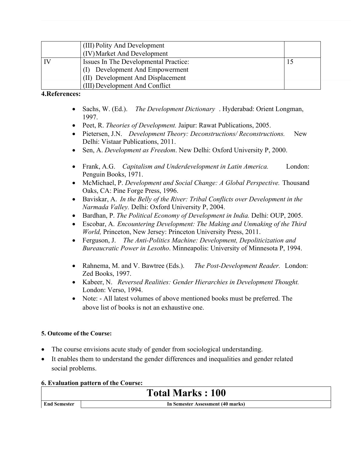| (III) Polity And Development          |  |
|---------------------------------------|--|
| (IV) Market And Development           |  |
| Issues In The Developmental Practice: |  |
| (I) Development And Empowerment       |  |
| (II) Development And Displacement     |  |
| (III) Development And Conflict        |  |

#### **4.References:**

- Sachs, W. (Ed.). *The Development Dictionary* . Hyderabad: Orient Longman, 1997.
- Peet, R. *Theories of Development.* Jaipur: Rawat Publications, 2005.
- Pietersen, J.N. *Development Theory: Deconstructions/ Reconstructions.* New Delhi: Vistaar Publications, 2011.
- Sen, A. *Development as Freedom*. New Delhi: Oxford University P, 2000.
- Frank, A.G. *Capitalism and Underdevelopment in Latin America.* London: Penguin Books, 1971.
- McMichael, P. *Development and Social Change: A Global Perspective.* Thousand Oaks, CA: Pine Forge Press, 1996.
- Baviskar, A. *In the Belly of the River: Tribal Conflicts over Development in the Narmada Valley.* Delhi: Oxford University P, 2004.
- Bardhan, P. *The Political Economy of Development in India.* Delhi: OUP, 2005.
- Escobar, A. *Encountering Development: The Making and Unmaking of the Third World,* Princeton, New Jersey: Princeton University Press, 2011.
- Ferguson, J. *The Anti-Politics Machine: Development, Depoliticization and Bureaucratic Power in Lesotho*. Minneapolis: University of Minnesota P, 1994.
- Rahnema, M. and V. Bawtree (Eds.). *The Post-Development Reader.* London: Zed Books, 1997.
- Kabeer, N. *Reversed Realities: Gender Hierarchies in Development Thought.* London: Verso, 1994.
- Note: All latest volumes of above mentioned books must be preferred. The above list of books is not an exhaustive one.

#### **5. Outcome of the Course:**

- The course envisions acute study of gender from sociological understanding.
- It enables them to understand the gender differences and inequalities and gender related social problems.

#### **6. Evaluation pattern of the Course:**

## **Total Marks : 100**

**End Semester In Semester Assessment (40 marks)**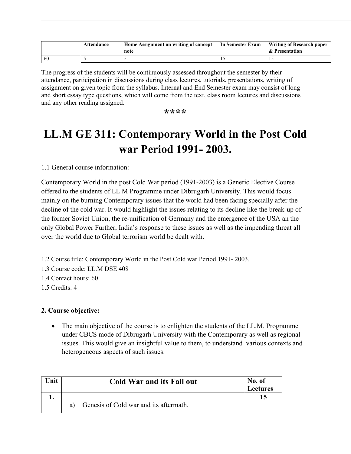|     | Attendance | Home Assignment on writing of concept<br>note | In Semester Exam | Writing of Research paper<br>& Presentation |
|-----|------------|-----------------------------------------------|------------------|---------------------------------------------|
| -60 |            |                                               |                  |                                             |

The progress of the students will be continuously assessed throughout the semester by their attendance, participation in discussions during class lectures, tutorials, presentations, writing of assignment on given topic from the syllabus. Internal and End Semester exam may consist of long and short essay type questions, which will come from the text, class room lectures and discussions and any other reading assigned.

**\*\*\*\***

## **LL.M GE 311: Contemporary World in the Post Cold war Period 1991- 2003.**

1.1 General course information:

Contemporary World in the post Cold War period (1991-2003) is a Generic Elective Course offered to the students of LL.M Programme under Dibrugarh University. This would focus mainly on the burning Contemporary issues that the world had been facing specially after the decline of the cold war. It would highlight the issues relating to its decline like the break-up of the former Soviet Union, the re-unification of Germany and the emergence of the USA an the only Global Power Further, India's response to these issues as well as the impending threat all over the world due to Global terrorism world be dealt with.

- 1.2 Course title: Contemporary World in the Post Cold war Period 1991- 2003.
- 1.3 Course code: LL.M DSE 408
- 1.4 Contact hours: 60
- 1.5 Credits: 4

#### **2. Course objective:**

 The main objective of the course is to enlighten the students of the LL.M. Programme under CBCS mode of Dibrugarh University with the Contemporary as well as regional issues. This would give an insightful value to them, to understand various contexts and heterogeneous aspects of such issues.

| Unit | <b>Cold War and its Fall out</b>             | No. of<br><b>Lectures</b> |
|------|----------------------------------------------|---------------------------|
|      | Genesis of Cold war and its aftermath.<br>a) |                           |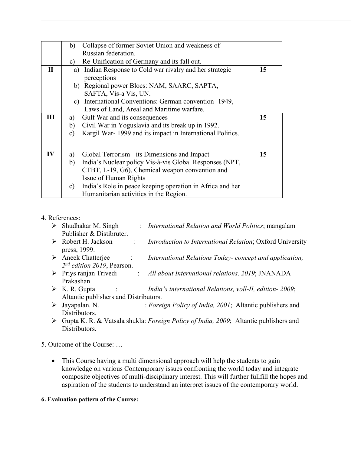|             | Collapse of former Soviet Union and weakness of<br>b)                      |    |
|-------------|----------------------------------------------------------------------------|----|
|             | Russian federation.                                                        |    |
|             | Re-Unification of Germany and its fall out.<br>C)                          |    |
| $\mathbf H$ | a) Indian Response to Cold war rivalry and her strategic                   | 15 |
|             | perceptions                                                                |    |
|             | b) Regional power Blocs: NAM, SAARC, SAPTA,                                |    |
|             | SAFTA, Vis-a Vis, UN.                                                      |    |
|             | c) International Conventions: German convention-1949,                      |    |
|             | Laws of Land, Areal and Maritime warfare.                                  |    |
| Ш           | Gulf War and its consequences<br>a)                                        | 15 |
|             | Civil War in Yoguslavia and its break up in 1992.<br>b)                    |    |
|             | Kargil War-1999 and its impact in International Politics.<br>$\mathbf{c})$ |    |
|             |                                                                            |    |
|             |                                                                            |    |
| IV          | Global Terrorism - its Dimensions and Impact<br>a)                         | 15 |
|             | India's Nuclear policy Vis-à-vis Global Responses (NPT,<br>b)              |    |
|             | CTBT, L-19, G6), Chemical weapon convention and                            |    |
|             | <b>Issue of Human Rights</b>                                               |    |
|             | India's Role in peace keeping operation in Africa and her<br>$\mathbf{c})$ |    |
|             | Humanitarian activities in the Region.                                     |    |
|             |                                                                            |    |

#### 4. References:

| ➤ | Shudhakar M. Singh                              | : International Relation and World Politics; mangalam     |
|---|-------------------------------------------------|-----------------------------------------------------------|
|   | Publisher & Distibruter.                        |                                                           |
|   | $\triangleright$ Robert H. Jackson              | Introduction to International Relation; Oxford University |
|   | press, 1999.                                    |                                                           |
|   | $\triangleright$ Aneek Chatterjee<br>$\sim 100$ | International Relations Today-concept and application;    |
|   | $2^{nd}$ edition 2019, Pearson.                 |                                                           |
|   | $\triangleright$ Priys ranjan Trivedi           | All about International relations, 2019; JNANADA          |
|   | Prakashan.                                      |                                                           |

- K. R. Gupta : *India's international Relations, voll-II, edition- 2009*; Altantic publishers and Distributors.
- Jayapalan. N. *: Foreign Policy of India, 2001*; Altantic publishers and Distributors.
- Gupta K. R. & Vatsala shukla: *Foreign Policy of India, 2009*; Altantic publishers and Distributors.

#### 5. Outcome of the Course: …

• This Course having a multi dimensional approach will help the students to gain knowledge on various Contemporary issues confronting the world today and integrate composite objectives of multi-disciplinary interest. This will further fullfill the hopes and aspiration of the students to understand an interpret issues of the contemporary world.

#### **6. Evaluation pattern of the Course:**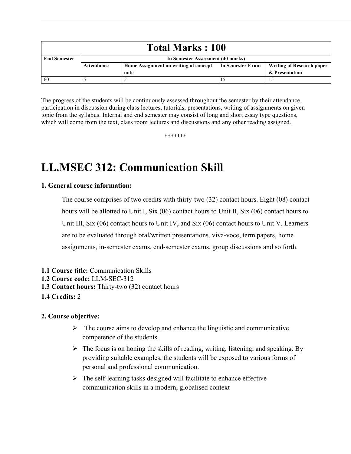| <b>Total Marks: 100</b> |                                   |                                       |                  |                                  |  |  |  |  |
|-------------------------|-----------------------------------|---------------------------------------|------------------|----------------------------------|--|--|--|--|
| <b>End Semester</b>     | In Semester Assessment (40 marks) |                                       |                  |                                  |  |  |  |  |
|                         | Attendance                        | Home Assignment on writing of concept | In Semester Exam | <b>Writing of Research paper</b> |  |  |  |  |
|                         |                                   | note                                  |                  | & Presentation                   |  |  |  |  |
| -60                     |                                   |                                       |                  |                                  |  |  |  |  |

The progress of the students will be continuously assessed throughout the semester by their attendance, participation in discussion during class lectures, tutorials, presentations, writing of assignments on given topic from the syllabus. Internal and end semester may consist of long and short essay type questions, which will come from the text, class room lectures and discussions and any other reading assigned.

\*\*\*\*\*\*\*

## **LL.MSEC 312: Communication Skill**

#### **1. General course information:**

The course comprises of two credits with thirty-two (32) contact hours. Eight (08) contact hours will be allotted to Unit I, Six (06) contact hours to Unit II, Six (06) contact hours to Unit III, Six (06) contact hours to Unit IV, and Six (06) contact hours to Unit V. Learners are to be evaluated through oral/written presentations, viva-voce, term papers, home assignments, in-semester exams, end-semester exams, group discussions and so forth.

**1.1 Course title:** Communication Skills **1.2 Course code:** LLM-SEC-312 **1.3 Contact hours:** Thirty-two (32) contact hours **1.4 Credits:** 2

#### **2. Course objective:**

- $\triangleright$  The course aims to develop and enhance the linguistic and communicative competence of the students.
- $\triangleright$  The focus is on honing the skills of reading, writing, listening, and speaking. By providing suitable examples, the students will be exposed to various forms of personal and professional communication.
- $\triangleright$  The self-learning tasks designed will facilitate to enhance effective communication skills in a modern, globalised context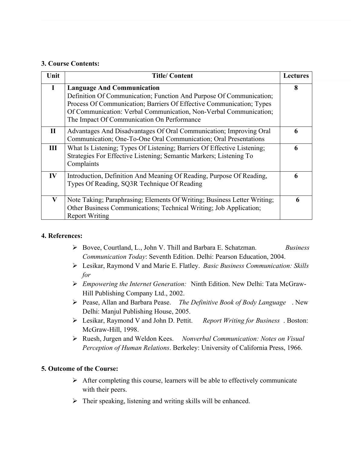#### **3. Course Contents:**

| Unit         | <b>Title/Content</b>                                                                                                                                                                                                                                                                                | <b>Lectures</b> |
|--------------|-----------------------------------------------------------------------------------------------------------------------------------------------------------------------------------------------------------------------------------------------------------------------------------------------------|-----------------|
| I            | <b>Language And Communication</b><br>Definition Of Communication; Function And Purpose Of Communication;<br>Process Of Communication; Barriers Of Effective Communication; Types<br>Of Communication: Verbal Communication, Non-Verbal Communication;<br>The Impact Of Communication On Performance | 8               |
| $\mathbf{I}$ | Advantages And Disadvantages Of Oral Communication; Improving Oral<br>Communication; One-To-One Oral Communication; Oral Presentations                                                                                                                                                              | 6               |
| III          | What Is Listening; Types Of Listening; Barriers Of Effective Listening;<br>Strategies For Effective Listening; Semantic Markers; Listening To<br>Complaints                                                                                                                                         | 6               |
| IV           | Introduction, Definition And Meaning Of Reading, Purpose Of Reading,<br>Types Of Reading, SQ3R Technique Of Reading                                                                                                                                                                                 | 6               |
| $\bf{V}$     | Note Taking; Paraphrasing; Elements Of Writing; Business Letter Writing;<br>Other Business Communications; Technical Writing; Job Application;<br><b>Report Writing</b>                                                                                                                             | 6               |

#### **4. References:**

- Bovee, Courtland, L., John V. Thill and Barbara E. Schatzman. *Business Communication Today*: Seventh Edition. Delhi: Pearson Education, 2004.
- Lesikar, Raymond V and Marie E. Flatley. *Basic Business Communication: Skills for*
- *Empowering the Internet Generation:* Ninth Edition. New Delhi: Tata McGraw-Hill Publishing Company Ltd., 2002.
- Pease, Allan and Barbara Pease. *The Definitive Book of Body Language* . New Delhi: Manjul Publishing House, 2005.
- Lesikar, Raymond V and John D. Pettit. *Report Writing for Business* . Boston: McGraw-Hill, 1998.
- Ruesh, Jurgen and Weldon Kees. *Nonverbal Communication: Notes on Visual Perception of Human Relations*. Berkeley: University of California Press, 1966.

#### **5. Outcome of the Course:**

- $\triangleright$  After completing this course, learners will be able to effectively communicate with their peers.
- $\triangleright$  Their speaking, listening and writing skills will be enhanced.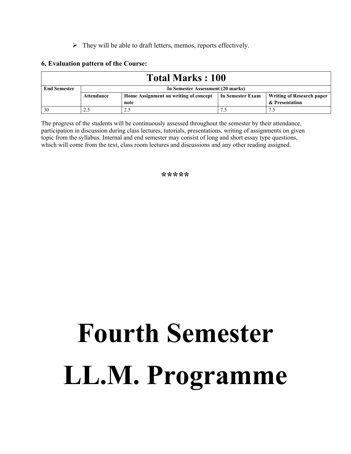$\triangleright$  They will be able to draft letters, memos, reports effectively.

#### **6. Evaluation pattern of the Course:**

| <b>Total Marks: 100</b> |                                   |                                       |                  |                                  |  |  |  |
|-------------------------|-----------------------------------|---------------------------------------|------------------|----------------------------------|--|--|--|
| <b>End Semester</b>     | In Semester Assessment (20 marks) |                                       |                  |                                  |  |  |  |
|                         | Attendance                        | Home Assignment on writing of concept | In Semester Exam | <b>Writing of Research paper</b> |  |  |  |
|                         |                                   | note                                  |                  | & Presentation                   |  |  |  |
| 30                      |                                   |                                       | 7                | ⇁                                |  |  |  |

The progress of the students will be continuously assessed throughout the semester by their attendance, participation in discussion during class lectures, tutorials, presentations, writing of assignments on given topic from the syllabus. Internal and end semester may consist of long and short essay type questions, which will come from the text, class room lectures and discussions and any other reading assigned.

**\*\*\*\*\***

# **Fourth Semester LL.M. Programme**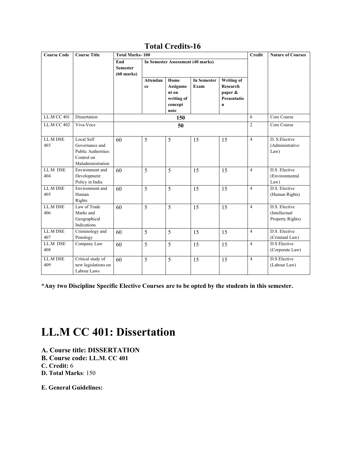| <b>Course Code</b> | <b>Course Title</b>                                                                           | <b>Total Marks-100</b>                 |                       |                                                            |                            |                                                              |                | <b>Nature of Courses</b>                           |
|--------------------|-----------------------------------------------------------------------------------------------|----------------------------------------|-----------------------|------------------------------------------------------------|----------------------------|--------------------------------------------------------------|----------------|----------------------------------------------------|
|                    |                                                                                               | End<br><b>Semester</b><br>$(60$ marks) |                       | In Semester Assessment (40 marks)                          |                            |                                                              |                |                                                    |
|                    |                                                                                               |                                        | <b>Attendan</b><br>ce | Home<br>Assignme<br>nt on<br>writing of<br>concept<br>note | <b>In Semester</b><br>Exam | Writing of<br><b>Research</b><br>paper &<br>Presentatio<br>n |                |                                                    |
| <b>LL.M CC 401</b> | Dissertation                                                                                  |                                        |                       | 150                                                        |                            |                                                              | 6              | Core Course                                        |
| <b>LL.M CC 402</b> | Viva-Voce                                                                                     |                                        |                       | 50                                                         |                            |                                                              | $\overline{2}$ | Core Course                                        |
| LL.M DSE<br>403    | <b>Local Self</b><br>Governance and<br>Public Authorities:<br>Control on<br>Maladministration | 60                                     | 5                     | 5                                                          | 15                         | 15                                                           | $\overline{4}$ | D. S. Elective<br>(Administrative<br>Law)          |
| LL.M DSE<br>404    | Environment and<br>Development:<br>Policy in India                                            | 60                                     | $\overline{5}$        | 5                                                          | 15                         | 15                                                           | $\overline{4}$ | D.S. Elective<br>(Environmental<br>Law)            |
| LL.M DSE<br>405    | Environment and<br>Human<br>Rights                                                            | 60                                     | 5                     | 5                                                          | 15                         | 15                                                           | $\overline{4}$ | D.S. Elective<br>(Human Rights)                    |
| LL.M DSE<br>406    | Law of Trade<br>Marks and<br>Geographical<br>Indications                                      | 60                                     | 5                     | 5                                                          | 15                         | 15                                                           | $\overline{4}$ | D.S. Elective<br>(Intellectual<br>Property Rights) |
| LL.M DSE<br>407    | Criminology and<br>Penology                                                                   | 60                                     | 5                     | 5                                                          | 15                         | 15                                                           | $\overline{4}$ | D.S. Elective<br>(Criminal Law)                    |
| LL.M DSE<br>408    | Company Law                                                                                   | 60                                     | 5                     | 5                                                          | 15                         | 15                                                           | $\overline{4}$ | <b>D.S</b> Elective<br>(Corporate Law)             |
| LL.M DSE<br>409    | Critical study of<br>new legislations on<br>Labour Laws                                       | 60                                     | 5                     | 5                                                          | 15                         | 15                                                           | $\overline{4}$ | D.S Elective<br>(Labour Law)                       |

### **Total Credits-16**

**\*Any two Discipline Specific Elective Courses are to be opted by the students in this semester.**

## **LL.M CC 401: Dissertation**

- **A. Course title: DISSERTATION**
- **B. Course code: LL.M. CC 401**
- **C. Credit:** 6
- **D. Total Marks**: 150

**E. General Guidelines:**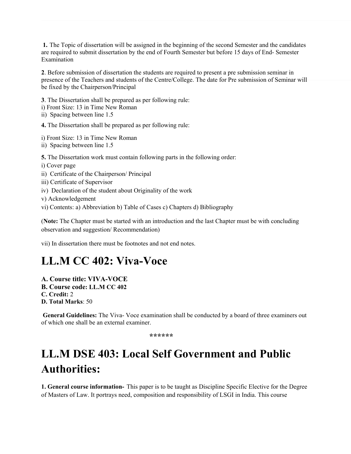**1.** The Topic of dissertation will be assigned in the beginning of the second Semester and the candidates are required to submit dissertation by the end of Fourth Semester but before 15 days of End- Semester Examination

**2**. Before submission of dissertation the students are required to present a pre submission seminar in presence of the Teachers and students of the Centre/College. The date for Pre submission of Seminar will be fixed by the Chairperson/Principal

**3**. The Dissertation shall be prepared as per following rule: i) Front Size: 13 in Time New Roman ii) Spacing between line 1.5

**4.** The Dissertation shall be prepared as per following rule:

i) Front Size: 13 in Time New Roman

ii) Spacing between line 1.5

**5.** The Dissertation work must contain following parts in the following order:

i) Cover page

- ii) Certificate of the Chairperson/ Principal
- iii) Certificate of Supervisor
- iv) Declaration of the student about Originality of the work
- v) Acknowledgement
- vi) Contents: a) Abbreviation b) Table of Cases c) Chapters d) Bibliography

(**Note:** The Chapter must be started with an introduction and the last Chapter must be with concluding observation and suggestion/ Recommendation)

vii) In dissertation there must be footnotes and not end notes.

## **LL.M CC 402: Viva-Voce**

**A. Course title: VIVA-VOCE B. Course code: LL.M CC 402 C. Credit:** 2 **D. Total Marks**: 50

 **General Guidelines:** The Viva- Voce examination shall be conducted by a board of three examiners out of which one shall be an external examiner.

 **\*\*\*\*\*\***

## **LL.M DSE 403: Local Self Government and Public Authorities:**

**1. General course information-** This paper is to be taught as Discipline Specific Elective for the Degree of Masters of Law. It portrays need, composition and responsibility of LSGI in India. This course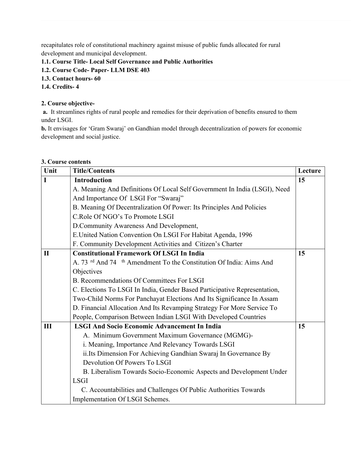recapitulates role of constitutional machinery against misuse of public funds allocated for rural development and municipal development.

#### **1.1. Course Title- Local Self Governance and Public Authorities**

- **1.2. Course Code- Paper- LLM DSE 403**
- **1.3. Contact hours- 60**

#### **1.4. Credits- 4**

#### **2. Course objective-**

 **a.** It streamlines rights of rural people and remedies for their deprivation of benefits ensured to them under LSGI.

**b.** It envisages for 'Gram Swaraj' on Gandhian model through decentralization of powers for economic development and social justice.

#### **3. Course contents**

| Unit         | <b>Title/Contents</b>                                                                     | Lecture |
|--------------|-------------------------------------------------------------------------------------------|---------|
| $\mathbf{I}$ | <b>Introduction</b>                                                                       | 15      |
|              | A. Meaning And Definitions Of Local Self Government In India (LSGI), Need                 |         |
|              | And Importance Of LSGI For "Swaraj"                                                       |         |
|              | B. Meaning Of Decentralization Of Power: Its Principles And Policies                      |         |
|              | C.Role Of NGO's To Promote LSGI                                                           |         |
|              | D.Community Awareness And Development,                                                    |         |
|              | E.United Nation Convention On LSGI For Habitat Agenda, 1996                               |         |
|              | F. Community Development Activities and Citizen's Charter                                 |         |
| $\mathbf{I}$ | <b>Constitutional Framework Of LSGI In India</b>                                          | 15      |
|              | A. 73 <sup>rd</sup> And 74 <sup>th</sup> Amendment To the Constitution Of India: Aims And |         |
|              | Objectives                                                                                |         |
|              | B. Recommendations Of Committees For LSGI                                                 |         |
|              | C. Elections To LSGI In India, Gender Based Participative Representation,                 |         |
|              | Two-Child Norms For Panchayat Elections And Its Significance In Assam                     |         |
|              | D. Financial Allocation And Its Revamping Strategy For More Service To                    |         |
|              | People, Comparison Between Indian LSGI With Developed Countries                           |         |
| III          | <b>LSGI And Socio Economic Advancement In India</b>                                       | 15      |
|              | A. Minimum Government Maximum Governance (MGMG)-                                          |         |
|              | i. Meaning, Importance And Relevancy Towards LSGI                                         |         |
|              | ii. Its Dimension For Achieving Gandhian Swaraj In Governance By                          |         |
|              | Devolution Of Powers To LSGI                                                              |         |
|              | B. Liberalism Towards Socio-Economic Aspects and Development Under                        |         |
|              | <b>LSGI</b>                                                                               |         |
|              | C. Accountabilities and Challenges Of Public Authorities Towards                          |         |
|              | Implementation Of LSGI Schemes.                                                           |         |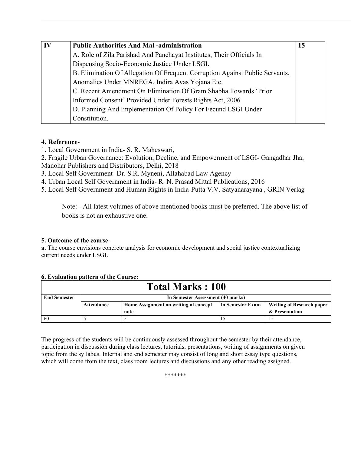| $\mathbf{I}$ | <b>Public Authorities And Mal-administration</b>                             | 15 |
|--------------|------------------------------------------------------------------------------|----|
|              | A. Role of Zila Parishad And Panchayat Institutes, Their Officials In        |    |
|              | Dispensing Socio-Economic Justice Under LSGI.                                |    |
|              | B. Elimination Of Allegation Of Frequent Corruption Against Public Servants, |    |
|              | Anomalies Under MNREGA, Indira Avas Yojana Etc.                              |    |
|              | C. Recent Amendment On Elimination Of Gram Shabha Towards 'Prior             |    |
|              | Informed Consent' Provided Under Forests Rights Act, 2006                    |    |
|              | D. Planning And Implementation Of Policy For Fecund LSGI Under               |    |
|              | Constitution.                                                                |    |

#### **4. Reference**-

- 1. Local Government in India- S. R. Maheswari,
- 2. Fragile Urban Governance: Evolution, Decline, and Empowerment of LSGI- Gangadhar Jha, Manohar Publishers and Distributors, Delhi, 2018

3. Local Self Government- Dr. S.R. Myneni, Allahabad Law Agency

4. Urban Local Self Government in India- R. N. Prasad Mittal Publications, 2016

5. Local Self Government and Human Rights in India-Putta V.V. Satyanarayana , GRIN Verlag

Note: - All latest volumes of above mentioned books must be preferred. The above list of books is not an exhaustive one.

#### **5. Outcome of the course**-

**a.** The course envisions concrete analysis for economic development and social justice contextualizing current needs under LSGI.

|                         | <u>v. Evaluativii battelli vi tile Course.</u> |                                       |                  |                                  |  |
|-------------------------|------------------------------------------------|---------------------------------------|------------------|----------------------------------|--|
| <b>Total Marks: 100</b> |                                                |                                       |                  |                                  |  |
| <b>End Semester</b>     | In Semester Assessment (40 marks)              |                                       |                  |                                  |  |
|                         | Attendance                                     | Home Assignment on writing of concept | In Semester Exam | <b>Writing of Research paper</b> |  |
|                         |                                                | note                                  |                  | & Presentation                   |  |
| 60                      |                                                |                                       |                  |                                  |  |

#### **6. Evaluation pattern of the Course:**

The progress of the students will be continuously assessed throughout the semester by their attendance, participation in discussion during class lectures, tutorials, presentations, writing of assignments on given topic from the syllabus. Internal and end semester may consist of long and short essay type questions, which will come from the text, class room lectures and discussions and any other reading assigned.

\*\*\*\*\*\*\*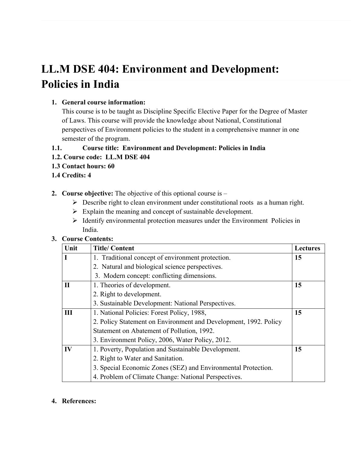## **LL.M DSE 404: Environment and Development: Policies in India**

#### **1. General course information:**

This course is to be taught as Discipline Specific Elective Paper for the Degree of Master of Laws. This course will provide the knowledge about National, Constitutional perspectives of Environment policies to the student in a comprehensive manner in one semester of the program.

#### **1.1. Course title: Environment and Development: Policies in India**

#### **1.2. Course code: LL.M DSE 404**

- **1.3 Contact hours: 60**
- **1.4 Credits: 4**
- **2. Course objective:** The objective of this optional course is
	- $\triangleright$  Describe right to clean environment under constitutional roots as a human right.
	- $\triangleright$  Explain the meaning and concept of sustainable development.
	- $\triangleright$  Identify environmental protection measures under the Environment Policies in India.

#### **3. Course Contents:**

| Unit         | <b>Title/Content</b>                                             | <b>Lectures</b> |
|--------------|------------------------------------------------------------------|-----------------|
| L            | 1. Traditional concept of environment protection.                | 15              |
|              | 2. Natural and biological science perspectives.                  |                 |
|              | 3. Modern concept: conflicting dimensions.                       |                 |
| $\mathbf{I}$ | 1. Theories of development.                                      | 15              |
|              | 2. Right to development.                                         |                 |
|              | 3. Sustainable Development: National Perspectives.               |                 |
| Ш            | 1. National Policies: Forest Policy, 1988,                       | 15              |
|              | 2. Policy Statement on Environment and Development, 1992. Policy |                 |
|              | Statement on Abatement of Pollution, 1992.                       |                 |
|              | 3. Environment Policy, 2006, Water Policy, 2012.                 |                 |
| IV           | 1. Poverty, Population and Sustainable Development.              | 15              |
|              | 2. Right to Water and Sanitation.                                |                 |
|              | 3. Special Economic Zones (SEZ) and Environmental Protection.    |                 |
|              | 4. Problem of Climate Change: National Perspectives.             |                 |

#### **4. References:**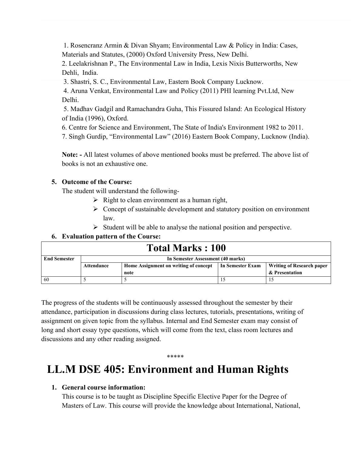1. Rosencranz Armin & Divan Shyam; Environmental Law & Policy in India: Cases, Materials and Statutes, (2000) Oxford University Press, New Delhi.

2. Leelakrishnan P., The Environmental Law in India, Lexis Nixis Butterworths, New Dehli, India.

3. Shastri, S. C., Environmental Law, Eastern Book Company Lucknow.

 4. Aruna Venkat, Environmental Law and Policy (2011) PHI learning Pvt.Ltd, New Delhi.

 5. Madhav Gadgil and Ramachandra Guha, This Fissured Island: An Ecological History of India (1996), Oxford.

6. Centre for Science and Environment, The State of India's Environment 1982 to 2011.

7. Singh Gurdip, "Environmental Law" (2016) Eastern Book Company, Lucknow (India).

**Note: -** All latest volumes of above mentioned books must be preferred. The above list of books is not an exhaustive one.

#### **5. Outcome of the Course:**

The student will understand the following-

- $\triangleright$  Right to clean environment as a human right,
- $\triangleright$  Concept of sustainable development and statutory position on environment law.
- $\triangleright$  Student will be able to analyse the national position and perspective.

#### **6. Evaluation pattern of the Course:**

| <b>Total Marks: 100</b> |                                   |                                       |                  |                                  |
|-------------------------|-----------------------------------|---------------------------------------|------------------|----------------------------------|
| <b>End Semester</b>     | In Semester Assessment (40 marks) |                                       |                  |                                  |
|                         | Attendance                        | Home Assignment on writing of concept | In Semester Exam | <b>Writing of Research paper</b> |
|                         |                                   | note                                  |                  | & Presentation                   |
| -60                     |                                   |                                       |                  |                                  |

The progress of the students will be continuously assessed throughout the semester by their attendance, participation in discussions during class lectures, tutorials, presentations, writing of assignment on given topic from the syllabus. Internal and End Semester exam may consist of long and short essay type questions, which will come from the text, class room lectures and discussions and any other reading assigned.

## **LL.M DSE 405: Environment and Human Rights**

\*\*\*\*\*

#### **1. General course information:**

This course is to be taught as Discipline Specific Elective Paper for the Degree of Masters of Law. This course will provide the knowledge about International, National,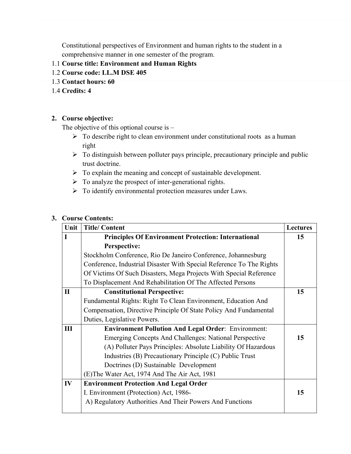Constitutional perspectives of Environment and human rights to the student in a comprehensive manner in one semester of the program.

#### 1.1 **Course title: Environment and Human Rights**

- 1.2 **Course code: LL.M DSE 405**
- 1.3 **Contact hours: 60**
- 1.4 **Credits: 4**

#### **2. Course objective:**

The objective of this optional course is –

- $\triangleright$  To describe right to clean environment under constitutional roots as a human right
- $\triangleright$  To distinguish between polluter pays principle, precautionary principle and public trust doctrine.
- $\triangleright$  To explain the meaning and concept of sustainable development.
- $\triangleright$  To analyze the prospect of inter-generational rights.
- $\triangleright$  To identify environmental protection measures under Laws.

#### **3. Course Contents:**

| Unit        | <b>Title/Content</b>                                                 | <b>Lectures</b> |
|-------------|----------------------------------------------------------------------|-----------------|
| I           | <b>Principles Of Environment Protection: International</b>           | 15              |
|             | Perspective:                                                         |                 |
|             | Stockholm Conference, Rio De Janeiro Conference, Johannesburg        |                 |
|             | Conference, Industrial Disaster With Special Reference To The Rights |                 |
|             | Of Victims Of Such Disasters, Mega Projects With Special Reference   |                 |
|             | To Displacement And Rehabilitation Of The Affected Persons           |                 |
| $\mathbf H$ | <b>Constitutional Perspective:</b>                                   | 15              |
|             | Fundamental Rights: Right To Clean Environment, Education And        |                 |
|             | Compensation, Directive Principle Of State Policy And Fundamental    |                 |
|             | Duties, Legislative Powers.                                          |                 |
| III         | <b>Environment Pollution And Legal Order: Environment:</b>           |                 |
|             | <b>Emerging Concepts And Challenges: National Perspective</b>        | 15              |
|             | (A) Polluter Pays Principles: Absolute Liability Of Hazardous        |                 |
|             | Industries (B) Precautionary Principle (C) Public Trust              |                 |
|             | Doctrines (D) Sustainable Development                                |                 |
|             | (E) The Water Act, 1974 And The Air Act, 1981                        |                 |
| IV          | <b>Environment Protection And Legal Order</b>                        |                 |
|             | I. Environment (Protection) Act, 1986-                               | 15              |
|             | A) Regulatory Authorities And Their Powers And Functions             |                 |
|             |                                                                      |                 |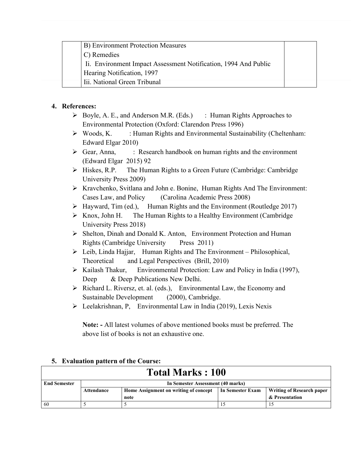| B) Environment Protection Measures                              |  |
|-----------------------------------------------------------------|--|
| C) Remedies                                                     |  |
| Ii. Environment Impact Assessment Notification, 1994 And Public |  |
| Hearing Notification, 1997                                      |  |
| Iii. National Green Tribunal                                    |  |

#### **4. References:**

- Boyle, A. E., and Anderson M.R. (Eds.) : Human Rights Approaches to Environmental Protection (Oxford: Clarendon Press 1996)
- $\triangleright$  Woods, K. : Human Rights and Environmental Sustainability (Cheltenham: Edward Elgar 2010)
- $\triangleright$  Gear, Anna, : Research handbook on human rights and the environment (Edward Elgar 2015) 92
- $\triangleright$  Hiskes, R.P. The Human Rights to a Green Future (Cambridge: Cambridge University Press 2009)
- Kravchenko, Svitlana and John e. Bonine, Human Rights And The Environment: Cases Law, and Policy (Carolina Academic Press 2008)
- $\triangleright$  Hayward, Tim (ed.), Human Rights and the Environment (Routledge 2017)
- $\triangleright$  Knox, John H. The Human Rights to a Healthy Environment (Cambridge) University Press 2018)
- Shelton, Dinah and Donald K. Anton, Environment Protection and Human Rights (Cambridge University Press 2011)
- $\triangleright$  Leib, Linda Hajjar, Human Rights and The Environment Philosophical, Theoretical and Legal Perspectives (Brill, 2010)
- $\triangleright$  Kailash Thakur, Environmental Protection: Law and Policy in India (1997), Deep & Deep Publications New Delhi.
- $\triangleright$  Richard L. Riversz, et. al. (eds.), Environmental Law, the Economy and Sustainable Development (2000), Cambridge.
- $\triangleright$  Leelakrishnan, P, Environmental Law in India (2019), Lexis Nexis

**Note: -** All latest volumes of above mentioned books must be preferred. The above list of books is not an exhaustive one.

| <b>Total Marks: 100</b> |                                   |                                       |                  |                                  |
|-------------------------|-----------------------------------|---------------------------------------|------------------|----------------------------------|
| <b>End Semester</b>     | In Semester Assessment (40 marks) |                                       |                  |                                  |
|                         | Attendance                        | Home Assignment on writing of concept | In Semester Exam | <b>Writing of Research paper</b> |
|                         |                                   | note                                  |                  | & Presentation                   |
| 60                      |                                   |                                       |                  |                                  |

#### **5. Evaluation pattern of the Course:**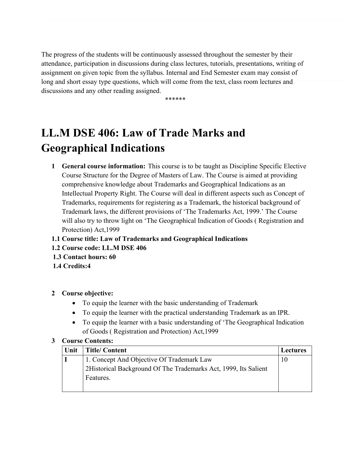The progress of the students will be continuously assessed throughout the semester by their attendance, participation in discussions during class lectures, tutorials, presentations, writing of assignment on given topic from the syllabus. Internal and End Semester exam may consist of long and short essay type questions, which will come from the text, class room lectures and discussions and any other reading assigned.

\*\*\*\*\*\*

## **LL.M DSE 406: Law of Trade Marks and Geographical Indications**

- **1 General course information:** This course is to be taught as Discipline Specific Elective Course Structure for the Degree of Masters of Law. The Course is aimed at providing comprehensive knowledge about Trademarks and Geographical Indications as an Intellectual Property Right. The Course will deal in different aspects such as Concept of Trademarks, requirements for registering as a Trademark, the historical background of Trademark laws, the different provisions of 'The Trademarks Act, 1999.' The Course will also try to throw light on 'The Geographical Indication of Goods ( Registration and Protection) Act,1999
- **1.1 Course title: Law of Trademarks and Geographical Indications**
- **1.2 Course code: LL.M DSE 406**
- **1.3 Contact hours: 60**
- **1.4 Credits:4**

### **2 Course objective:**

- To equip the learner with the basic understanding of Trademark
- To equip the learner with the practical understanding Trademark as an IPR.
- To equip the learner with a basic understanding of 'The Geographical Indication of Goods ( Registration and Protection) Act,1999

#### **3 Course Contents:**

| Unit | <b>Title/Content</b>                                            | <b>Lectures</b> |
|------|-----------------------------------------------------------------|-----------------|
|      | 1. Concept And Objective Of Trademark Law                       | 10              |
|      | 2Historical Background Of The Trademarks Act, 1999, Its Salient |                 |
|      | Features.                                                       |                 |
|      |                                                                 |                 |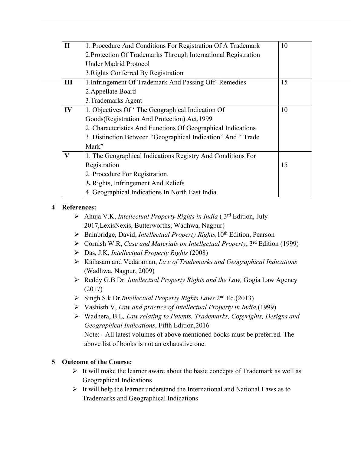| $\mathbf{I}$ | 1. Procedure And Conditions For Registration Of A Trademark    | 10 |  |
|--------------|----------------------------------------------------------------|----|--|
|              | 2. Protection Of Trademarks Through International Registration |    |  |
|              | <b>Under Madrid Protocol</b>                                   |    |  |
|              | 3. Rights Conferred By Registration                            |    |  |
| Ш            | 1. Infringement Of Trademark And Passing Off-Remedies          | 15 |  |
|              | 2. Appellate Board                                             |    |  |
|              | 3. Trademarks Agent                                            |    |  |
| IV           | 1. Objectives Of 'The Geographical Indication Of               | 10 |  |
|              | Goods (Registration And Protection) Act, 1999                  |    |  |
|              | 2. Characteristics And Functions Of Geographical Indications   |    |  |
|              | 3. Distinction Between "Geographical Indication" And "Trade    |    |  |
|              | Mark"                                                          |    |  |
| $\mathbf{V}$ | 1. The Geographical Indications Registry And Conditions For    |    |  |
|              | Registration                                                   | 15 |  |
|              | 2. Procedure For Registration.                                 |    |  |
|              | 3. Rights, Infringement And Reliefs                            |    |  |
|              | 4. Geographical Indications In North East India.               |    |  |

#### **4 References:**

- Ahuja V.K, *Intellectual Property Rights in India* ( 3rd Edition, July 2017,LexisNexis, Butterworths, Wadhwa, Nagpur)
- Bainbridge, David, *Intellectual Property Rights,*10th Edition, Pearson
- Cornish W.R, *Case and Materials on Intellectual Property*, 3rd Edition (1999)
- Das, J.K, *Intellectual Property Rights* (2008)
- Kailasam and Vedaraman, *Law of Trademarks and Geographical Indications* (Wadhwa, Nagpur, 2009)
- Reddy G.B Dr. *Intellectual Property Rights and the Law,* Gogia Law Agency (2017)
- Singh S.k Dr.*Intellectual Property Rights Laws* 2nd Ed.(2013)
- Vashisth V, *Law and practice of Intellectual Property in India,*(1999)
- Wadhera, B.L*, Law relating to Patents, Trademarks, Copyrights, Designs and Geographical Indications*, Fifth Edition,2016 Note: - All latest volumes of above mentioned books must be preferred. The above list of books is not an exhaustive one.

#### **5 Outcome of the Course:**

- $\triangleright$  It will make the learner aware about the basic concepts of Trademark as well as Geographical Indications
- $\triangleright$  It will help the learner understand the International and National Laws as to Trademarks and Geographical Indications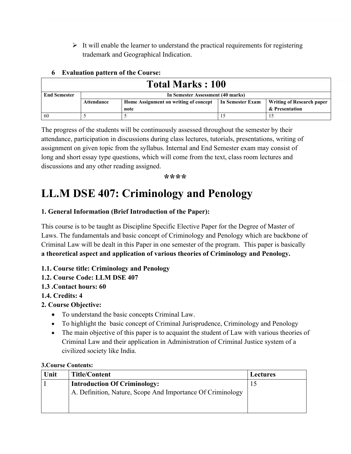$\triangleright$  It will enable the learner to understand the practical requirements for registering trademark and Geographical Indication.

| <b>Total Marks: 100</b> |                                   |                                       |                  |                                  |
|-------------------------|-----------------------------------|---------------------------------------|------------------|----------------------------------|
| <b>End Semester</b>     | In Semester Assessment (40 marks) |                                       |                  |                                  |
|                         | Attendance                        | Home Assignment on writing of concept | In Semester Exam | <b>Writing of Research paper</b> |
|                         |                                   | note                                  |                  | & Presentation                   |
| 60                      |                                   |                                       |                  |                                  |

#### **6 Evaluation pattern of the Course:**

The progress of the students will be continuously assessed throughout the semester by their attendance, participation in discussions during class lectures, tutorials, presentations, writing of assignment on given topic from the syllabus. Internal and End Semester exam may consist of long and short essay type questions, which will come from the text, class room lectures and discussions and any other reading assigned.

**\*\*\*\***

## **LL.M DSE 407: Criminology and Penology**

#### **1. General Information (Brief Introduction of the Paper):**

This course is to be taught as Discipline Specific Elective Paper for the Degree of Master of Laws. The fundamentals and basic concept of Criminology and Penology which are backbone of Criminal Law will be dealt in this Paper in one semester of the program. This paper is basically **a theoretical aspect and application of various theories of Criminology and Penology.**

#### **1.1. Course title: Criminology and Penology**

#### **1.2. Course Code: LLM DSE 407**

#### **1.3 .Contact hours: 60**

#### **1.4. Credits: 4**

#### **2. Course Objective:**

- To understand the basic concepts Criminal Law.
- To highlight the basic concept of Criminal Jurisprudence, Criminology and Penology
- The main objective of this paper is to acquaint the student of Law with various theories of Criminal Law and their application in Administration of Criminal Justice system of a civilized society like India.

#### **3.Course Contents:**

| Unit | <b>Title/Content</b>                                       | <b>Lectures</b> |
|------|------------------------------------------------------------|-----------------|
|      | <b>Introduction Of Criminology:</b>                        | 15              |
|      | A. Definition, Nature, Scope And Importance Of Criminology |                 |
|      |                                                            |                 |
|      |                                                            |                 |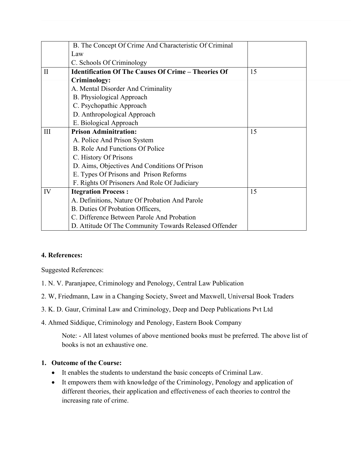|              | B. The Concept Of Crime And Characteristic Of Criminal     |    |
|--------------|------------------------------------------------------------|----|
|              | Law                                                        |    |
|              | C. Schools Of Criminology                                  |    |
| $\mathbf{I}$ | <b>Identification Of The Causes Of Crime - Theories Of</b> | 15 |
|              | Criminology:                                               |    |
|              | A. Mental Disorder And Criminality                         |    |
|              | B. Physiological Approach                                  |    |
|              | C. Psychopathic Approach                                   |    |
|              | D. Anthropological Approach                                |    |
|              | E. Biological Approach                                     |    |
| Ш            | <b>Prison Adminitration:</b>                               | 15 |
|              | A. Police And Prison System                                |    |
|              | B. Role And Functions Of Police                            |    |
|              | C. History Of Prisons                                      |    |
|              | D. Aims, Objectives And Conditions Of Prison               |    |
|              | E. Types Of Prisons and Prison Reforms                     |    |
|              | F. Rights Of Prisoners And Role Of Judiciary               |    |
| IV           | <b>Itegration Process:</b>                                 | 15 |
|              | A. Definitions, Nature Of Probation And Parole             |    |
|              | B. Duties Of Probation Officers,                           |    |
|              | C. Difference Between Parole And Probation                 |    |
|              | D. Attitude Of The Community Towards Released Offender     |    |

#### **4. References:**

Suggested References:

- 1. N. V. Paranjapee, Criminology and Penology, Central Law Publication
- 2. W, Friedmann, Law in a Changing Society, Sweet and Maxwell, Universal Book Traders
- 3. K. D. Gaur, Criminal Law and Criminology, Deep and Deep Publications Pvt Ltd
- 4. Ahmed Siddique, Criminology and Penology, Eastern Book Company

Note: - All latest volumes of above mentioned books must be preferred. The above list of books is not an exhaustive one.

#### **1. Outcome of the Course:**

- It enables the students to understand the basic concepts of Criminal Law.
- It empowers them with knowledge of the Criminology, Penology and application of different theories, their application and effectiveness of each theories to control the increasing rate of crime.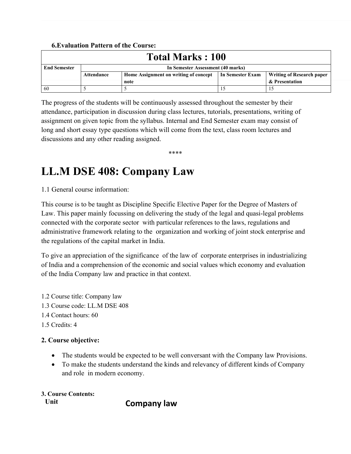#### **6.Evaluation Pattern of the Course:**

| <b>Total Marks: 100</b> |                                   |                                       |                  |                           |
|-------------------------|-----------------------------------|---------------------------------------|------------------|---------------------------|
| <b>End Semester</b>     | In Semester Assessment (40 marks) |                                       |                  |                           |
|                         | Attendance                        | Home Assignment on writing of concept | In Semester Exam | Writing of Research paper |
|                         |                                   | note                                  |                  | & Presentation            |
| 60                      |                                   |                                       |                  |                           |

The progress of the students will be continuously assessed throughout the semester by their attendance, participation in discussion during class lectures, tutorials, presentations, writing of assignment on given topic from the syllabus. Internal and End Semester exam may consist of long and short essay type questions which will come from the text, class room lectures and discussions and any other reading assigned.

\*\*\*\*

## **LL.M DSE 408: Company Law**

1.1 General course information:

This course is to be taught as Discipline Specific Elective Paper for the Degree of Masters of Law. This paper mainly focussing on delivering the study of the legal and quasi-legal problems connected with the corporate sector with particular references to the laws, regulations and administrative framework relating to the organization and working of joint stock enterprise and the regulations of the capital market in India.

To give an appreciation of the significance of the law of corporate enterprises in industrializing of India and a comprehension of the economic and social values which economy and evaluation of the India Company law and practice in that context.

1.2 Course title: Company law 1.3 Course code: LL.M DSE 408 1.4 Contact hours: 60 1.5 Credits: 4

#### **2. Course objective:**

- The students would be expected to be well conversant with the Company law Provisions.
- To make the students understand the kinds and relevancy of different kinds of Company and role in modern economy.

**3. Course Contents:**

**Unit Company law**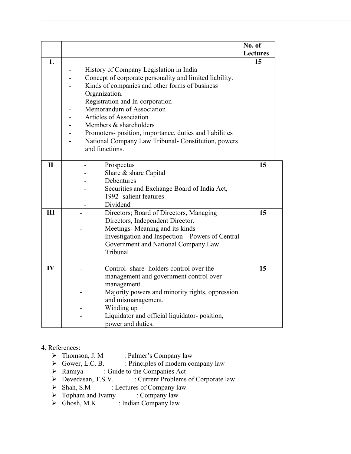|              |                                                                                                                                                                                                                                                                                                                                                                                                                                                                             | No. of          |
|--------------|-----------------------------------------------------------------------------------------------------------------------------------------------------------------------------------------------------------------------------------------------------------------------------------------------------------------------------------------------------------------------------------------------------------------------------------------------------------------------------|-----------------|
|              |                                                                                                                                                                                                                                                                                                                                                                                                                                                                             | <b>Lectures</b> |
| 1.           | History of Company Legislation in India<br>Concept of corporate personality and limited liability.<br>Kinds of companies and other forms of business<br>Organization.<br>Registration and In-corporation<br>Memorandum of Association<br>$\overline{a}$<br>Articles of Association<br>$\overline{\phantom{a}}$<br>Members & shareholders<br>Promoters-position, importance, duties and liabilities<br>National Company Law Tribunal- Constitution, powers<br>and functions. | 15              |
| $\mathbf{I}$ | Prospectus<br>Share & share Capital<br>Debentures<br>Securities and Exchange Board of India Act,<br>1992- salient features<br>Dividend                                                                                                                                                                                                                                                                                                                                      | 15              |
| III          | Directors; Board of Directors, Managing<br>Directors, Independent Director.<br>Meetings- Meaning and its kinds<br>Investigation and Inspection - Powers of Central<br>Government and National Company Law<br>Tribunal                                                                                                                                                                                                                                                       | 15              |
| IV           | Control-share-holders control over the<br>management and government control over<br>management.<br>Majority powers and minority rights, oppression<br>and mismanagement.<br>Winding up<br>Liquidator and official liquidator-position,<br>power and duties.                                                                                                                                                                                                                 | 15              |

- 4. References:<br> $\triangleright$  Thomson, J. M > Thomson, J. M : Palmer's Company law<br>
→ Gower, L.C. B. : Principles of modern co
	- $\geq$  Gower, L.C. B. : Principles of modern company law<br>  $\geq$  Ramiya : Guide to the Companies Act
	- → Ramiya : Guide to the Companies Act<br>
	→ Devedasan, T.S.V. : Current Problems
	- → Devedasan, T.S.V. : Current Problems of Corporate law<br>
	→ Shah, S.M : Lectures of Company law
	- : Lectures of Company law<br>
	ny : Company law
	- $\triangleright$  Topham and Ivamy<br> $\triangleright$  Ghosh, M.K.
	- : Indian Company law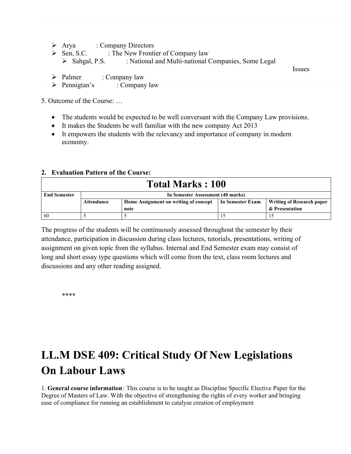- > Arya : Company Directors
- $\triangleright$  Sen, S.C. : The New Frontier of Company law
	- > Sahgal, P.S. : National and Multi-national Companies, Some Legal
- $\triangleright$  Palmer : Company law

Issues

> Pennigtan's : Company law

5. Outcome of the Course: …

- The students would be expected to be well conversant with the Company Law provisions.
- It makes the Students be well familiar with the new company Act 2013
- It empowers the students with the relevancy and importance of company in modern economy.

#### **2. Evaluation Pattern of the Course:**

| <b>Total Marks: 100</b> |                                   |                                       |                  |                                  |
|-------------------------|-----------------------------------|---------------------------------------|------------------|----------------------------------|
| <b>End Semester</b>     | In Semester Assessment (40 marks) |                                       |                  |                                  |
|                         | Attendance                        | Home Assignment on writing of concept | In Semester Exam | <b>Writing of Research paper</b> |
|                         |                                   | note                                  |                  | & Presentation                   |
| -60                     |                                   |                                       |                  |                                  |

The progress of the students will be continuously assessed throughout the semester by their attendance, participation in discussion during class lectures, tutorials, presentations, writing of assignment on given topic from the syllabus. Internal and End Semester exam may consist of long and short essay type questions which will come from the text, class room lectures and discussions and any other reading assigned.

\*\*\*\*

## **LL.M DSE 409: Critical Study Of New Legislations On Labour Laws**

1. **General course information** : This course is to be taught as Discipline Specific Elective Paper for the Degree of Masters of Law. With the objective of strengthening the rights of every worker and bringing ease of compliance for running an establishment to catalyse creation of employment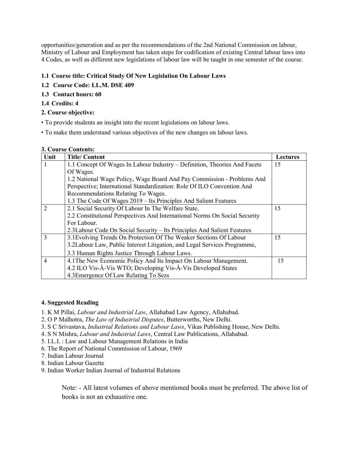opportunities/generation and as per the recommendations of the 2nd National Commission on labour, Ministry of Labour and Employment has taken steps for codification of existing Central labour laws into 4 Codes, as well as different new legislations of labour law will be taught in one semester of the course.

#### **1.1 Course title: Critical Study Of New Legislation On Labour Laws**

- **1.2 Course Code: LL.M. DSE 409**
- **1.3 Contact hours: 60**

#### **1.4 Credits: 4**

#### **2. Course objective:**

- To provide students an insight into the recent legislations on labour laws.
- To make them understand various objectives of the new changes on labour laws.

#### **3. Course Contents:**

| Unit           | <b>Title/Content</b>                                                       | Lectures |  |
|----------------|----------------------------------------------------------------------------|----------|--|
| 1              | 1.1 Concept Of Wages In Labour Industry – Definition, Theories And Facets  | 15       |  |
|                | Of Wages.                                                                  |          |  |
|                | 1.2 National Wage Policy, Wage Board And Pay Commission - Problems And     |          |  |
|                | Perspective; International Standardization: Role Of ILO Convention And     |          |  |
|                | Recommendations Relating To Wages.                                         |          |  |
|                | 1.3 The Code Of Wages 2019 - Its Principles And Salient Features           |          |  |
| $\overline{2}$ | 2.1 Social Security Of Labour In The Welfare State.                        | 15       |  |
|                | 2.2 Constitutional Perspectives And International Norms On Social Security |          |  |
|                | For Labour.                                                                |          |  |
|                | 2.3 Labour Code On Social Security – Its Principles And Salient Features   |          |  |
| 3              | 3.1 Evolving Trends On Protection Of The Weaker Sections Of Labour         | 15       |  |
|                | 3.2Labour Law, Public Interest Litigation, and Legal Services Programme,   |          |  |
|                | 3.3 Human Rights Justice Through Labour Laws.                              |          |  |
| $\overline{4}$ | 4.1 The New Economic Policy And Its Impact On Labour Management.           | 15       |  |
|                | 4.2 ILO Vis-À-Vis WTO; Developing Vis-À-Vis Developed States               |          |  |
|                | 4.3 Emergence Of Law Relating To Sezs                                      |          |  |

#### **4. Suggested Reading**

- 1. K M Pillai, *Labour and Industrial Law*, Allahabad Law Agency, Allahabad.
- 2. O P Malhotra, *The Law of Industrial Disputes*, Butterworths, New Delhi.
- 3. S C Srivastava, *Industrial Relations and Labour Laws*, Vikas Publishing House, New Delhi.
- 4. S N Mishra, *Labour and Industrial Laws*, Central Law Publications, Allahabad.
- 5. I.L.I. : Law and Labour Management Relations in India
- 6. The Report of National Commission of Labour, 1969
- 7. Indian Labour Journal
- 8. Indian Labour Gazette
- 9. Indian Worker Indian Journal of Industrial Relations

Note: - All latest volumes of above mentioned books must be preferred. The above list of books is not an exhaustive one.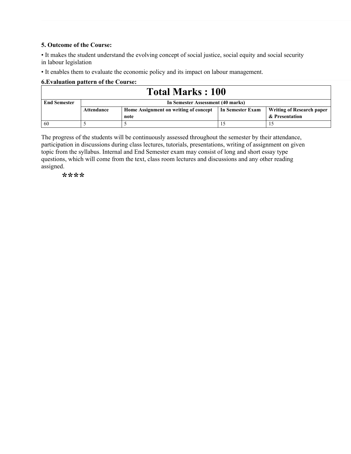#### **5. Outcome of the Course:**

• It makes the student understand the evolving concept of social justice, social equity and social security in labour legislation

• It enables them to evaluate the economic policy and its impact on labour management.

#### **6.Evaluation pattern of the Course:**

| <b>Total Marks: 100</b> |                                   |                                       |                  |                                  |
|-------------------------|-----------------------------------|---------------------------------------|------------------|----------------------------------|
| <b>End Semester</b>     | In Semester Assessment (40 marks) |                                       |                  |                                  |
|                         | Attendance                        | Home Assignment on writing of concept | In Semester Exam | <b>Writing of Research paper</b> |
|                         |                                   | note                                  |                  | & Presentation                   |
| -60                     |                                   |                                       |                  |                                  |

The progress of the students will be continuously assessed throughout the semester by their attendance, participation in discussions during class lectures, tutorials, presentations, writing of assignment on given topic from the syllabus. Internal and End Semester exam may consist of long and short essay type questions, which will come from the text, class room lectures and discussions and any other reading assigned.

**\*\*\*\***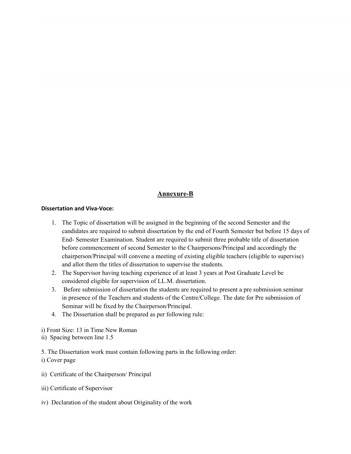#### **Annexure-B**

#### **Dissertation and Viva-Voce:**

- 1. The Topic of dissertation will be assigned in the beginning of the second Semester and the candidates are required to submit dissertation by the end of Fourth Semester but before 15 days of End- Semester Examination. Student are required to submit three probable title of dissertation before commencement of second Semester to the Chairpersons/Principal and accordingly the chairperson/Principal will convene a meeting of existing eligible teachers (eligible to supervise) and allot them the titles of dissertation to supervise the students.
- 2. The Supervisor having teaching experience of at least 3 years at Post Graduate Level be considered eligible for supervision of LL.M. dissertation.
- 3. Before submission of dissertation the students are required to present a pre submission seminar in presence of the Teachers and students of the Centre/College. The date for Pre submission of Seminar will be fixed by the Chairperson/Principal.
- 4. The Dissertation shall be prepared as per following rule:

i) Front Size: 13 in Time New Roman

ii) Spacing between line 1.5

5. The Dissertation work must contain following parts in the following order:

i) Cover page

- ii) Certificate of the Chairperson/ Principal
- iii) Certificate of Supervisor
- iv) Declaration of the student about Originality of the work